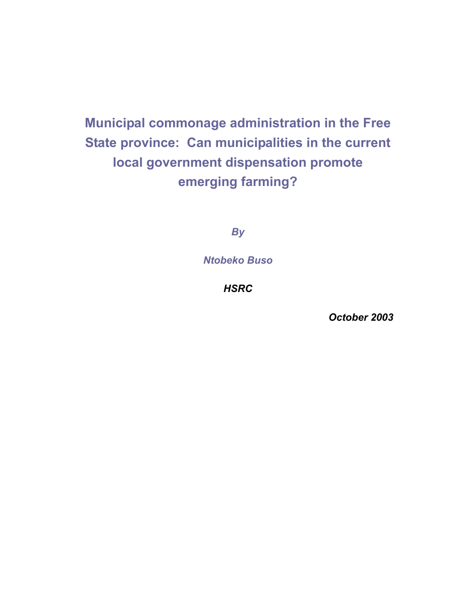# **Municipal commonage administration in the Free State province: Can municipalities in the current local government dispensation promote emerging farming?**

*By* 

*Ntobeko Buso* 

*HSRC* 

*October 2003*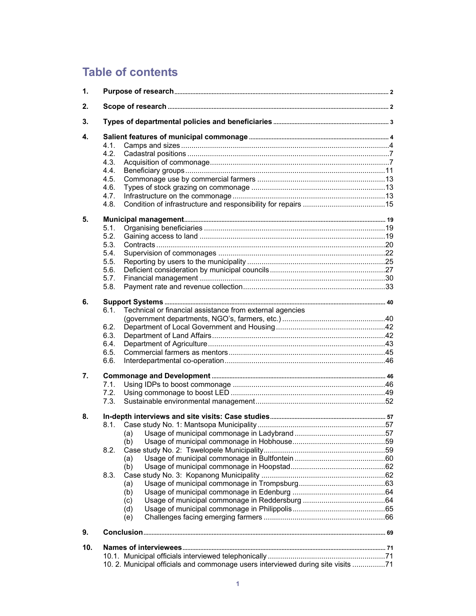## **Table of contents**

| 1.  |                                                                                  |  |
|-----|----------------------------------------------------------------------------------|--|
| 2.  |                                                                                  |  |
| 3.  |                                                                                  |  |
| 4.  |                                                                                  |  |
|     | 4.1.                                                                             |  |
|     | 4.2.                                                                             |  |
|     | 4.3.                                                                             |  |
|     | 4.4.                                                                             |  |
|     | 4.5.                                                                             |  |
|     | 4.6.                                                                             |  |
|     | 4.7.                                                                             |  |
|     | 4.8.                                                                             |  |
| 5.  |                                                                                  |  |
|     | 5.1.                                                                             |  |
|     | 5.2.                                                                             |  |
|     | 5.3.                                                                             |  |
|     | 5.4.                                                                             |  |
|     | 5.5.                                                                             |  |
|     | 5.6.                                                                             |  |
|     | 5.7.                                                                             |  |
|     | 5.8.                                                                             |  |
| 6.  |                                                                                  |  |
|     | 6.1.<br>Technical or financial assistance from external agencies                 |  |
|     |                                                                                  |  |
|     | 6.2.                                                                             |  |
|     | 6.3.                                                                             |  |
|     | 6.4.                                                                             |  |
|     | 6.5.                                                                             |  |
|     | 6.6.                                                                             |  |
| 7.  |                                                                                  |  |
|     | 7.1.                                                                             |  |
|     | 7.2.                                                                             |  |
|     | 7.3.                                                                             |  |
| 8.  |                                                                                  |  |
|     |                                                                                  |  |
|     | (a)                                                                              |  |
|     | (b)                                                                              |  |
|     | 8.2.                                                                             |  |
|     | (a)                                                                              |  |
|     | (b)                                                                              |  |
|     | 8.3.                                                                             |  |
|     | (a)                                                                              |  |
|     | (b)                                                                              |  |
|     | (c)                                                                              |  |
|     | (d)<br>(e)                                                                       |  |
|     |                                                                                  |  |
| 9.  |                                                                                  |  |
| 10. |                                                                                  |  |
|     |                                                                                  |  |
|     | 10. 2. Municipal officials and commonage users interviewed during site visits 71 |  |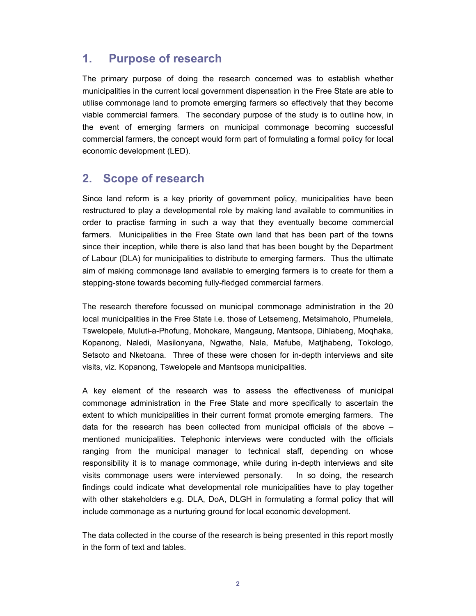### **1. Purpose of research**

The primary purpose of doing the research concerned was to establish whether municipalities in the current local government dispensation in the Free State are able to utilise commonage land to promote emerging farmers so effectively that they become viable commercial farmers. The secondary purpose of the study is to outline how, in the event of emerging farmers on municipal commonage becoming successful commercial farmers, the concept would form part of formulating a formal policy for local economic development (LED).

## **2. Scope of research**

Since land reform is a key priority of government policy, municipalities have been restructured to play a developmental role by making land available to communities in order to practise farming in such a way that they eventually become commercial farmers. Municipalities in the Free State own land that has been part of the towns since their inception, while there is also land that has been bought by the Department of Labour (DLA) for municipalities to distribute to emerging farmers. Thus the ultimate aim of making commonage land available to emerging farmers is to create for them a stepping-stone towards becoming fully-fledged commercial farmers.

The research therefore focussed on municipal commonage administration in the 20 local municipalities in the Free State i.e. those of Letsemeng, Metsimaholo, Phumelela, Tswelopele, Muluti-a-Phofung, Mohokare, Mangaung, Mantsopa, Dihlabeng, Moqhaka, Kopanong, Naledi, Masilonyana, Ngwathe, Nala, Mafube, Matjhabeng, Tokologo, Setsoto and Nketoana. Three of these were chosen for in-depth interviews and site visits, viz. Kopanong, Tswelopele and Mantsopa municipalities.

A key element of the research was to assess the effectiveness of municipal commonage administration in the Free State and more specifically to ascertain the extent to which municipalities in their current format promote emerging farmers. The data for the research has been collected from municipal officials of the above – mentioned municipalities. Telephonic interviews were conducted with the officials ranging from the municipal manager to technical staff, depending on whose responsibility it is to manage commonage, while during in-depth interviews and site visits commonage users were interviewed personally. In so doing, the research findings could indicate what developmental role municipalities have to play together with other stakeholders e.g. DLA, DoA, DLGH in formulating a formal policy that will include commonage as a nurturing ground for local economic development.

The data collected in the course of the research is being presented in this report mostly in the form of text and tables.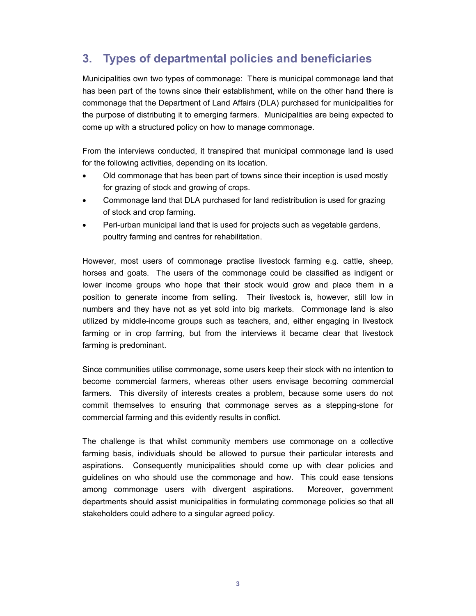## **3. Types of departmental policies and beneficiaries**

Municipalities own two types of commonage: There is municipal commonage land that has been part of the towns since their establishment, while on the other hand there is commonage that the Department of Land Affairs (DLA) purchased for municipalities for the purpose of distributing it to emerging farmers. Municipalities are being expected to come up with a structured policy on how to manage commonage.

From the interviews conducted, it transpired that municipal commonage land is used for the following activities, depending on its location.

- Old commonage that has been part of towns since their inception is used mostly for grazing of stock and growing of crops.
- Commonage land that DLA purchased for land redistribution is used for grazing of stock and crop farming.
- Peri-urban municipal land that is used for projects such as vegetable gardens, poultry farming and centres for rehabilitation.

However, most users of commonage practise livestock farming e.g. cattle, sheep, horses and goats. The users of the commonage could be classified as indigent or lower income groups who hope that their stock would grow and place them in a position to generate income from selling. Their livestock is, however, still low in numbers and they have not as yet sold into big markets. Commonage land is also utilized by middle-income groups such as teachers, and, either engaging in livestock farming or in crop farming, but from the interviews it became clear that livestock farming is predominant.

Since communities utilise commonage, some users keep their stock with no intention to become commercial farmers, whereas other users envisage becoming commercial farmers. This diversity of interests creates a problem, because some users do not commit themselves to ensuring that commonage serves as a stepping-stone for commercial farming and this evidently results in conflict.

The challenge is that whilst community members use commonage on a collective farming basis, individuals should be allowed to pursue their particular interests and aspirations. Consequently municipalities should come up with clear policies and guidelines on who should use the commonage and how. This could ease tensions among commonage users with divergent aspirations. Moreover, government departments should assist municipalities in formulating commonage policies so that all stakeholders could adhere to a singular agreed policy.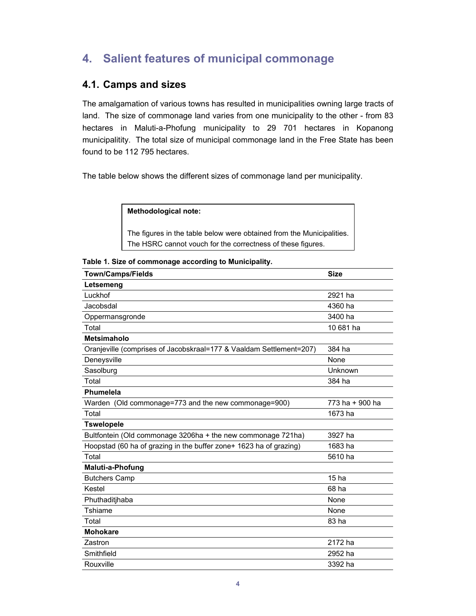## **4. Salient features of municipal commonage**

#### **4.1. Camps and sizes**

The amalgamation of various towns has resulted in municipalities owning large tracts of land. The size of commonage land varies from one municipality to the other - from 83 hectares in Maluti-a-Phofung municipality to 29 701 hectares in Kopanong municipalitity. The total size of municipal commonage land in the Free State has been found to be 112 795 hectares.

The table below shows the different sizes of commonage land per municipality.

#### **Methodological note:**

The figures in the table below were obtained from the Municipalities. The HSRC cannot vouch for the correctness of these figures.

**Table 1. Size of commonage according to Municipality.**

| <b>Town/Camps/Fields</b>                                            | <b>Size</b>      |
|---------------------------------------------------------------------|------------------|
| Letsemeng                                                           |                  |
| Luckhof                                                             | 2921 ha          |
| Jacobsdal                                                           | 4360 ha          |
| Oppermansgronde                                                     | 3400 ha          |
| Total                                                               | 10 681 ha        |
| <b>Metsimaholo</b>                                                  |                  |
| Oranjeville (comprises of Jacobskraal=177 & Vaaldam Settlement=207) | 384 ha           |
| Deneysville                                                         | None             |
| Sasolburg                                                           | Unknown          |
| Total                                                               | 384 ha           |
| Phumelela                                                           |                  |
| Warden (Old commonage=773 and the new commonage=900)                | 773 ha + 900 ha  |
| Total                                                               | 1673 ha          |
| <b>Tswelopele</b>                                                   |                  |
| Bultfontein (Old commonage 3206ha + the new commonage 721ha)        | 3927 ha          |
| Hoopstad (60 ha of grazing in the buffer zone+ 1623 ha of grazing)  | 1683 ha          |
| Total                                                               | 5610 ha          |
| Maluti-a-Phofung                                                    |                  |
| <b>Butchers Camp</b>                                                | 15 <sub>ha</sub> |
| Kestel                                                              | 68 ha            |
| Phuthaditjhaba                                                      | None             |
| Tshiame                                                             | None             |
| Total                                                               | 83 ha            |
| <b>Mohokare</b>                                                     |                  |
| Zastron                                                             | 2172 ha          |
| Smithfield                                                          | 2952 ha          |
| Rouxville                                                           | 3392 ha          |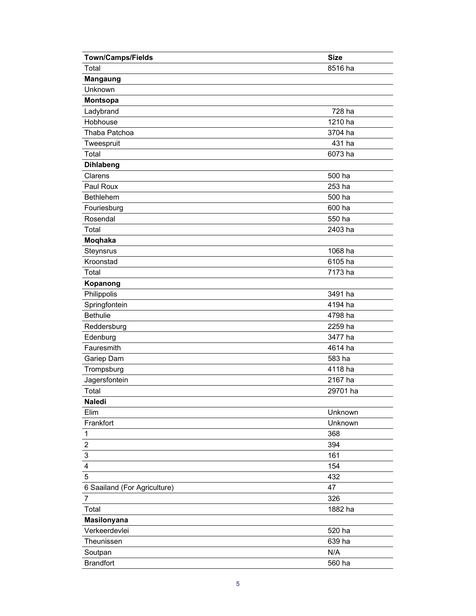| <b>Town/Camps/Fields</b>     | <b>Size</b> |
|------------------------------|-------------|
| Total                        | 8516 ha     |
| <b>Mangaung</b>              |             |
| Unknown                      |             |
| Montsopa                     |             |
| Ladybrand                    | 728 ha      |
| Hobhouse                     | 1210 ha     |
| Thaba Patchoa                | 3704 ha     |
| Tweespruit                   | 431 ha      |
| Total                        | 6073 ha     |
| <b>Dihlabeng</b>             |             |
| Clarens                      | 500 ha      |
| Paul Roux                    | 253 ha      |
| Bethlehem                    | 500 ha      |
| Fouriesburg                  | 600 ha      |
| Rosendal                     | 550 ha      |
| Total                        | 2403 ha     |
| Moqhaka                      |             |
| Steynsrus                    | 1068 ha     |
| Kroonstad                    | 6105 ha     |
| Total                        | 7173 ha     |
| Kopanong                     |             |
| Philippolis                  | 3491 ha     |
| Springfontein                | 4194 ha     |
| <b>Bethulie</b>              | 4798 ha     |
| Reddersburg                  | 2259 ha     |
| Edenburg                     | 3477 ha     |
| Fauresmith                   | 4614 ha     |
| Gariep Dam                   | 583 ha      |
| Trompsburg                   | 4118 ha     |
| Jagersfontein                | 2167 ha     |
| Total                        | 29701 ha    |
| Naledi                       |             |
| Elim                         | Unknown     |
| Frankfort                    | Unknown     |
| $\mathbf 1$                  | 368         |
| $\overline{\mathbf{c}}$      | 394         |
| 3                            | 161         |
| 4                            | 154         |
| 5                            | 432         |
| 6 Saailand (For Agriculture) | 47          |
| $\overline{7}$               | 326         |
| Total                        | 1882 ha     |
| <b>Masilonyana</b>           |             |
| Verkeerdevlei                | 520 ha      |
| Theunissen                   | 639 ha      |
| Soutpan                      | N/A         |
| <b>Brandfort</b>             | 560 ha      |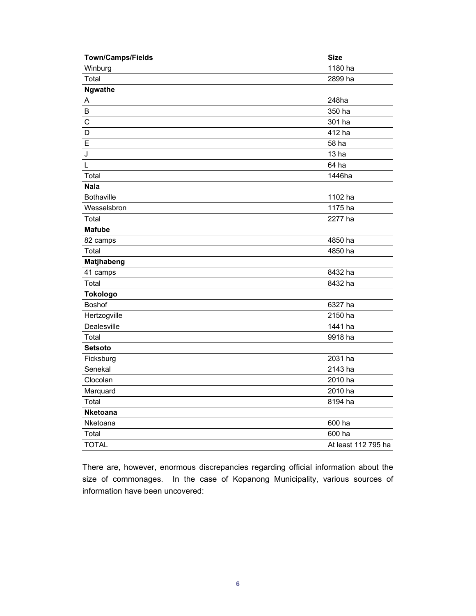| Town/Camps/Fields | <b>Size</b>         |
|-------------------|---------------------|
| Winburg           | 1180 ha             |
| Total             | 2899 ha             |
| <b>Ngwathe</b>    |                     |
| A                 | 248ha               |
| $\sf B$           | 350 ha              |
| $\mathsf C$       | 301 ha              |
| D                 | 412 ha              |
| E                 | 58 ha               |
| J                 | 13 <sub>ha</sub>    |
| L                 | 64 ha               |
| Total             | 1446ha              |
| <b>Nala</b>       |                     |
| <b>Bothaville</b> | 1102 ha             |
| Wesselsbron       | 1175 ha             |
| Total             | 2277 ha             |
| <b>Mafube</b>     |                     |
| 82 camps          | 4850 ha             |
| Total             | 4850 ha             |
| Matjhabeng        |                     |
| 41 camps          | 8432 ha             |
| Total             | 8432 ha             |
| <b>Tokologo</b>   |                     |
| <b>Boshof</b>     | 6327 ha             |
| Hertzogville      | 2150 ha             |
| Dealesville       | 1441 ha             |
| Total             | 9918 ha             |
| <b>Setsoto</b>    |                     |
| Ficksburg         | 2031 ha             |
| Senekal           | 2143 ha             |
| Clocolan          | 2010 ha             |
| Marquard          | 2010 ha             |
| Total             | 8194 ha             |
| <b>Nketoana</b>   |                     |
| Nketoana          | 600 ha              |
| Total             | 600 ha              |
| <b>TOTAL</b>      | At least 112 795 ha |

There are, however, enormous discrepancies regarding official information about the size of commonages. In the case of Kopanong Municipality, various sources of information have been uncovered: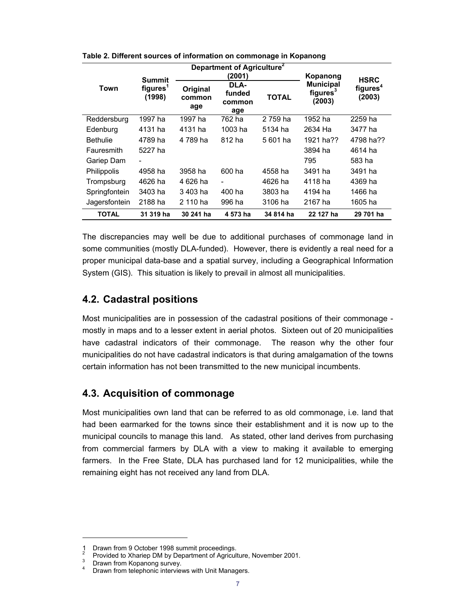|                 |                                                 |                           | Department of Agriculture <sup>2</sup><br>(2001) |              | Kopanong                                           | <b>HSRC</b>                    |
|-----------------|-------------------------------------------------|---------------------------|--------------------------------------------------|--------------|----------------------------------------------------|--------------------------------|
| Town            | <b>Summit</b><br>figures <sup>1</sup><br>(1998) | Original<br>common<br>age | DLA-<br>funded<br>common<br>age                  | <b>TOTAL</b> | <b>Municipal</b><br>figures <sup>3</sup><br>(2003) | figures <sup>4</sup><br>(2003) |
| Reddersburg     | 1997 ha                                         | 1997 ha                   | 762 ha                                           | 2 759 ha     | 1952 ha                                            | 2259 ha                        |
| Edenburg        | 4131 ha                                         | 4131 ha                   | 1003 ha                                          | 5134 ha      | 2634 Ha                                            | 3477 ha                        |
| <b>Bethulie</b> | 4789 ha                                         | 4 789 ha                  | 812 ha                                           | 5 601 ha     | 1921 ha??                                          | 4798 ha??                      |
| Fauresmith      | 5227 ha                                         |                           |                                                  |              | 3894 ha                                            | 4614 ha                        |
| Gariep Dam      |                                                 |                           |                                                  |              | 795                                                | 583 ha                         |
| Philippolis     | 4958 ha                                         | 3958 ha                   | 600 ha                                           | 4558 ha      | 3491 ha                                            | 3491 ha                        |
| Trompsburg      | 4626 ha                                         | 4 626 ha                  | $\overline{\phantom{a}}$                         | 4626 ha      | 4118 ha                                            | 4369 ha                        |
| Springfontein   | 3403 ha                                         | 3403 ha                   | 400 ha                                           | 3803 ha      | 4194 ha                                            | 1466 ha                        |
| Jagersfontein   | 2188 ha                                         | 2 110 ha                  | 996 ha                                           | 3106 ha      | 2167 ha                                            | 1605 ha                        |
| <b>TOTAL</b>    | 31 319 ha                                       | 30 241 ha                 | 4 573 ha                                         | 34 814 ha    | 22 127 ha                                          | 29 701 ha                      |

**Table 2. Different sources of information on commonage in Kopanong**

The discrepancies may well be due to additional purchases of commonage land in some communities (mostly DLA-funded). However, there is evidently a real need for a proper municipal data-base and a spatial survey, including a Geographical Information System (GIS). This situation is likely to prevail in almost all municipalities.

#### **4.2. Cadastral positions**

Most municipalities are in possession of the cadastral positions of their commonage mostly in maps and to a lesser extent in aerial photos. Sixteen out of 20 municipalities have cadastral indicators of their commonage. The reason why the other four municipalities do not have cadastral indicators is that during amalgamation of the towns certain information has not been transmitted to the new municipal incumbents.

### **4.3. Acquisition of commonage**

Most municipalities own land that can be referred to as old commonage, i.e. land that had been earmarked for the towns since their establishment and it is now up to the municipal councils to manage this land. As stated, other land derives from purchasing from commercial farmers by DLA with a view to making it available to emerging farmers. In the Free State, DLA has purchased land for 12 municipalities, while the remaining eight has not received any land from DLA.

l

Drawn from 9 October 1998 summit proceedings.

<sup>2</sup> Provided to Xhariep DM by Department of Agriculture, November 2001.

<sup>3</sup> Drawn from Kopanong survey.

<sup>4</sup> Drawn from telephonic interviews with Unit Managers.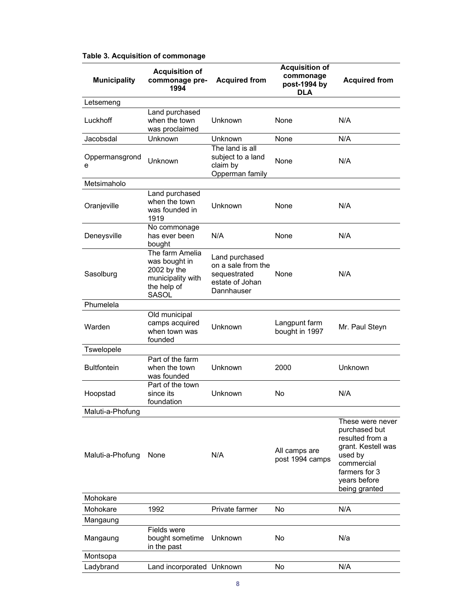| <b>Municipality</b> | <b>Acquisition of</b><br>commonage pre-<br>1994                                              | <b>Acquired from</b>                                                                  | <b>Acquisition of</b><br>commonage<br>post-1994 by<br><b>DLA</b> | <b>Acquired from</b>                                                                                                                                  |
|---------------------|----------------------------------------------------------------------------------------------|---------------------------------------------------------------------------------------|------------------------------------------------------------------|-------------------------------------------------------------------------------------------------------------------------------------------------------|
| Letsemeng           |                                                                                              |                                                                                       |                                                                  |                                                                                                                                                       |
| Luckhoff            | Land purchased<br>when the town<br>was proclaimed                                            | Unknown                                                                               | None                                                             | N/A                                                                                                                                                   |
| Jacobsdal           | Unknown                                                                                      | Unknown                                                                               | None                                                             | N/A                                                                                                                                                   |
| Oppermansgrond<br>е | Unknown                                                                                      | The land is all<br>subject to a land<br>claim by<br>Opperman family                   | None                                                             | N/A                                                                                                                                                   |
| Metsimaholo         |                                                                                              |                                                                                       |                                                                  |                                                                                                                                                       |
| Oranjeville         | Land purchased<br>when the town<br>was founded in<br>1919                                    | <b>Unknown</b>                                                                        | None                                                             | N/A                                                                                                                                                   |
| Deneysville         | No commonage<br>has ever been<br>bought                                                      | N/A                                                                                   | None                                                             | N/A                                                                                                                                                   |
| Sasolburg           | The farm Amelia<br>was bought in<br>2002 by the<br>municipality with<br>the help of<br>SASOL | Land purchased<br>on a sale from the<br>sequestrated<br>estate of Johan<br>Dannhauser | None                                                             | N/A                                                                                                                                                   |
| Phumelela           |                                                                                              |                                                                                       |                                                                  |                                                                                                                                                       |
| Warden              | Old municipal<br>camps acquired<br>when town was<br>founded                                  | Unknown                                                                               | Langpunt farm<br>bought in 1997                                  | Mr. Paul Steyn                                                                                                                                        |
| Tswelopele          |                                                                                              |                                                                                       |                                                                  |                                                                                                                                                       |
| <b>Bultfontein</b>  | Part of the farm<br>when the town<br>was founded                                             | Unknown                                                                               | 2000                                                             | Unknown                                                                                                                                               |
| Hoopstad            | Part of the town<br>since its<br>foundation                                                  | Unknown                                                                               | No.                                                              | N/A                                                                                                                                                   |
| Maluti-a-Phofung    |                                                                                              |                                                                                       |                                                                  |                                                                                                                                                       |
| Maluti-a-Phofung    | None                                                                                         | N/A                                                                                   | All camps are<br>post 1994 camps                                 | These were never<br>purchased but<br>resulted from a<br>grant. Kestell was<br>used by<br>commercial<br>farmers for 3<br>years before<br>being granted |
| Mohokare            |                                                                                              |                                                                                       |                                                                  |                                                                                                                                                       |
| Mohokare            | 1992                                                                                         | Private farmer                                                                        | No.                                                              | N/A                                                                                                                                                   |
| Mangaung            |                                                                                              |                                                                                       |                                                                  |                                                                                                                                                       |
| Mangaung            | Fields were<br>bought sometime<br>in the past                                                | Unknown                                                                               | No                                                               | N/a                                                                                                                                                   |
| Montsopa            |                                                                                              |                                                                                       |                                                                  |                                                                                                                                                       |
| Ladybrand           | Land incorporated Unknown                                                                    |                                                                                       | No                                                               | N/A                                                                                                                                                   |

#### **Table 3. Acquisition of commonage**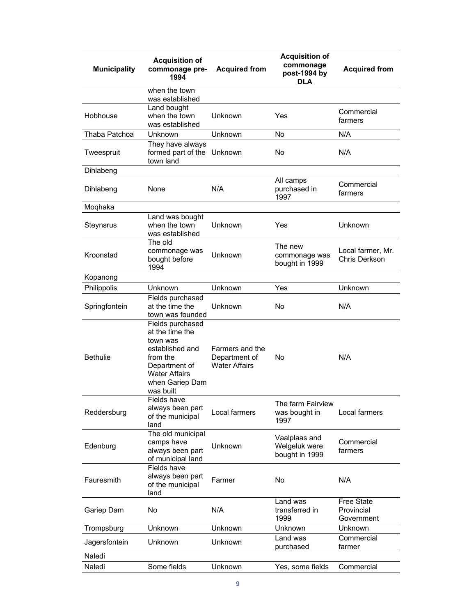| <b>Municipality</b> | <b>Acquisition of</b><br>commonage pre-<br>1994                                                                                                         | <b>Acquired from</b>                                     | <b>Acquisition of</b><br>commonage<br>post-1994 by<br><b>DLA</b> | <b>Acquired from</b>                          |
|---------------------|---------------------------------------------------------------------------------------------------------------------------------------------------------|----------------------------------------------------------|------------------------------------------------------------------|-----------------------------------------------|
|                     | when the town<br>was established                                                                                                                        |                                                          |                                                                  |                                               |
| Hobhouse            | Land bought<br>when the town<br>was established                                                                                                         | Unknown                                                  | Yes                                                              | Commercial<br>farmers                         |
| Thaba Patchoa       | Unknown                                                                                                                                                 | Unknown                                                  | No                                                               | N/A                                           |
| Tweespruit          | They have always<br>formed part of the<br>town land                                                                                                     | Unknown                                                  | No                                                               | N/A                                           |
| Dihlabeng           |                                                                                                                                                         |                                                          |                                                                  |                                               |
| Dihlabeng           | None                                                                                                                                                    | N/A                                                      | All camps<br>purchased in<br>1997                                | Commercial<br>farmers                         |
| Moqhaka             |                                                                                                                                                         |                                                          |                                                                  |                                               |
| Steynsrus           | Land was bought<br>when the town<br>was established                                                                                                     | Unknown                                                  | Yes                                                              | Unknown                                       |
| Kroonstad           | The old<br>commonage was<br>bought before<br>1994                                                                                                       | Unknown                                                  | The new<br>commonage was<br>bought in 1999                       | Local farmer, Mr.<br>Chris Derkson            |
| Kopanong            |                                                                                                                                                         |                                                          |                                                                  |                                               |
| Philippolis         | Unknown                                                                                                                                                 | Unknown                                                  | Yes                                                              | Unknown                                       |
| Springfontein       | Fields purchased<br>at the time the<br>town was founded                                                                                                 | Unknown                                                  | No                                                               | N/A                                           |
| <b>Bethulie</b>     | Fields purchased<br>at the time the<br>town was<br>established and<br>from the<br>Department of<br><b>Water Affairs</b><br>when Gariep Dam<br>was built | Farmers and the<br>Department of<br><b>Water Affairs</b> | No                                                               | N/A                                           |
| Reddersburg         | Fields have<br>always been part<br>of the municipal<br>land                                                                                             | Local farmers                                            | The farm Fairview<br>was bought in<br>1997                       | Local farmers                                 |
| Edenburg            | The old municipal<br>camps have<br>always been part<br>of municipal land                                                                                | Unknown                                                  | Vaalplaas and<br>Welgeluk were<br>bought in 1999                 | Commercial<br>farmers                         |
| Fauresmith          | Fields have<br>always been part<br>of the municipal<br>land                                                                                             | Farmer                                                   | No                                                               | N/A                                           |
| Gariep Dam          | No                                                                                                                                                      | N/A                                                      | Land was<br>transferred in<br>1999                               | <b>Free State</b><br>Provincial<br>Government |
| Trompsburg          | Unknown                                                                                                                                                 | Unknown                                                  | Unknown                                                          | Unknown                                       |
| Jagersfontein       | Unknown                                                                                                                                                 | Unknown                                                  | Land was<br>purchased                                            | Commercial<br>farmer                          |
| Naledi              |                                                                                                                                                         |                                                          |                                                                  |                                               |
| Naledi              | Some fields                                                                                                                                             | Unknown                                                  | Yes, some fields                                                 | Commercial                                    |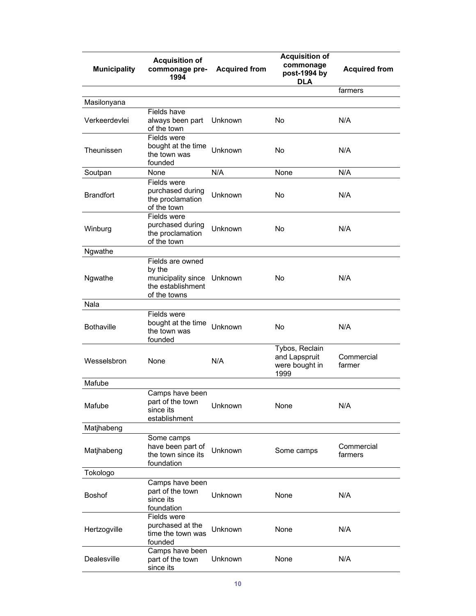| <b>Municipality</b> | <b>Acquisition of</b><br>commonage pre-<br>1994                                               | <b>Acquired from</b> | <b>Acquisition of</b><br>commonage<br>post-1994 by<br><b>DLA</b> | <b>Acquired from</b>  |
|---------------------|-----------------------------------------------------------------------------------------------|----------------------|------------------------------------------------------------------|-----------------------|
|                     |                                                                                               |                      |                                                                  | farmers               |
| Masilonyana         |                                                                                               |                      |                                                                  |                       |
| Verkeerdevlei       | Fields have<br>always been part<br>of the town                                                | Unknown              | No                                                               | N/A                   |
| Theunissen          | Fields were<br>bought at the time<br>the town was<br>founded                                  | Unknown              | No                                                               | N/A                   |
| Soutpan             | None                                                                                          | N/A                  | None                                                             | N/A                   |
| <b>Brandfort</b>    | Fields were<br>purchased during<br>the proclamation<br>of the town                            | Unknown              | No                                                               | N/A                   |
| Winburg             | Fields were<br>purchased during<br>the proclamation<br>of the town                            | Unknown              | No                                                               | N/A                   |
| Ngwathe             |                                                                                               |                      |                                                                  |                       |
| Ngwathe             | Fields are owned<br>by the<br>municipality since Unknown<br>the establishment<br>of the towns |                      | No                                                               | N/A                   |
| Nala                |                                                                                               |                      |                                                                  |                       |
| <b>Bothaville</b>   | Fields were<br>bought at the time<br>the town was<br>founded                                  | Unknown              | No                                                               | N/A                   |
| Wesselsbron         | None                                                                                          | N/A                  | Tybos, Reclain<br>and Lapspruit<br>were bought in<br>1999        | Commercial<br>farmer  |
| Mafube              |                                                                                               |                      |                                                                  |                       |
| Mafube              | Camps have been<br>part of the town<br>since its<br>establishment                             | Unknown              | None                                                             | N/A                   |
| Matjhabeng          |                                                                                               |                      |                                                                  |                       |
| Matjhabeng          | Some camps<br>have been part of<br>the town since its<br>foundation                           | Unknown              | Some camps                                                       | Commercial<br>farmers |
| Tokologo            |                                                                                               |                      |                                                                  |                       |
| <b>Boshof</b>       | Camps have been<br>part of the town<br>since its<br>foundation                                | Unknown              | None                                                             | N/A                   |
| Hertzogville        | Fields were<br>purchased at the<br>time the town was<br>founded                               | Unknown              | None                                                             | N/A                   |
| Dealesville         | Camps have been<br>part of the town<br>since its                                              | Unknown              | None                                                             | N/A                   |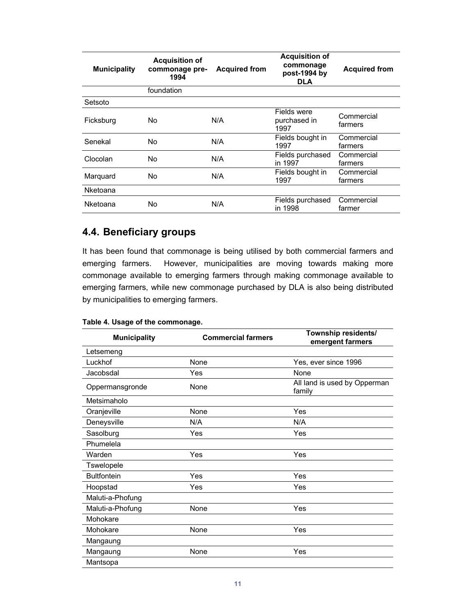| <b>Municipality</b> | <b>Acquisition of</b><br>commonage pre-<br>1994 | <b>Acquired from</b> | <b>Acquisition of</b><br>commonage<br>post-1994 by<br><b>DLA</b> | <b>Acquired from</b>  |
|---------------------|-------------------------------------------------|----------------------|------------------------------------------------------------------|-----------------------|
|                     | foundation                                      |                      |                                                                  |                       |
| Setsoto             |                                                 |                      |                                                                  |                       |
| Ficksburg           | No.                                             | N/A                  | Fields were<br>purchased in<br>1997                              | Commercial<br>farmers |
| Senekal             | No.                                             | N/A                  | Fields bought in<br>1997                                         | Commercial<br>farmers |
| Clocolan            | No.                                             | N/A                  | Fields purchased<br>in 1997                                      | Commercial<br>farmers |
| Marquard            | No.                                             | N/A                  | Fields bought in<br>1997                                         | Commercial<br>farmers |
| Nketoana            |                                                 |                      |                                                                  |                       |
| Nketoana            | No                                              | N/A                  | Fields purchased<br>in 1998                                      | Commercial<br>farmer  |

### **4.4. Beneficiary groups**

It has been found that commonage is being utilised by both commercial farmers and emerging farmers. However, municipalities are moving towards making more commonage available to emerging farmers through making commonage available to emerging farmers, while new commonage purchased by DLA is also being distributed by municipalities to emerging farmers.

#### **Table 4. Usage of the commonage.**

| <b>Municipality</b> | <b>Commercial farmers</b> | Township residents/<br>emergent farmers |
|---------------------|---------------------------|-----------------------------------------|
| Letsemeng           |                           |                                         |
| Luckhof             | None                      | Yes, ever since 1996                    |
| Jacobsdal           | Yes                       | None                                    |
| Oppermansgronde     | None                      | All land is used by Opperman<br>family  |
| Metsimaholo         |                           |                                         |
| Oranjeville         | None                      | Yes                                     |
| Deneysville         | N/A                       | N/A                                     |
| Sasolburg           | Yes                       | Yes                                     |
| Phumelela           |                           |                                         |
| Warden              | Yes                       | Yes                                     |
| <b>Tswelopele</b>   |                           |                                         |
| <b>Bultfontein</b>  | Yes                       | Yes                                     |
| Hoopstad            | Yes                       | Yes                                     |
| Maluti-a-Phofung    |                           |                                         |
| Maluti-a-Phofung    | None                      | Yes                                     |
| Mohokare            |                           |                                         |
| Mohokare            | None                      | Yes                                     |
| Mangaung            |                           |                                         |
| Mangaung            | None                      | Yes                                     |
| Mantsopa            |                           |                                         |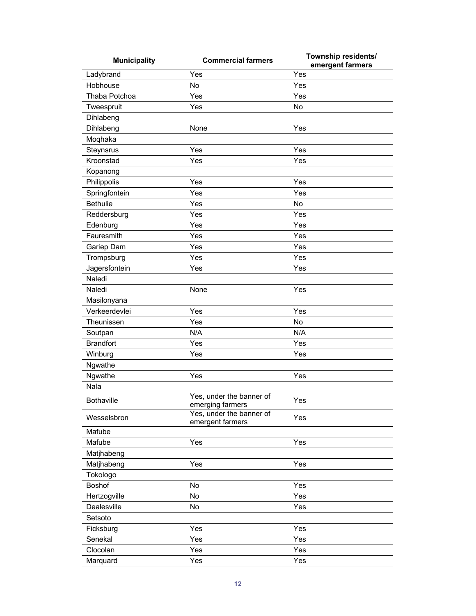| <b>Municipality</b> | <b>Commercial farmers</b>                    | Township residents/<br>emergent farmers |
|---------------------|----------------------------------------------|-----------------------------------------|
| Ladybrand           | Yes                                          | Yes                                     |
| Hobhouse            | No                                           | Yes                                     |
| Thaba Potchoa       | Yes                                          | Yes                                     |
| Tweespruit          | Yes                                          | No                                      |
| Dihlabeng           |                                              |                                         |
| Dihlabeng           | None                                         | Yes                                     |
| Moqhaka             |                                              |                                         |
| Steynsrus           | Yes                                          | Yes                                     |
| Kroonstad           | Yes                                          | Yes                                     |
| Kopanong            |                                              |                                         |
| Philippolis         | Yes                                          | Yes                                     |
| Springfontein       | Yes                                          | Yes                                     |
| <b>Bethulie</b>     | Yes                                          | No                                      |
| Reddersburg         | Yes                                          | Yes                                     |
| Edenburg            | Yes                                          | Yes                                     |
| Fauresmith          | Yes                                          | Yes                                     |
| Gariep Dam          | Yes                                          | Yes                                     |
| Trompsburg          | Yes                                          | Yes                                     |
| Jagersfontein       | Yes                                          | Yes                                     |
| Naledi              |                                              |                                         |
| Naledi              | None                                         | Yes                                     |
| Masilonyana         |                                              |                                         |
| Verkeerdevlei       | Yes                                          | Yes                                     |
| Theunissen          | Yes                                          | No                                      |
| Soutpan             | N/A                                          | N/A                                     |
| <b>Brandfort</b>    | Yes                                          | Yes                                     |
| Winburg             | Yes                                          | Yes                                     |
| Ngwathe             |                                              |                                         |
| Ngwathe             | Yes                                          | Yes                                     |
| Nala                |                                              |                                         |
| <b>Bothaville</b>   | Yes, under the banner of                     | Yes                                     |
|                     | emerging farmers                             |                                         |
| Wesselsbron         | Yes, under the banner of<br>emergent farmers | Yes                                     |
| Mafube              |                                              |                                         |
| Mafube              | Yes                                          | Yes                                     |
| Matjhabeng          |                                              |                                         |
| Matjhabeng          | Yes                                          | Yes                                     |
| Tokologo            |                                              |                                         |
| Boshof              | No                                           | Yes                                     |
| Hertzogville        | No                                           | Yes                                     |
| Dealesville         | No                                           | Yes                                     |
| Setsoto             |                                              |                                         |
| Ficksburg           | Yes                                          | Yes                                     |
| Senekal             | Yes                                          | Yes                                     |
| Clocolan            | Yes                                          | Yes                                     |
| Marquard            | Yes                                          | Yes                                     |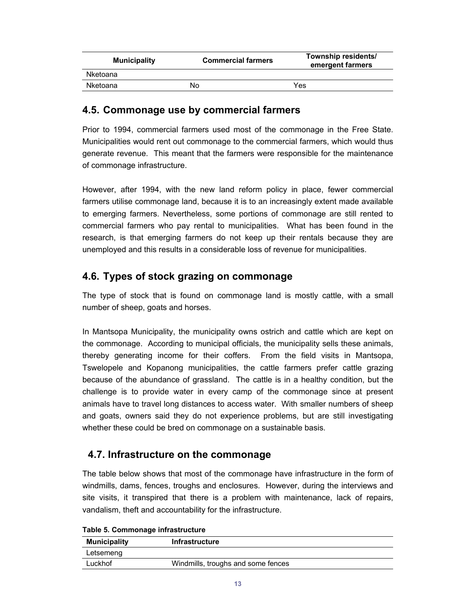| <b>Municipality</b> | <b>Commercial farmers</b> | Township residents/<br>emergent farmers |
|---------------------|---------------------------|-----------------------------------------|
| Nketoana            |                           |                                         |
| Nketoana            | No                        | Yes                                     |

#### **4.5. Commonage use by commercial farmers**

Prior to 1994, commercial farmers used most of the commonage in the Free State. Municipalities would rent out commonage to the commercial farmers, which would thus generate revenue. This meant that the farmers were responsible for the maintenance of commonage infrastructure.

However, after 1994, with the new land reform policy in place, fewer commercial farmers utilise commonage land, because it is to an increasingly extent made available to emerging farmers. Nevertheless, some portions of commonage are still rented to commercial farmers who pay rental to municipalities. What has been found in the research, is that emerging farmers do not keep up their rentals because they are unemployed and this results in a considerable loss of revenue for municipalities.

### **4.6. Types of stock grazing on commonage**

The type of stock that is found on commonage land is mostly cattle, with a small number of sheep, goats and horses.

In Mantsopa Municipality, the municipality owns ostrich and cattle which are kept on the commonage. According to municipal officials, the municipality sells these animals, thereby generating income for their coffers. From the field visits in Mantsopa, Tswelopele and Kopanong municipalities, the cattle farmers prefer cattle grazing because of the abundance of grassland. The cattle is in a healthy condition, but the challenge is to provide water in every camp of the commonage since at present animals have to travel long distances to access water. With smaller numbers of sheep and goats, owners said they do not experience problems, but are still investigating whether these could be bred on commonage on a sustainable basis.

### **4.7. Infrastructure on the commonage**

The table below shows that most of the commonage have infrastructure in the form of windmills, dams, fences, troughs and enclosures. However, during the interviews and site visits, it transpired that there is a problem with maintenance, lack of repairs, vandalism, theft and accountability for the infrastructure.

| <b>Municipality</b> | <b>Infrastructure</b>              |  |
|---------------------|------------------------------------|--|
| Letsemeng           |                                    |  |
| Luckhof             | Windmills, troughs and some fences |  |

**Table 5. Commonage infrastructure**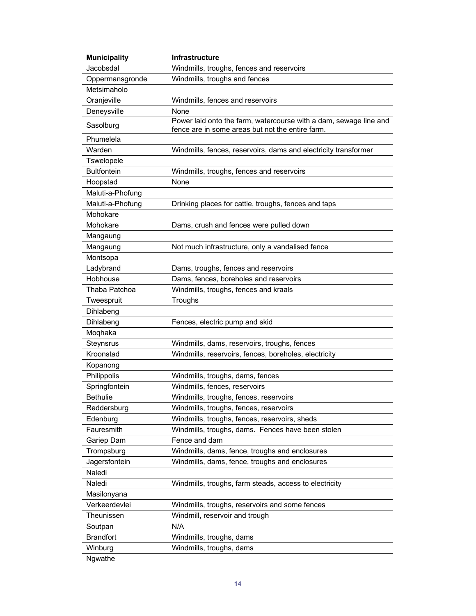| Jacobsdal<br>Windmills, troughs, fences and reservoirs<br>Oppermansgronde<br>Windmills, troughs and fences<br>Metsimaholo<br>Oranjeville<br>Windmills, fences and reservoirs<br>Deneysville<br>None<br>Power laid onto the farm, watercourse with a dam, sewage line and<br>Sasolburg<br>fence are in some areas but not the entire farm.<br>Phumelela<br>Warden<br>Windmills, fences, reservoirs, dams and electricity transformer<br>Tswelopele<br><b>Bultfontein</b><br>Windmills, troughs, fences and reservoirs<br>Hoopstad<br>None<br>Maluti-a-Phofung<br>Maluti-a-Phofung<br>Drinking places for cattle, troughs, fences and taps<br>Mohokare<br>Mohokare<br>Dams, crush and fences were pulled down<br>Mangaung<br>Not much infrastructure, only a vandalised fence<br>Mangaung<br>Montsopa<br>Dams, troughs, fences and reservoirs<br>Ladybrand<br>Hobhouse<br>Dams, fences, boreholes and reservoirs<br>Windmills, troughs, fences and kraals<br>Thaba Patchoa<br>Troughs<br>Tweespruit<br>Dihlabeng<br>Dihlabeng<br>Fences, electric pump and skid<br>Moqhaka<br>Steynsrus<br>Windmills, dams, reservoirs, troughs, fences<br>Kroonstad<br>Windmills, reservoirs, fences, boreholes, electricity<br>Kopanong<br>Philippolis<br>Windmills, troughs, dams, fences<br>Springfontein<br>Windmills, fences, reservoirs<br><b>Bethulie</b><br>Windmills, troughs, fences, reservoirs<br>Reddersburg<br>Windmills, troughs, fences, reservoirs<br>Windmills, troughs, fences, reservoirs, sheds<br>Edenburg<br>Fauresmith<br>Windmills, troughs, dams. Fences have been stolen<br>Gariep Dam<br>Fence and dam<br>Trompsburg<br>Windmills, dams, fence, troughs and enclosures<br>Jagersfontein<br>Windmills, dams, fence, troughs and enclosures<br>Naledi<br>Naledi<br>Windmills, troughs, farm steads, access to electricity<br>Masilonyana<br>Verkeerdevlei<br>Windmills, troughs, reservoirs and some fences<br>Theunissen<br>Windmill, reservoir and trough<br>N/A<br>Soutpan<br><b>Brandfort</b><br>Windmills, troughs, dams<br>Winburg<br>Windmills, troughs, dams | <b>Municipality</b> | Infrastructure |
|-------------------------------------------------------------------------------------------------------------------------------------------------------------------------------------------------------------------------------------------------------------------------------------------------------------------------------------------------------------------------------------------------------------------------------------------------------------------------------------------------------------------------------------------------------------------------------------------------------------------------------------------------------------------------------------------------------------------------------------------------------------------------------------------------------------------------------------------------------------------------------------------------------------------------------------------------------------------------------------------------------------------------------------------------------------------------------------------------------------------------------------------------------------------------------------------------------------------------------------------------------------------------------------------------------------------------------------------------------------------------------------------------------------------------------------------------------------------------------------------------------------------------------------------------------------------------------------------------------------------------------------------------------------------------------------------------------------------------------------------------------------------------------------------------------------------------------------------------------------------------------------------------------------------------------------------------------------------------------------------------------------------------------------------------------------------------------|---------------------|----------------|
|                                                                                                                                                                                                                                                                                                                                                                                                                                                                                                                                                                                                                                                                                                                                                                                                                                                                                                                                                                                                                                                                                                                                                                                                                                                                                                                                                                                                                                                                                                                                                                                                                                                                                                                                                                                                                                                                                                                                                                                                                                                                               |                     |                |
|                                                                                                                                                                                                                                                                                                                                                                                                                                                                                                                                                                                                                                                                                                                                                                                                                                                                                                                                                                                                                                                                                                                                                                                                                                                                                                                                                                                                                                                                                                                                                                                                                                                                                                                                                                                                                                                                                                                                                                                                                                                                               |                     |                |
|                                                                                                                                                                                                                                                                                                                                                                                                                                                                                                                                                                                                                                                                                                                                                                                                                                                                                                                                                                                                                                                                                                                                                                                                                                                                                                                                                                                                                                                                                                                                                                                                                                                                                                                                                                                                                                                                                                                                                                                                                                                                               |                     |                |
|                                                                                                                                                                                                                                                                                                                                                                                                                                                                                                                                                                                                                                                                                                                                                                                                                                                                                                                                                                                                                                                                                                                                                                                                                                                                                                                                                                                                                                                                                                                                                                                                                                                                                                                                                                                                                                                                                                                                                                                                                                                                               |                     |                |
|                                                                                                                                                                                                                                                                                                                                                                                                                                                                                                                                                                                                                                                                                                                                                                                                                                                                                                                                                                                                                                                                                                                                                                                                                                                                                                                                                                                                                                                                                                                                                                                                                                                                                                                                                                                                                                                                                                                                                                                                                                                                               |                     |                |
|                                                                                                                                                                                                                                                                                                                                                                                                                                                                                                                                                                                                                                                                                                                                                                                                                                                                                                                                                                                                                                                                                                                                                                                                                                                                                                                                                                                                                                                                                                                                                                                                                                                                                                                                                                                                                                                                                                                                                                                                                                                                               |                     |                |
|                                                                                                                                                                                                                                                                                                                                                                                                                                                                                                                                                                                                                                                                                                                                                                                                                                                                                                                                                                                                                                                                                                                                                                                                                                                                                                                                                                                                                                                                                                                                                                                                                                                                                                                                                                                                                                                                                                                                                                                                                                                                               |                     |                |
|                                                                                                                                                                                                                                                                                                                                                                                                                                                                                                                                                                                                                                                                                                                                                                                                                                                                                                                                                                                                                                                                                                                                                                                                                                                                                                                                                                                                                                                                                                                                                                                                                                                                                                                                                                                                                                                                                                                                                                                                                                                                               |                     |                |
|                                                                                                                                                                                                                                                                                                                                                                                                                                                                                                                                                                                                                                                                                                                                                                                                                                                                                                                                                                                                                                                                                                                                                                                                                                                                                                                                                                                                                                                                                                                                                                                                                                                                                                                                                                                                                                                                                                                                                                                                                                                                               |                     |                |
|                                                                                                                                                                                                                                                                                                                                                                                                                                                                                                                                                                                                                                                                                                                                                                                                                                                                                                                                                                                                                                                                                                                                                                                                                                                                                                                                                                                                                                                                                                                                                                                                                                                                                                                                                                                                                                                                                                                                                                                                                                                                               |                     |                |
|                                                                                                                                                                                                                                                                                                                                                                                                                                                                                                                                                                                                                                                                                                                                                                                                                                                                                                                                                                                                                                                                                                                                                                                                                                                                                                                                                                                                                                                                                                                                                                                                                                                                                                                                                                                                                                                                                                                                                                                                                                                                               |                     |                |
|                                                                                                                                                                                                                                                                                                                                                                                                                                                                                                                                                                                                                                                                                                                                                                                                                                                                                                                                                                                                                                                                                                                                                                                                                                                                                                                                                                                                                                                                                                                                                                                                                                                                                                                                                                                                                                                                                                                                                                                                                                                                               |                     |                |
|                                                                                                                                                                                                                                                                                                                                                                                                                                                                                                                                                                                                                                                                                                                                                                                                                                                                                                                                                                                                                                                                                                                                                                                                                                                                                                                                                                                                                                                                                                                                                                                                                                                                                                                                                                                                                                                                                                                                                                                                                                                                               |                     |                |
|                                                                                                                                                                                                                                                                                                                                                                                                                                                                                                                                                                                                                                                                                                                                                                                                                                                                                                                                                                                                                                                                                                                                                                                                                                                                                                                                                                                                                                                                                                                                                                                                                                                                                                                                                                                                                                                                                                                                                                                                                                                                               |                     |                |
|                                                                                                                                                                                                                                                                                                                                                                                                                                                                                                                                                                                                                                                                                                                                                                                                                                                                                                                                                                                                                                                                                                                                                                                                                                                                                                                                                                                                                                                                                                                                                                                                                                                                                                                                                                                                                                                                                                                                                                                                                                                                               |                     |                |
|                                                                                                                                                                                                                                                                                                                                                                                                                                                                                                                                                                                                                                                                                                                                                                                                                                                                                                                                                                                                                                                                                                                                                                                                                                                                                                                                                                                                                                                                                                                                                                                                                                                                                                                                                                                                                                                                                                                                                                                                                                                                               |                     |                |
|                                                                                                                                                                                                                                                                                                                                                                                                                                                                                                                                                                                                                                                                                                                                                                                                                                                                                                                                                                                                                                                                                                                                                                                                                                                                                                                                                                                                                                                                                                                                                                                                                                                                                                                                                                                                                                                                                                                                                                                                                                                                               |                     |                |
|                                                                                                                                                                                                                                                                                                                                                                                                                                                                                                                                                                                                                                                                                                                                                                                                                                                                                                                                                                                                                                                                                                                                                                                                                                                                                                                                                                                                                                                                                                                                                                                                                                                                                                                                                                                                                                                                                                                                                                                                                                                                               |                     |                |
|                                                                                                                                                                                                                                                                                                                                                                                                                                                                                                                                                                                                                                                                                                                                                                                                                                                                                                                                                                                                                                                                                                                                                                                                                                                                                                                                                                                                                                                                                                                                                                                                                                                                                                                                                                                                                                                                                                                                                                                                                                                                               |                     |                |
|                                                                                                                                                                                                                                                                                                                                                                                                                                                                                                                                                                                                                                                                                                                                                                                                                                                                                                                                                                                                                                                                                                                                                                                                                                                                                                                                                                                                                                                                                                                                                                                                                                                                                                                                                                                                                                                                                                                                                                                                                                                                               |                     |                |
|                                                                                                                                                                                                                                                                                                                                                                                                                                                                                                                                                                                                                                                                                                                                                                                                                                                                                                                                                                                                                                                                                                                                                                                                                                                                                                                                                                                                                                                                                                                                                                                                                                                                                                                                                                                                                                                                                                                                                                                                                                                                               |                     |                |
|                                                                                                                                                                                                                                                                                                                                                                                                                                                                                                                                                                                                                                                                                                                                                                                                                                                                                                                                                                                                                                                                                                                                                                                                                                                                                                                                                                                                                                                                                                                                                                                                                                                                                                                                                                                                                                                                                                                                                                                                                                                                               |                     |                |
|                                                                                                                                                                                                                                                                                                                                                                                                                                                                                                                                                                                                                                                                                                                                                                                                                                                                                                                                                                                                                                                                                                                                                                                                                                                                                                                                                                                                                                                                                                                                                                                                                                                                                                                                                                                                                                                                                                                                                                                                                                                                               |                     |                |
|                                                                                                                                                                                                                                                                                                                                                                                                                                                                                                                                                                                                                                                                                                                                                                                                                                                                                                                                                                                                                                                                                                                                                                                                                                                                                                                                                                                                                                                                                                                                                                                                                                                                                                                                                                                                                                                                                                                                                                                                                                                                               |                     |                |
|                                                                                                                                                                                                                                                                                                                                                                                                                                                                                                                                                                                                                                                                                                                                                                                                                                                                                                                                                                                                                                                                                                                                                                                                                                                                                                                                                                                                                                                                                                                                                                                                                                                                                                                                                                                                                                                                                                                                                                                                                                                                               |                     |                |
|                                                                                                                                                                                                                                                                                                                                                                                                                                                                                                                                                                                                                                                                                                                                                                                                                                                                                                                                                                                                                                                                                                                                                                                                                                                                                                                                                                                                                                                                                                                                                                                                                                                                                                                                                                                                                                                                                                                                                                                                                                                                               |                     |                |
|                                                                                                                                                                                                                                                                                                                                                                                                                                                                                                                                                                                                                                                                                                                                                                                                                                                                                                                                                                                                                                                                                                                                                                                                                                                                                                                                                                                                                                                                                                                                                                                                                                                                                                                                                                                                                                                                                                                                                                                                                                                                               |                     |                |
|                                                                                                                                                                                                                                                                                                                                                                                                                                                                                                                                                                                                                                                                                                                                                                                                                                                                                                                                                                                                                                                                                                                                                                                                                                                                                                                                                                                                                                                                                                                                                                                                                                                                                                                                                                                                                                                                                                                                                                                                                                                                               |                     |                |
|                                                                                                                                                                                                                                                                                                                                                                                                                                                                                                                                                                                                                                                                                                                                                                                                                                                                                                                                                                                                                                                                                                                                                                                                                                                                                                                                                                                                                                                                                                                                                                                                                                                                                                                                                                                                                                                                                                                                                                                                                                                                               |                     |                |
|                                                                                                                                                                                                                                                                                                                                                                                                                                                                                                                                                                                                                                                                                                                                                                                                                                                                                                                                                                                                                                                                                                                                                                                                                                                                                                                                                                                                                                                                                                                                                                                                                                                                                                                                                                                                                                                                                                                                                                                                                                                                               |                     |                |
|                                                                                                                                                                                                                                                                                                                                                                                                                                                                                                                                                                                                                                                                                                                                                                                                                                                                                                                                                                                                                                                                                                                                                                                                                                                                                                                                                                                                                                                                                                                                                                                                                                                                                                                                                                                                                                                                                                                                                                                                                                                                               |                     |                |
|                                                                                                                                                                                                                                                                                                                                                                                                                                                                                                                                                                                                                                                                                                                                                                                                                                                                                                                                                                                                                                                                                                                                                                                                                                                                                                                                                                                                                                                                                                                                                                                                                                                                                                                                                                                                                                                                                                                                                                                                                                                                               |                     |                |
|                                                                                                                                                                                                                                                                                                                                                                                                                                                                                                                                                                                                                                                                                                                                                                                                                                                                                                                                                                                                                                                                                                                                                                                                                                                                                                                                                                                                                                                                                                                                                                                                                                                                                                                                                                                                                                                                                                                                                                                                                                                                               |                     |                |
|                                                                                                                                                                                                                                                                                                                                                                                                                                                                                                                                                                                                                                                                                                                                                                                                                                                                                                                                                                                                                                                                                                                                                                                                                                                                                                                                                                                                                                                                                                                                                                                                                                                                                                                                                                                                                                                                                                                                                                                                                                                                               |                     |                |
|                                                                                                                                                                                                                                                                                                                                                                                                                                                                                                                                                                                                                                                                                                                                                                                                                                                                                                                                                                                                                                                                                                                                                                                                                                                                                                                                                                                                                                                                                                                                                                                                                                                                                                                                                                                                                                                                                                                                                                                                                                                                               |                     |                |
|                                                                                                                                                                                                                                                                                                                                                                                                                                                                                                                                                                                                                                                                                                                                                                                                                                                                                                                                                                                                                                                                                                                                                                                                                                                                                                                                                                                                                                                                                                                                                                                                                                                                                                                                                                                                                                                                                                                                                                                                                                                                               |                     |                |
|                                                                                                                                                                                                                                                                                                                                                                                                                                                                                                                                                                                                                                                                                                                                                                                                                                                                                                                                                                                                                                                                                                                                                                                                                                                                                                                                                                                                                                                                                                                                                                                                                                                                                                                                                                                                                                                                                                                                                                                                                                                                               |                     |                |
|                                                                                                                                                                                                                                                                                                                                                                                                                                                                                                                                                                                                                                                                                                                                                                                                                                                                                                                                                                                                                                                                                                                                                                                                                                                                                                                                                                                                                                                                                                                                                                                                                                                                                                                                                                                                                                                                                                                                                                                                                                                                               |                     |                |
|                                                                                                                                                                                                                                                                                                                                                                                                                                                                                                                                                                                                                                                                                                                                                                                                                                                                                                                                                                                                                                                                                                                                                                                                                                                                                                                                                                                                                                                                                                                                                                                                                                                                                                                                                                                                                                                                                                                                                                                                                                                                               |                     |                |
|                                                                                                                                                                                                                                                                                                                                                                                                                                                                                                                                                                                                                                                                                                                                                                                                                                                                                                                                                                                                                                                                                                                                                                                                                                                                                                                                                                                                                                                                                                                                                                                                                                                                                                                                                                                                                                                                                                                                                                                                                                                                               |                     |                |
|                                                                                                                                                                                                                                                                                                                                                                                                                                                                                                                                                                                                                                                                                                                                                                                                                                                                                                                                                                                                                                                                                                                                                                                                                                                                                                                                                                                                                                                                                                                                                                                                                                                                                                                                                                                                                                                                                                                                                                                                                                                                               |                     |                |
|                                                                                                                                                                                                                                                                                                                                                                                                                                                                                                                                                                                                                                                                                                                                                                                                                                                                                                                                                                                                                                                                                                                                                                                                                                                                                                                                                                                                                                                                                                                                                                                                                                                                                                                                                                                                                                                                                                                                                                                                                                                                               |                     |                |
|                                                                                                                                                                                                                                                                                                                                                                                                                                                                                                                                                                                                                                                                                                                                                                                                                                                                                                                                                                                                                                                                                                                                                                                                                                                                                                                                                                                                                                                                                                                                                                                                                                                                                                                                                                                                                                                                                                                                                                                                                                                                               |                     |                |
|                                                                                                                                                                                                                                                                                                                                                                                                                                                                                                                                                                                                                                                                                                                                                                                                                                                                                                                                                                                                                                                                                                                                                                                                                                                                                                                                                                                                                                                                                                                                                                                                                                                                                                                                                                                                                                                                                                                                                                                                                                                                               |                     |                |
|                                                                                                                                                                                                                                                                                                                                                                                                                                                                                                                                                                                                                                                                                                                                                                                                                                                                                                                                                                                                                                                                                                                                                                                                                                                                                                                                                                                                                                                                                                                                                                                                                                                                                                                                                                                                                                                                                                                                                                                                                                                                               |                     |                |
|                                                                                                                                                                                                                                                                                                                                                                                                                                                                                                                                                                                                                                                                                                                                                                                                                                                                                                                                                                                                                                                                                                                                                                                                                                                                                                                                                                                                                                                                                                                                                                                                                                                                                                                                                                                                                                                                                                                                                                                                                                                                               | Ngwathe             |                |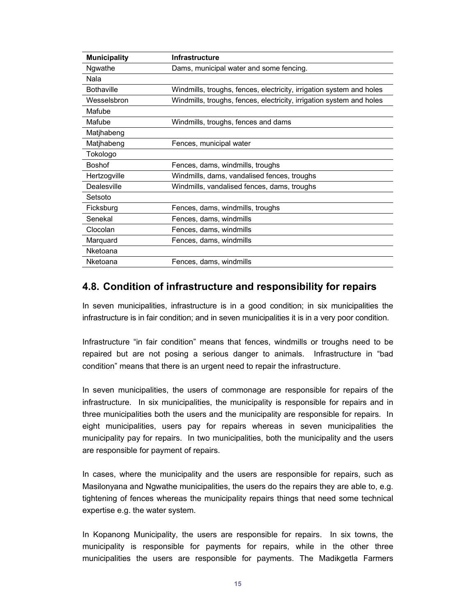| <b>Municipality</b> | <b>Infrastructure</b>                                                |
|---------------------|----------------------------------------------------------------------|
| Ngwathe             | Dams, municipal water and some fencing.                              |
| Nala                |                                                                      |
| <b>Bothaville</b>   | Windmills, troughs, fences, electricity, irrigation system and holes |
| Wesselsbron         | Windmills, troughs, fences, electricity, irrigation system and holes |
| Mafube              |                                                                      |
| Mafube              | Windmills, troughs, fences and dams                                  |
| Matjhabeng          |                                                                      |
| Matjhabeng          | Fences, municipal water                                              |
| Tokologo            |                                                                      |
| <b>Boshof</b>       | Fences, dams, windmills, troughs                                     |
| Hertzogville        | Windmills, dams, vandalised fences, troughs                          |
| Dealesville         | Windmills, vandalised fences, dams, troughs                          |
| Setsoto             |                                                                      |
| Ficksburg           | Fences, dams, windmills, troughs                                     |
| Senekal             | Fences, dams, windmills                                              |
| Clocolan            | Fences, dams, windmills                                              |
| Marquard            | Fences, dams, windmills                                              |
| Nketoana            |                                                                      |
| Nketoana            | Fences, dams, windmills                                              |

#### **4.8. Condition of infrastructure and responsibility for repairs**

In seven municipalities, infrastructure is in a good condition; in six municipalities the infrastructure is in fair condition; and in seven municipalities it is in a very poor condition.

Infrastructure "in fair condition" means that fences, windmills or troughs need to be repaired but are not posing a serious danger to animals. Infrastructure in "bad condition" means that there is an urgent need to repair the infrastructure.

In seven municipalities, the users of commonage are responsible for repairs of the infrastructure. In six municipalities, the municipality is responsible for repairs and in three municipalities both the users and the municipality are responsible for repairs. In eight municipalities, users pay for repairs whereas in seven municipalities the municipality pay for repairs. In two municipalities, both the municipality and the users are responsible for payment of repairs.

In cases, where the municipality and the users are responsible for repairs, such as Masilonyana and Ngwathe municipalities, the users do the repairs they are able to, e.g. tightening of fences whereas the municipality repairs things that need some technical expertise e.g. the water system.

In Kopanong Municipality, the users are responsible for repairs. In six towns, the municipality is responsible for payments for repairs, while in the other three municipalities the users are responsible for payments. The Madikgetla Farmers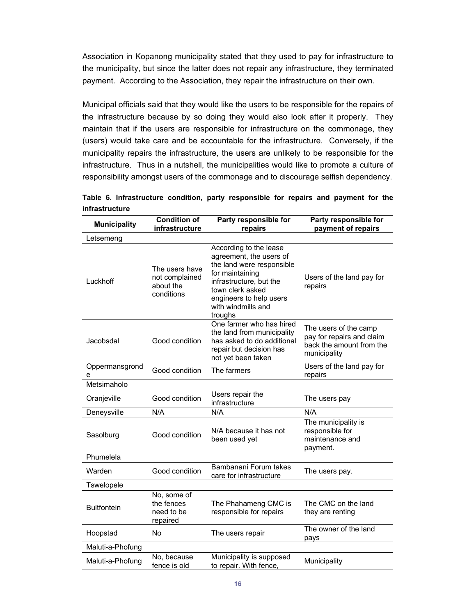Association in Kopanong municipality stated that they used to pay for infrastructure to the municipality, but since the latter does not repair any infrastructure, they terminated payment. According to the Association, they repair the infrastructure on their own.

Municipal officials said that they would like the users to be responsible for the repairs of the infrastructure because by so doing they would also look after it properly. They maintain that if the users are responsible for infrastructure on the commonage, they (users) would take care and be accountable for the infrastructure. Conversely, if the municipality repairs the infrastructure, the users are unlikely to be responsible for the infrastructure. Thus in a nutshell, the municipalities would like to promote a culture of responsibility amongst users of the commonage and to discourage selfish dependency.

| <b>Municipality</b> | <b>Condition of</b><br>infrastructure                       | Party responsible for<br>repairs                                                                                                                                                                             | Party responsible for<br>payment of repairs                                                    |
|---------------------|-------------------------------------------------------------|--------------------------------------------------------------------------------------------------------------------------------------------------------------------------------------------------------------|------------------------------------------------------------------------------------------------|
| Letsemeng           |                                                             |                                                                                                                                                                                                              |                                                                                                |
| Luckhoff            | The users have<br>not complained<br>about the<br>conditions | According to the lease<br>agreement, the users of<br>the land were responsible<br>for maintaining<br>infrastructure, but the<br>town clerk asked<br>engineers to help users<br>with windmills and<br>troughs | Users of the land pay for<br>repairs                                                           |
| Jacobsdal           | Good condition                                              | One farmer who has hired<br>the land from municipality<br>has asked to do additional<br>repair but decision has<br>not yet been taken                                                                        | The users of the camp<br>pay for repairs and claim<br>back the amount from the<br>municipality |
| Oppermansgrond<br>е | Good condition                                              | The farmers                                                                                                                                                                                                  | Users of the land pay for<br>repairs                                                           |
| Metsimaholo         |                                                             |                                                                                                                                                                                                              |                                                                                                |
| Oranjeville         | Good condition                                              | Users repair the<br>infrastructure                                                                                                                                                                           | The users pay                                                                                  |
| Deneysville         | N/A                                                         | N/A                                                                                                                                                                                                          | N/A                                                                                            |
| Sasolburg           | Good condition                                              | N/A because it has not<br>been used yet                                                                                                                                                                      | The municipality is<br>responsible for<br>maintenance and<br>payment.                          |
| Phumelela           |                                                             |                                                                                                                                                                                                              |                                                                                                |
| Warden              | Good condition                                              | Bambanani Forum takes<br>care for infrastructure                                                                                                                                                             | The users pay.                                                                                 |
| Tswelopele          |                                                             |                                                                                                                                                                                                              |                                                                                                |
| <b>Bultfontein</b>  | No, some of<br>the fences<br>need to be<br>repaired         | The Phahameng CMC is<br>responsible for repairs                                                                                                                                                              | The CMC on the land<br>they are renting                                                        |
| Hoopstad            | No                                                          | The users repair                                                                                                                                                                                             | The owner of the land<br>pays                                                                  |
| Maluti-a-Phofung    |                                                             |                                                                                                                                                                                                              |                                                                                                |
| Maluti-a-Phofung    | No, because<br>fence is old                                 | Municipality is supposed<br>to repair. With fence,                                                                                                                                                           | Municipality                                                                                   |

**Table 6. Infrastructure condition, party responsible for repairs and payment for the infrastructure**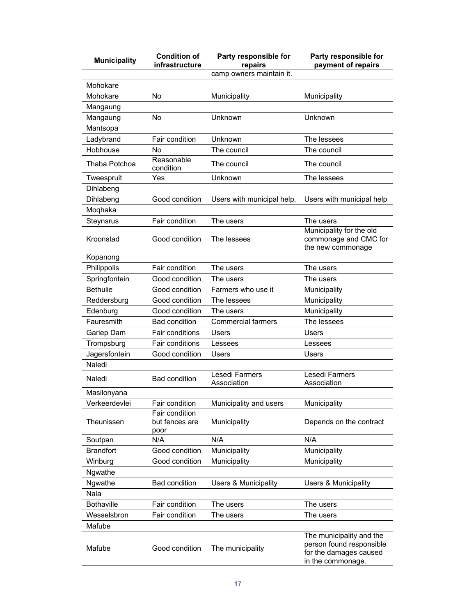| <b>Municipality</b> | <b>Condition of</b><br>infrastructure    | Party responsible for<br>repairs | Party responsible for<br>payment of repairs                                                         |
|---------------------|------------------------------------------|----------------------------------|-----------------------------------------------------------------------------------------------------|
|                     |                                          | camp owners maintain it.         |                                                                                                     |
| Mohokare            |                                          |                                  |                                                                                                     |
| Mohokare            | No                                       | Municipality                     | Municipality                                                                                        |
| Mangaung            |                                          |                                  |                                                                                                     |
| Mangaung            | No                                       | Unknown                          | Unknown                                                                                             |
| Mantsopa            |                                          |                                  |                                                                                                     |
| Ladybrand           | Fair condition                           | Unknown                          | The lessees                                                                                         |
| Hobhouse            | No                                       | The council                      | The council                                                                                         |
| Thaba Potchoa       | Reasonable<br>condition                  | The council                      | The council                                                                                         |
| Tweespruit          | Yes                                      | Unknown                          | The lessees                                                                                         |
| Dihlabeng           |                                          |                                  |                                                                                                     |
| Dihlabeng           | Good condition                           | Users with municipal help.       | Users with municipal help                                                                           |
| Moqhaka             |                                          |                                  |                                                                                                     |
| Steynsrus           | Fair condition                           | The users                        | The users                                                                                           |
| Kroonstad           | Good condition                           | The lessees                      | Municipality for the old<br>commonage and CMC for<br>the new commonage                              |
| Kopanong            |                                          |                                  |                                                                                                     |
| Philippolis         | Fair condition                           | The users                        | The users                                                                                           |
| Springfontein       | Good condition                           | The users                        | The users                                                                                           |
| <b>Bethulie</b>     | Good condition                           | Farmers who use it               | Municipality                                                                                        |
| Reddersburg         | Good condition                           | The lessees                      | Municipality                                                                                        |
| Edenburg            | Good condition                           | The users                        | Municipality                                                                                        |
| Fauresmith          | <b>Bad condition</b>                     | <b>Commercial farmers</b>        | The lessees                                                                                         |
| Gariep Dam          | Fair conditions                          | Users                            | Users                                                                                               |
| Trompsburg          | <b>Fair conditions</b>                   | Lessees                          | Lessees                                                                                             |
| Jagersfontein       | Good condition                           | Users                            | Users                                                                                               |
| Naledi              |                                          |                                  |                                                                                                     |
| Naledi              | <b>Bad condition</b>                     | Lesedi Farmers<br>Association    | Lesedi Farmers<br>Association                                                                       |
| Masilonyana         |                                          |                                  |                                                                                                     |
| Verkeerdevlei       | Fair condition                           | Municipality and users           | Municipality                                                                                        |
| Theunissen          | Fair condition<br>but fences are<br>poor | Municipality                     | Depends on the contract                                                                             |
| Soutpan             | N/A                                      | N/A                              | N/A                                                                                                 |
| <b>Brandfort</b>    | Good condition                           | Municipality                     | Municipality                                                                                        |
| Winburg             | Good condition                           | Municipality                     | Municipality                                                                                        |
| Ngwathe             |                                          |                                  |                                                                                                     |
| Ngwathe             | <b>Bad condition</b>                     | <b>Users &amp; Municipality</b>  | Users & Municipality                                                                                |
| Nala                |                                          |                                  |                                                                                                     |
| <b>Bothaville</b>   | Fair condition                           | The users                        | The users                                                                                           |
| Wesselsbron         | Fair condition                           | The users                        | The users                                                                                           |
| Mafube              |                                          |                                  |                                                                                                     |
| Mafube              | Good condition                           | The municipality                 | The municipality and the<br>person found responsible<br>for the damages caused<br>in the commonage. |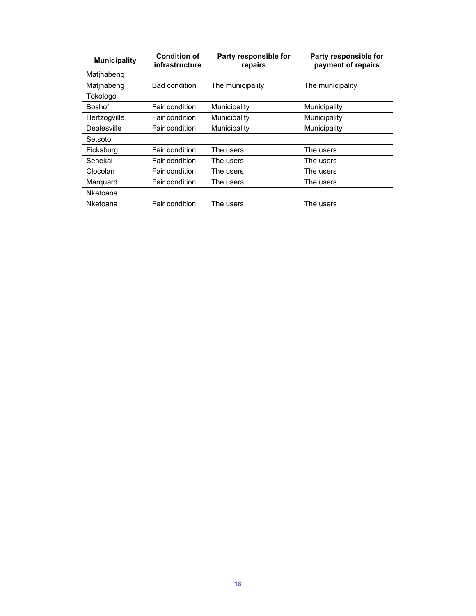| <b>Municipality</b> | <b>Condition of</b><br>infrastructure | Party responsible for<br>repairs | Party responsible for<br>payment of repairs |
|---------------------|---------------------------------------|----------------------------------|---------------------------------------------|
| Matjhabeng          |                                       |                                  |                                             |
| Matjhabeng          | <b>Bad condition</b>                  | The municipality                 | The municipality                            |
| Tokologo            |                                       |                                  |                                             |
| <b>Boshof</b>       | Fair condition                        | Municipality                     | Municipality                                |
| Hertzogville        | Fair condition                        | Municipality                     | Municipality                                |
| Dealesville         | Fair condition                        | Municipality                     | Municipality                                |
| Setsoto             |                                       |                                  |                                             |
| Ficksburg           | Fair condition                        | The users                        | The users                                   |
| Senekal             | Fair condition                        | The users                        | The users                                   |
| Clocolan            | Fair condition                        | The users                        | The users                                   |
| Marquard            | Fair condition                        | The users                        | The users                                   |
| Nketoana            |                                       |                                  |                                             |
| Nketoana            | Fair condition                        | The users                        | The users                                   |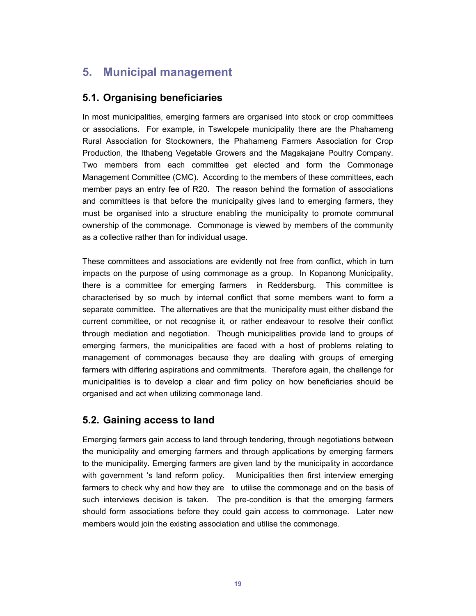## **5. Municipal management**

#### **5.1. Organising beneficiaries**

In most municipalities, emerging farmers are organised into stock or crop committees or associations. For example, in Tswelopele municipality there are the Phahameng Rural Association for Stockowners, the Phahameng Farmers Association for Crop Production, the Ithabeng Vegetable Growers and the Magakajane Poultry Company. Two members from each committee get elected and form the Commonage Management Committee (CMC). According to the members of these committees, each member pays an entry fee of R20. The reason behind the formation of associations and committees is that before the municipality gives land to emerging farmers, they must be organised into a structure enabling the municipality to promote communal ownership of the commonage. Commonage is viewed by members of the community as a collective rather than for individual usage.

These committees and associations are evidently not free from conflict, which in turn impacts on the purpose of using commonage as a group. In Kopanong Municipality, there is a committee for emerging farmers in Reddersburg. This committee is characterised by so much by internal conflict that some members want to form a separate committee. The alternatives are that the municipality must either disband the current committee, or not recognise it, or rather endeavour to resolve their conflict through mediation and negotiation. Though municipalities provide land to groups of emerging farmers, the municipalities are faced with a host of problems relating to management of commonages because they are dealing with groups of emerging farmers with differing aspirations and commitments. Therefore again, the challenge for municipalities is to develop a clear and firm policy on how beneficiaries should be organised and act when utilizing commonage land.

### **5.2. Gaining access to land**

Emerging farmers gain access to land through tendering, through negotiations between the municipality and emerging farmers and through applications by emerging farmers to the municipality. Emerging farmers are given land by the municipality in accordance with government 's land reform policy. Municipalities then first interview emerging farmers to check why and how they are to utilise the commonage and on the basis of such interviews decision is taken. The pre-condition is that the emerging farmers should form associations before they could gain access to commonage. Later new members would join the existing association and utilise the commonage.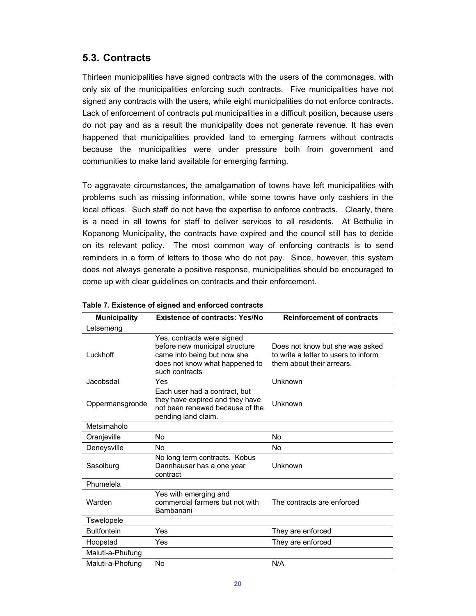#### **5.3. Contracts**

Thirteen municipalities have signed contracts with the users of the commonages, with only six of the municipalities enforcing such contracts. Five municipalities have not signed any contracts with the users, while eight municipalities do not enforce contracts. Lack of enforcement of contracts put municipalities in a difficult position, because users do not pay and as a result the municipality does not generate revenue. It has even happened that municipalities provided land to emerging farmers without contracts because the municipalities were under pressure both from government and communities to make land available for emerging farming.

To aggravate circumstances, the amalgamation of towns have left municipalities with problems such as missing information, while some towns have only cashiers in the local offices. Such staff do not have the expertise to enforce contracts. Clearly, there is a need in all towns for staff to deliver services to all residents. At Bethulie in Kopanong Municipality, the contracts have expired and the council still has to decide on its relevant policy. The most common way of enforcing contracts is to send reminders in a form of letters to those who do not pay. Since, however, this system does not always generate a positive response, municipalities should be encouraged to come up with clear guidelines on contracts and their enforcement.

| <b>Municipality</b> | <b>Existence of contracts: Yes/No</b>                                                                                                           | <b>Reinforcement of contracts</b>                                                                    |
|---------------------|-------------------------------------------------------------------------------------------------------------------------------------------------|------------------------------------------------------------------------------------------------------|
| Letsemeng           |                                                                                                                                                 |                                                                                                      |
| Luckhoff            | Yes, contracts were signed<br>before new municipal structure<br>came into being but now she<br>does not know what happened to<br>such contracts | Does not know but she was asked<br>to write a letter to users to inform<br>them about their arrears. |
| Jacobsdal           | Yes                                                                                                                                             | Unknown                                                                                              |
| Oppermansgronde     | Each user had a contract, but<br>they have expired and they have<br>not been renewed because of the<br>pending land claim.                      | Unknown                                                                                              |
| Metsimaholo         |                                                                                                                                                 |                                                                                                      |
| Oranjeville         | No                                                                                                                                              | <b>No</b>                                                                                            |
| Deneysville         | No                                                                                                                                              | <b>No</b>                                                                                            |
| Sasolburg           | No long term contracts. Kobus<br>Dannhauser has a one year<br>contract                                                                          | Unknown                                                                                              |
| Phumelela           |                                                                                                                                                 |                                                                                                      |
| Warden              | Yes with emerging and<br>commercial farmers but not with<br>Bambanani                                                                           | The contracts are enforced                                                                           |
| Tswelopele          |                                                                                                                                                 |                                                                                                      |
| <b>Bultfontein</b>  | Yes                                                                                                                                             | They are enforced                                                                                    |
| Hoopstad            | Yes                                                                                                                                             | They are enforced                                                                                    |
| Maluti-a-Phufung    |                                                                                                                                                 |                                                                                                      |
| Maluti-a-Phofung    | No                                                                                                                                              | N/A                                                                                                  |

|  | Table 7. Existence of signed and enforced contracts |  |  |  |  |  |
|--|-----------------------------------------------------|--|--|--|--|--|
|--|-----------------------------------------------------|--|--|--|--|--|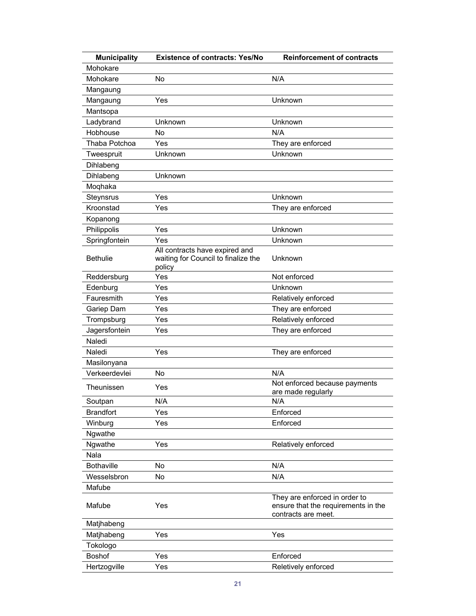| <b>Municipality</b>         | <b>Existence of contracts: Yes/No</b>                                 | <b>Reinforcement of contracts</b>                                                           |
|-----------------------------|-----------------------------------------------------------------------|---------------------------------------------------------------------------------------------|
| Mohokare                    |                                                                       |                                                                                             |
| Mohokare                    | No                                                                    | N/A                                                                                         |
| Mangaung                    |                                                                       |                                                                                             |
| Mangaung                    | Yes                                                                   | Unknown                                                                                     |
| Mantsopa                    |                                                                       |                                                                                             |
| Ladybrand                   | Unknown                                                               | Unknown                                                                                     |
| Hobhouse                    | <b>No</b>                                                             | N/A                                                                                         |
| Thaba Potchoa               | Yes                                                                   | They are enforced                                                                           |
| Tweespruit                  | Unknown                                                               | Unknown                                                                                     |
| Dihlabeng                   |                                                                       |                                                                                             |
| Dihlabeng                   | Unknown                                                               |                                                                                             |
| Moqhaka                     |                                                                       |                                                                                             |
| Steynsrus                   | Yes                                                                   | Unknown                                                                                     |
| Kroonstad                   | Yes                                                                   | They are enforced                                                                           |
| Kopanong                    |                                                                       |                                                                                             |
| Philippolis                 | Yes                                                                   | Unknown                                                                                     |
| Springfontein               | Yes                                                                   | Unknown                                                                                     |
| <b>Bethulie</b>             | All contracts have expired and<br>waiting for Council to finalize the | Unknown                                                                                     |
| Reddersburg                 | policy<br>Yes                                                         | Not enforced                                                                                |
| Edenburg                    | Yes                                                                   | Unknown                                                                                     |
| Fauresmith                  | Yes                                                                   | Relatively enforced                                                                         |
| Gariep Dam                  | Yes                                                                   | They are enforced                                                                           |
|                             | Yes                                                                   |                                                                                             |
| Trompsburg<br>Jagersfontein | Yes                                                                   | Relatively enforced<br>They are enforced                                                    |
|                             |                                                                       |                                                                                             |
| Naledi                      |                                                                       |                                                                                             |
| Naledi                      | Yes                                                                   | They are enforced                                                                           |
| Masilonyana                 |                                                                       | N/A                                                                                         |
| Verkeerdevlei               | No                                                                    | Not enforced because payments                                                               |
| Theunissen                  | Yes                                                                   | are made regularly                                                                          |
| Soutpan                     | N/A                                                                   | N/A                                                                                         |
| <b>Brandfort</b>            | Yes                                                                   | Enforced                                                                                    |
| Winburg                     | Yes                                                                   | Enforced                                                                                    |
| Ngwathe                     |                                                                       |                                                                                             |
| Ngwathe                     | Yes                                                                   | Relatively enforced                                                                         |
| Nala                        |                                                                       |                                                                                             |
| <b>Bothaville</b>           | No                                                                    | N/A                                                                                         |
| Wesselsbron                 | No                                                                    | N/A                                                                                         |
| Mafube                      |                                                                       |                                                                                             |
| Mafube                      | Yes                                                                   | They are enforced in order to<br>ensure that the requirements in the<br>contracts are meet. |
| Matjhabeng                  |                                                                       |                                                                                             |
| Matjhabeng                  | Yes                                                                   | Yes                                                                                         |
| Tokologo                    |                                                                       |                                                                                             |
| <b>Boshof</b>               | Yes                                                                   | Enforced                                                                                    |
| Hertzogville                | Yes                                                                   | Reletively enforced                                                                         |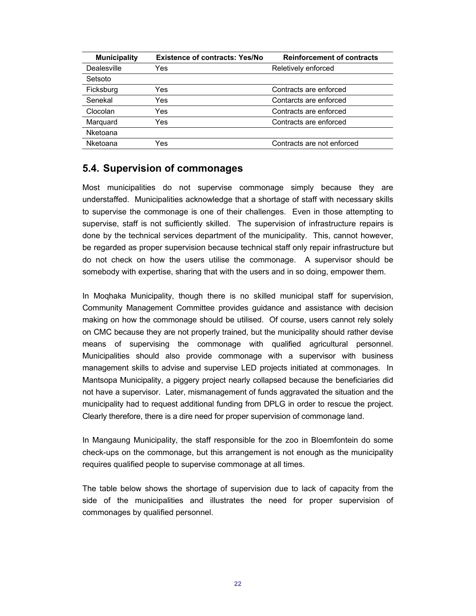| <b>Existence of contracts: Yes/No</b> | <b>Reinforcement of contracts</b> |
|---------------------------------------|-----------------------------------|
| Yes                                   | Reletively enforced               |
|                                       |                                   |
| Yes                                   | Contracts are enforced            |
| Yes                                   | Contarcts are enforced            |
| Yes                                   | Contracts are enforced            |
| Yes                                   | Contracts are enforced            |
|                                       |                                   |
| Yes                                   | Contracts are not enforced        |
|                                       |                                   |

#### **5.4. Supervision of commonages**

Most municipalities do not supervise commonage simply because they are understaffed. Municipalities acknowledge that a shortage of staff with necessary skills to supervise the commonage is one of their challenges. Even in those attempting to supervise, staff is not sufficiently skilled. The supervision of infrastructure repairs is done by the technical services department of the municipality. This, cannot however, be regarded as proper supervision because technical staff only repair infrastructure but do not check on how the users utilise the commonage. A supervisor should be somebody with expertise, sharing that with the users and in so doing, empower them.

In Moqhaka Municipality, though there is no skilled municipal staff for supervision, Community Management Committee provides guidance and assistance with decision making on how the commonage should be utilised. Of course, users cannot rely solely on CMC because they are not properly trained, but the municipality should rather devise means of supervising the commonage with qualified agricultural personnel. Municipalities should also provide commonage with a supervisor with business management skills to advise and supervise LED projects initiated at commonages. In Mantsopa Municipality, a piggery project nearly collapsed because the beneficiaries did not have a supervisor. Later, mismanagement of funds aggravated the situation and the municipality had to request additional funding from DPLG in order to rescue the project. Clearly therefore, there is a dire need for proper supervision of commonage land.

In Mangaung Municipality, the staff responsible for the zoo in Bloemfontein do some check-ups on the commonage, but this arrangement is not enough as the municipality requires qualified people to supervise commonage at all times.

The table below shows the shortage of supervision due to lack of capacity from the side of the municipalities and illustrates the need for proper supervision of commonages by qualified personnel.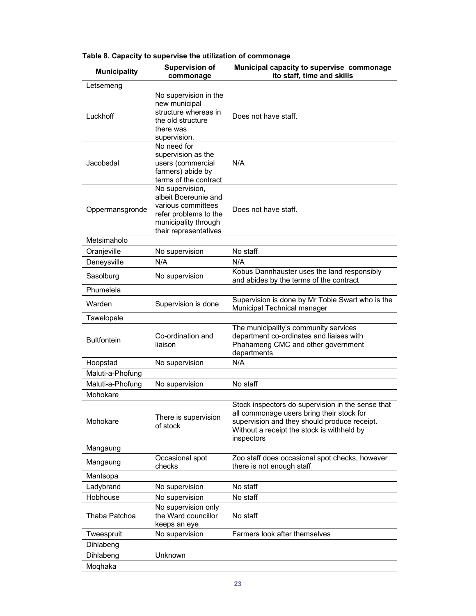| <b>Municipality</b> | <b>Supervision of</b><br>commonage                                                                                                      | Municipal capacity to supervise commonage<br>ito staff, time and skills                                                                                                                                    |
|---------------------|-----------------------------------------------------------------------------------------------------------------------------------------|------------------------------------------------------------------------------------------------------------------------------------------------------------------------------------------------------------|
| Letsemeng           |                                                                                                                                         |                                                                                                                                                                                                            |
| Luckhoff            | No supervision in the<br>new municipal<br>structure whereas in<br>the old structure<br>there was<br>supervision.                        | Does not have staff.                                                                                                                                                                                       |
| Jacobsdal           | No need for<br>supervision as the<br>users (commercial<br>farmers) abide by<br>terms of the contract                                    | N/A                                                                                                                                                                                                        |
| Oppermansgronde     | No supervision,<br>albeit Boereunie and<br>various committees<br>refer problems to the<br>municipality through<br>their representatives | Does not have staff.                                                                                                                                                                                       |
| Metsimaholo         |                                                                                                                                         |                                                                                                                                                                                                            |
| Oranjeville         | No supervision                                                                                                                          | No staff                                                                                                                                                                                                   |
| Deneysville         | N/A                                                                                                                                     | N/A                                                                                                                                                                                                        |
| Sasolburg           | No supervision                                                                                                                          | Kobus Dannhauster uses the land responsibly<br>and abides by the terms of the contract                                                                                                                     |
| Phumelela           |                                                                                                                                         |                                                                                                                                                                                                            |
| Warden              | Supervision is done                                                                                                                     | Supervision is done by Mr Tobie Swart who is the<br>Municipal Technical manager                                                                                                                            |
| Tswelopele          |                                                                                                                                         |                                                                                                                                                                                                            |
| <b>Bultfontein</b>  | Co-ordination and<br>liaison                                                                                                            | The municipality's community services<br>department co-ordinates and liaises with<br>Phahameng CMC and other government<br>departments                                                                     |
| Hoopstad            | No supervision                                                                                                                          | N/A                                                                                                                                                                                                        |
| Maluti-a-Phofung    |                                                                                                                                         |                                                                                                                                                                                                            |
| Maluti-a-Phofung    | No supervision                                                                                                                          | No staff                                                                                                                                                                                                   |
| Mohokare            |                                                                                                                                         |                                                                                                                                                                                                            |
| Mohokare            | There is supervision<br>of stock                                                                                                        | Stock inspectors do supervision in the sense that<br>all commonage users bring their stock for<br>supervision and they should produce receipt.<br>Without a receipt the stock is withheld by<br>inspectors |
| Mangaung            |                                                                                                                                         |                                                                                                                                                                                                            |
| Mangaung            | Occasional spot<br>checks                                                                                                               | Zoo staff does occasional spot checks, however<br>there is not enough staff                                                                                                                                |
| Mantsopa            |                                                                                                                                         |                                                                                                                                                                                                            |
| Ladybrand           | No supervision                                                                                                                          | No staff                                                                                                                                                                                                   |
| Hobhouse            | No supervision                                                                                                                          | No staff                                                                                                                                                                                                   |
| Thaba Patchoa       | No supervision only<br>the Ward councillor<br>keeps an eye                                                                              | No staff                                                                                                                                                                                                   |
| Tweespruit          | No supervision                                                                                                                          | Farmers look after themselves                                                                                                                                                                              |
| Dihlabeng           |                                                                                                                                         |                                                                                                                                                                                                            |
| Dihlabeng           | Unknown                                                                                                                                 |                                                                                                                                                                                                            |
| Moqhaka             |                                                                                                                                         |                                                                                                                                                                                                            |

#### **Table 8. Capacity to supervise the utilization of commonage**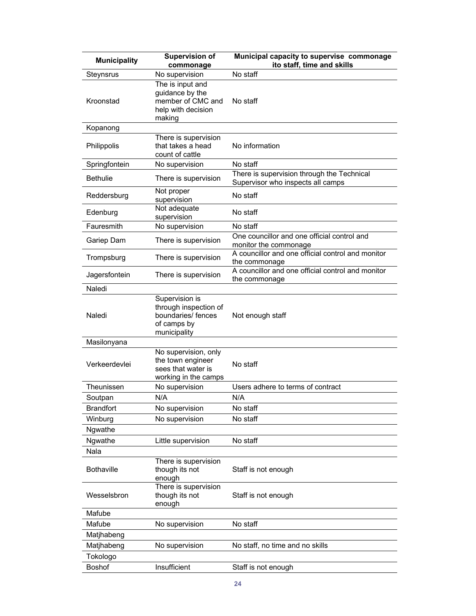| <b>Municipality</b> | <b>Supervision of</b><br>commonage                                                           | Municipal capacity to supervise commonage<br>ito staff, time and skills         |
|---------------------|----------------------------------------------------------------------------------------------|---------------------------------------------------------------------------------|
| Steynsrus           | No supervision                                                                               | No staff                                                                        |
| Kroonstad           | The is input and<br>guidance by the<br>member of CMC and<br>help with decision<br>making     | No staff                                                                        |
| Kopanong            |                                                                                              |                                                                                 |
| Philippolis         | There is supervision<br>that takes a head<br>count of cattle                                 | No information                                                                  |
| Springfontein       | No supervision                                                                               | No staff                                                                        |
| <b>Bethulie</b>     | There is supervision                                                                         | There is supervision through the Technical<br>Supervisor who inspects all camps |
| Reddersburg         | Not proper<br>supervision                                                                    | No staff                                                                        |
| Edenburg            | Not adequate<br>supervision                                                                  | No staff                                                                        |
| Fauresmith          | No supervision                                                                               | No staff                                                                        |
| Gariep Dam          | There is supervision                                                                         | One councillor and one official control and<br>monitor the commonage            |
| Trompsburg          | There is supervision                                                                         | A councillor and one official control and monitor<br>the commonage              |
| Jagersfontein       | There is supervision                                                                         | A councillor and one official control and monitor<br>the commonage              |
| Naledi              |                                                                                              |                                                                                 |
| Naledi              | Supervision is<br>through inspection of<br>boundaries/ fences<br>of camps by<br>municipality | Not enough staff                                                                |
| Masilonyana         |                                                                                              |                                                                                 |
| Verkeerdevlei       | No supervision, only<br>the town engineer<br>sees that water is<br>working in the camps      | No staff                                                                        |
| Theunissen          | No supervision                                                                               | Users adhere to terms of contract                                               |
| Soutpan             | N/A                                                                                          | N/A                                                                             |
| <b>Brandfort</b>    | No supervision                                                                               | No staff                                                                        |
| Winburg             | No supervision                                                                               | No staff                                                                        |
| Ngwathe             |                                                                                              |                                                                                 |
| Ngwathe             | Little supervision                                                                           | No staff                                                                        |
| Nala                |                                                                                              |                                                                                 |
| <b>Bothaville</b>   | There is supervision<br>though its not<br>enough                                             | Staff is not enough                                                             |
| Wesselsbron         | There is supervision<br>though its not<br>enough                                             | Staff is not enough                                                             |
| Mafube              |                                                                                              |                                                                                 |
| Mafube              | No supervision                                                                               | No staff                                                                        |
| Matjhabeng          |                                                                                              |                                                                                 |
| Matjhabeng          | No supervision                                                                               | No staff, no time and no skills                                                 |
| Tokologo            |                                                                                              |                                                                                 |
| Boshof              | Insufficient                                                                                 | Staff is not enough                                                             |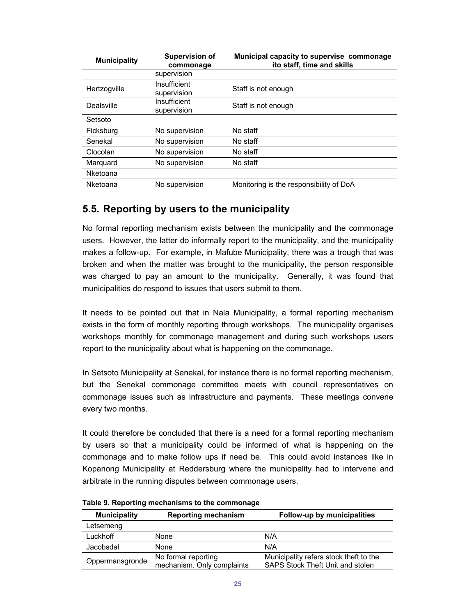| <b>Municipality</b> | <b>Supervision of</b><br>commonage | Municipal capacity to supervise commonage<br>ito staff, time and skills |  |
|---------------------|------------------------------------|-------------------------------------------------------------------------|--|
|                     | supervision                        |                                                                         |  |
| Hertzogville        | Insufficient<br>supervision        | Staff is not enough                                                     |  |
| Dealsville          | Insufficient<br>supervision        | Staff is not enough                                                     |  |
| Setsoto             |                                    |                                                                         |  |
| Ficksburg           | No supervision                     | No staff                                                                |  |
| Senekal             | No supervision                     | No staff                                                                |  |
| Clocolan            | No supervision                     | No staff                                                                |  |
| Marquard            | No supervision                     | No staff                                                                |  |
| Nketoana            |                                    |                                                                         |  |
| Nketoana            | No supervision                     | Monitoring is the responsibility of DoA                                 |  |

### **5.5. Reporting by users to the municipality**

No formal reporting mechanism exists between the municipality and the commonage users. However, the latter do informally report to the municipality, and the municipality makes a follow-up. For example, in Mafube Municipality, there was a trough that was broken and when the matter was brought to the municipality, the person responsible was charged to pay an amount to the municipality. Generally, it was found that municipalities do respond to issues that users submit to them.

It needs to be pointed out that in Nala Municipality, a formal reporting mechanism exists in the form of monthly reporting through workshops. The municipality organises workshops monthly for commonage management and during such workshops users report to the municipality about what is happening on the commonage.

In Setsoto Municipality at Senekal, for instance there is no formal reporting mechanism, but the Senekal commonage committee meets with council representatives on commonage issues such as infrastructure and payments. These meetings convene every two months.

It could therefore be concluded that there is a need for a formal reporting mechanism by users so that a municipality could be informed of what is happening on the commonage and to make follow ups if need be. This could avoid instances like in Kopanong Municipality at Reddersburg where the municipality had to intervene and arbitrate in the running disputes between commonage users.

| <b>Municipality</b> | <b>Reporting mechanism</b>                        | Follow-up by municipalities                                                |
|---------------------|---------------------------------------------------|----------------------------------------------------------------------------|
| Letsemeng           |                                                   |                                                                            |
| Luckhoff            | None                                              | N/A                                                                        |
| Jacobsdal           | None                                              | N/A                                                                        |
| Oppermansgronde     | No formal reporting<br>mechanism. Only complaints | Municipality refers stock theft to the<br>SAPS Stock Theft Unit and stolen |

**Table 9. Reporting mechanisms to the commonage**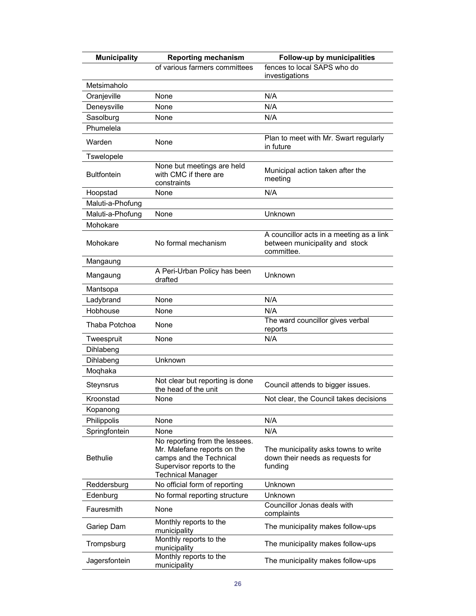| <b>Municipality</b> | <b>Reporting mechanism</b>                                                                                                                        | Follow-up by municipalities                                                              |
|---------------------|---------------------------------------------------------------------------------------------------------------------------------------------------|------------------------------------------------------------------------------------------|
|                     | of various farmers committees                                                                                                                     | fences to local SAPS who do<br>investigations                                            |
| Metsimaholo         |                                                                                                                                                   |                                                                                          |
| Oranjeville         | None                                                                                                                                              | N/A                                                                                      |
| Deneysville         | None                                                                                                                                              | N/A                                                                                      |
| Sasolburg           | None                                                                                                                                              | N/A                                                                                      |
| Phumelela           |                                                                                                                                                   |                                                                                          |
| Warden              | None                                                                                                                                              | Plan to meet with Mr. Swart regularly<br>in future                                       |
| Tswelopele          |                                                                                                                                                   |                                                                                          |
| <b>Bultfontein</b>  | None but meetings are held<br>with CMC if there are<br>constraints                                                                                | Municipal action taken after the<br>meeting                                              |
| Hoopstad            | None                                                                                                                                              | N/A                                                                                      |
| Maluti-a-Phofung    |                                                                                                                                                   |                                                                                          |
| Maluti-a-Phofung    | None                                                                                                                                              | Unknown                                                                                  |
| Mohokare            |                                                                                                                                                   |                                                                                          |
| Mohokare            | No formal mechanism                                                                                                                               | A councillor acts in a meeting as a link<br>between municipality and stock<br>committee. |
| Mangaung            |                                                                                                                                                   |                                                                                          |
| Mangaung            | A Peri-Urban Policy has been<br>drafted                                                                                                           | Unknown                                                                                  |
| Mantsopa            |                                                                                                                                                   |                                                                                          |
| Ladybrand           | None                                                                                                                                              | N/A                                                                                      |
| Hobhouse            | None                                                                                                                                              | N/A                                                                                      |
| Thaba Potchoa       | None                                                                                                                                              | The ward councillor gives verbal<br>reports                                              |
| Tweespruit          | None                                                                                                                                              | N/A                                                                                      |
| Dihlabeng           |                                                                                                                                                   |                                                                                          |
| Dihlabeng           | Unknown                                                                                                                                           |                                                                                          |
| Moghaka             |                                                                                                                                                   |                                                                                          |
| Steynsrus           | Not clear but reporting is done<br>the head of the unit                                                                                           | Council attends to bigger issues.                                                        |
| Kroonstad           | None                                                                                                                                              | Not clear, the Council takes decisions                                                   |
| Kopanong            |                                                                                                                                                   |                                                                                          |
| Philippolis         | None                                                                                                                                              | N/A                                                                                      |
| Springfontein       | None                                                                                                                                              | N/A                                                                                      |
| <b>Bethulie</b>     | No reporting from the lessees.<br>Mr. Malefane reports on the<br>camps and the Technical<br>Supervisor reports to the<br><b>Technical Manager</b> | The municipality asks towns to write<br>down their needs as requests for<br>funding      |
| Reddersburg         | No official form of reporting                                                                                                                     | Unknown                                                                                  |
| Edenburg            | No formal reporting structure                                                                                                                     | Unknown                                                                                  |
| Fauresmith          | None                                                                                                                                              | Councillor Jonas deals with<br>complaints                                                |
| Gariep Dam          | Monthly reports to the<br>municipality                                                                                                            | The municipality makes follow-ups                                                        |
| Trompsburg          | Monthly reports to the<br>municipality                                                                                                            | The municipality makes follow-ups                                                        |
| Jagersfontein       | Monthly reports to the<br>municipality                                                                                                            | The municipality makes follow-ups                                                        |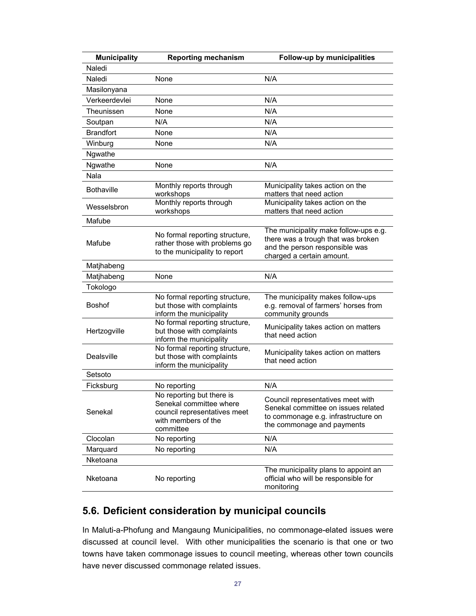| <b>Municipality</b> | <b>Reporting mechanism</b>                                                                                               | Follow-up by municipalities                                                                                                                   |
|---------------------|--------------------------------------------------------------------------------------------------------------------------|-----------------------------------------------------------------------------------------------------------------------------------------------|
| Naledi              |                                                                                                                          |                                                                                                                                               |
| Naledi              | None                                                                                                                     | N/A                                                                                                                                           |
| Masilonyana         |                                                                                                                          |                                                                                                                                               |
| Verkeerdevlei       | None                                                                                                                     | N/A                                                                                                                                           |
| Theunissen          | None                                                                                                                     | N/A                                                                                                                                           |
| Soutpan             | N/A                                                                                                                      | N/A                                                                                                                                           |
| <b>Brandfort</b>    | None                                                                                                                     | N/A                                                                                                                                           |
| Winburg             | None                                                                                                                     | N/A                                                                                                                                           |
| Ngwathe             |                                                                                                                          |                                                                                                                                               |
| Ngwathe             | None                                                                                                                     | N/A                                                                                                                                           |
| Nala                |                                                                                                                          |                                                                                                                                               |
| <b>Bothaville</b>   | Monthly reports through<br>workshops                                                                                     | Municipality takes action on the<br>matters that need action                                                                                  |
| Wesselsbron         | Monthly reports through<br>workshops                                                                                     | Municipality takes action on the<br>matters that need action                                                                                  |
| Mafube              |                                                                                                                          |                                                                                                                                               |
| Mafube              | No formal reporting structure,<br>rather those with problems go<br>to the municipality to report                         | The municipality make follow-ups e.g.<br>there was a trough that was broken<br>and the person responsible was<br>charged a certain amount.    |
| Matjhabeng          |                                                                                                                          |                                                                                                                                               |
| Matjhabeng          | None                                                                                                                     | N/A                                                                                                                                           |
| Tokologo            |                                                                                                                          |                                                                                                                                               |
| <b>Boshof</b>       | No formal reporting structure,<br>but those with complaints<br>inform the municipality                                   | The municipality makes follow-ups<br>e.g. removal of farmers' horses from<br>community grounds                                                |
| Hertzogville        | No formal reporting structure,<br>but those with complaints<br>inform the municipality                                   | Municipality takes action on matters<br>that need action                                                                                      |
| Dealsville          | No formal reporting structure,<br>but those with complaints<br>inform the municipality                                   | Municipality takes action on matters<br>that need action                                                                                      |
| Setsoto             |                                                                                                                          |                                                                                                                                               |
| Ficksburg           | No reporting                                                                                                             | N/A                                                                                                                                           |
| Senekal             | No reporting but there is<br>Senekal committee where<br>council representatives meet<br>with members of the<br>committee | Council representatives meet with<br>Senekal committee on issues related<br>to commonage e.g. infrastructure on<br>the commonage and payments |
| Clocolan            | No reporting                                                                                                             | N/A                                                                                                                                           |
| Marquard            | No reporting                                                                                                             | N/A                                                                                                                                           |
| Nketoana            |                                                                                                                          |                                                                                                                                               |
| Nketoana            | No reporting                                                                                                             | The municipality plans to appoint an<br>official who will be responsible for<br>monitoring                                                    |

### **5.6. Deficient consideration by municipal councils**

In Maluti-a-Phofung and Mangaung Municipalities, no commonage-elated issues were discussed at council level. With other municipalities the scenario is that one or two towns have taken commonage issues to council meeting, whereas other town councils have never discussed commonage related issues.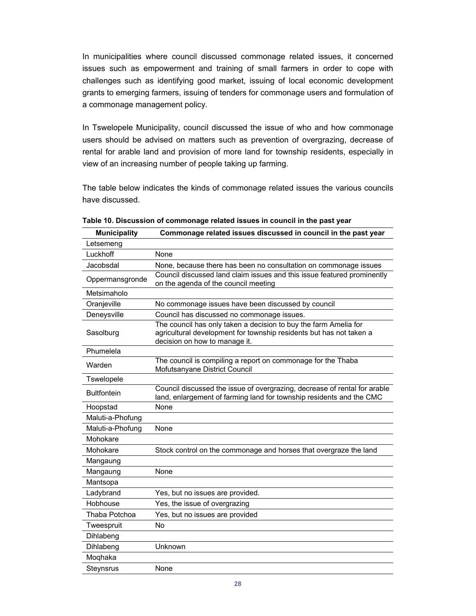In municipalities where council discussed commonage related issues, it concerned issues such as empowerment and training of small farmers in order to cope with challenges such as identifying good market, issuing of local economic development grants to emerging farmers, issuing of tenders for commonage users and formulation of a commonage management policy.

In Tswelopele Municipality, council discussed the issue of who and how commonage users should be advised on matters such as prevention of overgrazing, decrease of rental for arable land and provision of more land for township residents, especially in view of an increasing number of people taking up farming.

The table below indicates the kinds of commonage related issues the various councils have discussed.

| <b>Municipality</b> | Commonage related issues discussed in council in the past year                                                                                                           |
|---------------------|--------------------------------------------------------------------------------------------------------------------------------------------------------------------------|
| Letsemeng           |                                                                                                                                                                          |
| Luckhoff            | None                                                                                                                                                                     |
| Jacobsdal           | None, because there has been no consultation on commonage issues                                                                                                         |
| Oppermansgronde     | Council discussed land claim issues and this issue featured prominently<br>on the agenda of the council meeting                                                          |
| Metsimaholo         |                                                                                                                                                                          |
| Oranjeville         | No commonage issues have been discussed by council                                                                                                                       |
| Deneysville         | Council has discussed no commonage issues.                                                                                                                               |
| Sasolburg           | The council has only taken a decision to buy the farm Amelia for<br>agricultural development for township residents but has not taken a<br>decision on how to manage it. |
| Phumelela           |                                                                                                                                                                          |
| Warden              | The council is compiling a report on commonage for the Thaba<br>Mofutsanyane District Council                                                                            |
| Tswelopele          |                                                                                                                                                                          |
| <b>Bultfontein</b>  | Council discussed the issue of overgrazing, decrease of rental for arable<br>land, enlargement of farming land for township residents and the CMC                        |
| Hoopstad            | None                                                                                                                                                                     |
| Maluti-a-Phofung    |                                                                                                                                                                          |
| Maluti-a-Phofung    | None                                                                                                                                                                     |
| Mohokare            |                                                                                                                                                                          |
| Mohokare            | Stock control on the commonage and horses that overgraze the land                                                                                                        |
| Mangaung            |                                                                                                                                                                          |
| Mangaung            | None                                                                                                                                                                     |
| Mantsopa            |                                                                                                                                                                          |
| Ladybrand           | Yes, but no issues are provided.                                                                                                                                         |
| Hobhouse            | Yes, the issue of overgrazing                                                                                                                                            |
| Thaba Potchoa       | Yes, but no issues are provided                                                                                                                                          |
| Tweespruit          | <b>No</b>                                                                                                                                                                |
| Dihlabeng           |                                                                                                                                                                          |
| Dihlabeng           | Unknown                                                                                                                                                                  |
| Moqhaka             |                                                                                                                                                                          |
| Steynsrus           | None                                                                                                                                                                     |

**Table 10. Discussion of commonage related issues in council in the past year**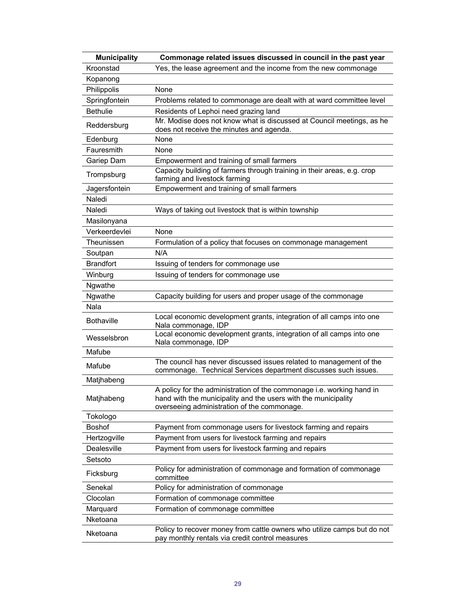| <b>Municipality</b> | Commonage related issues discussed in council in the past year                                                                                                                         |
|---------------------|----------------------------------------------------------------------------------------------------------------------------------------------------------------------------------------|
| Kroonstad           | Yes, the lease agreement and the income from the new commonage                                                                                                                         |
| Kopanong            |                                                                                                                                                                                        |
| Philippolis         | None                                                                                                                                                                                   |
| Springfontein       | Problems related to commonage are dealt with at ward committee level                                                                                                                   |
| <b>Bethulie</b>     | Residents of Lephoi need grazing land                                                                                                                                                  |
| Reddersburg         | Mr. Modise does not know what is discussed at Council meetings, as he<br>does not receive the minutes and agenda.                                                                      |
| Edenburg            | None                                                                                                                                                                                   |
| Fauresmith          | None                                                                                                                                                                                   |
| Gariep Dam          | Empowerment and training of small farmers                                                                                                                                              |
| Trompsburg          | Capacity building of farmers through training in their areas, e.g. crop<br>farming and livestock farming                                                                               |
| Jagersfontein       | Empowerment and training of small farmers                                                                                                                                              |
| Naledi              |                                                                                                                                                                                        |
| Naledi              | Ways of taking out livestock that is within township                                                                                                                                   |
| Masilonyana         |                                                                                                                                                                                        |
| Verkeerdevlei       | None                                                                                                                                                                                   |
| Theunissen          | Formulation of a policy that focuses on commonage management                                                                                                                           |
| Soutpan             | N/A                                                                                                                                                                                    |
| <b>Brandfort</b>    | Issuing of tenders for commonage use                                                                                                                                                   |
| Winburg             | Issuing of tenders for commonage use                                                                                                                                                   |
| Ngwathe             |                                                                                                                                                                                        |
| Ngwathe             | Capacity building for users and proper usage of the commonage                                                                                                                          |
| Nala                |                                                                                                                                                                                        |
| <b>Bothaville</b>   | Local economic development grants, integration of all camps into one<br>Nala commonage, IDP                                                                                            |
| Wesselsbron         | Local economic development grants, integration of all camps into one<br>Nala commonage, IDP                                                                                            |
| Mafube              |                                                                                                                                                                                        |
| Mafube              | The council has never discussed issues related to management of the<br>commonage. Technical Services department discusses such issues.                                                 |
| Matjhabeng          |                                                                                                                                                                                        |
| Matjhabeng          | A policy for the administration of the commonage i.e. working hand in<br>hand with the municipality and the users with the municipality<br>overseeing administration of the commonage. |
| Tokologo            |                                                                                                                                                                                        |
| <b>Boshof</b>       | Payment from commonage users for livestock farming and repairs                                                                                                                         |
| Hertzogville        | Payment from users for livestock farming and repairs                                                                                                                                   |
| Dealesville         | Payment from users for livestock farming and repairs                                                                                                                                   |
| Setsoto             |                                                                                                                                                                                        |
| Ficksburg           | Policy for administration of commonage and formation of commonage<br>committee                                                                                                         |
| Senekal             | Policy for administration of commonage                                                                                                                                                 |
| Clocolan            | Formation of commonage committee                                                                                                                                                       |
| Marquard            | Formation of commonage committee                                                                                                                                                       |
| Nketoana            |                                                                                                                                                                                        |
| Nketoana            | Policy to recover money from cattle owners who utilize camps but do not<br>pay monthly rentals via credit control measures                                                             |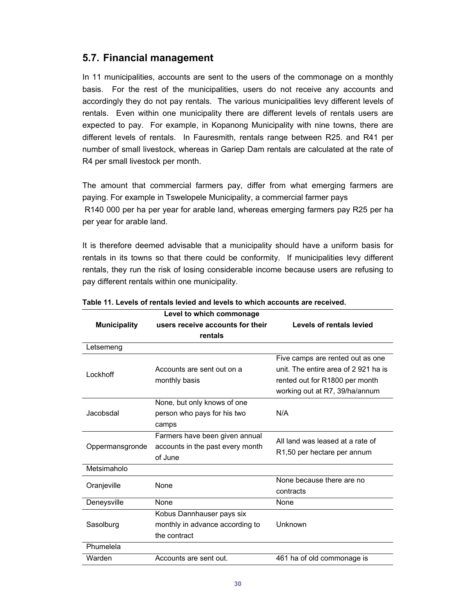#### **5.7. Financial management**

In 11 municipalities, accounts are sent to the users of the commonage on a monthly basis. For the rest of the municipalities, users do not receive any accounts and accordingly they do not pay rentals. The various municipalities levy different levels of rentals. Even within one municipality there are different levels of rentals users are expected to pay. For example, in Kopanong Municipality with nine towns, there are different levels of rentals. In Fauresmith, rentals range between R25. and R41 per number of small livestock, whereas in Gariep Dam rentals are calculated at the rate of R4 per small livestock per month.

The amount that commercial farmers pay, differ from what emerging farmers are paying. For example in Tswelopele Municipality, a commercial farmer pays R140 000 per ha per year for arable land, whereas emerging farmers pay R25 per ha per year for arable land.

It is therefore deemed advisable that a municipality should have a uniform basis for rentals in its towns so that there could be conformity. If municipalities levy different rentals, they run the risk of losing considerable income because users are refusing to pay different rentals within one municipality.

|                     | Level to which commonage         |                                          |  |
|---------------------|----------------------------------|------------------------------------------|--|
| <b>Municipality</b> | users receive accounts for their | Levels of rentals levied                 |  |
|                     | rentals                          |                                          |  |
| Letsemeng           |                                  |                                          |  |
|                     |                                  | Five camps are rented out as one         |  |
| Lockhoff            | Accounts are sent out on a       | unit. The entire area of 2 921 ha is     |  |
|                     | monthly basis                    | rented out for R1800 per month           |  |
|                     |                                  | working out at R7, 39/ha/annum           |  |
|                     | None, but only knows of one      |                                          |  |
| Jacobsdal           | person who pays for his two      | N/A                                      |  |
|                     | camps                            |                                          |  |
|                     | Farmers have been given annual   | All land was leased at a rate of         |  |
| Oppermansgronde     | accounts in the past every month |                                          |  |
|                     | of June                          | R <sub>1</sub> ,50 per hectare per annum |  |
| Metsimaholo         |                                  |                                          |  |
|                     | <b>None</b>                      | None because there are no                |  |
| Oranjeville         |                                  | contracts                                |  |
| Deneysville         | <b>None</b>                      | None                                     |  |
|                     | Kobus Dannhauser pays six        |                                          |  |
| Sasolburg           | monthly in advance according to  | Unknown                                  |  |
|                     | the contract                     |                                          |  |
| Phumelela           |                                  |                                          |  |
| Warden              | Accounts are sent out.           | 461 ha of old commonage is               |  |

**Table 11. Levels of rentals levied and levels to which accounts are received.**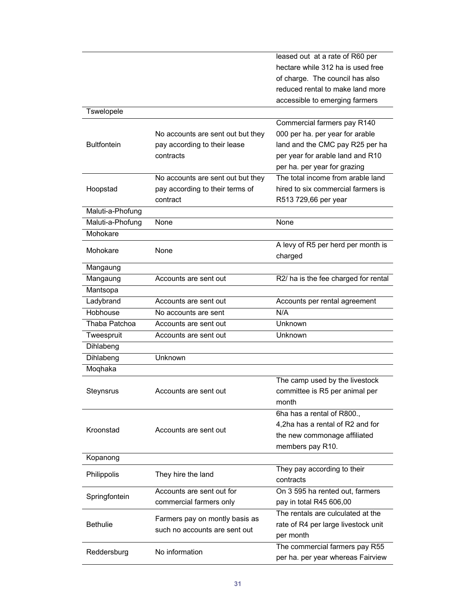|                    |                                   | leased out at a rate of R60 per      |
|--------------------|-----------------------------------|--------------------------------------|
|                    |                                   | hectare while 312 ha is used free    |
|                    |                                   | of charge. The council has also      |
|                    |                                   | reduced rental to make land more     |
|                    |                                   | accessible to emerging farmers       |
| Tswelopele         |                                   |                                      |
|                    |                                   | Commercial farmers pay R140          |
|                    | No accounts are sent out but they | 000 per ha. per year for arable      |
| <b>Bultfontein</b> | pay according to their lease      | land and the CMC pay R25 per ha      |
|                    | contracts                         | per year for arable land and R10     |
|                    |                                   | per ha. per year for grazing         |
|                    | No accounts are sent out but they | The total income from arable land    |
|                    |                                   | hired to six commercial farmers is   |
| Hoopstad           | pay according to their terms of   |                                      |
|                    | contract                          | R513 729,66 per year                 |
| Maluti-a-Phofung   |                                   |                                      |
| Maluti-a-Phofung   | None                              | None                                 |
| Mohokare           |                                   |                                      |
| Mohokare           | None                              | A levy of R5 per herd per month is   |
|                    |                                   | charged                              |
| Mangaung           |                                   |                                      |
| Mangaung           | Accounts are sent out             | R2/ ha is the fee charged for rental |
| Mantsopa           |                                   |                                      |
| Ladybrand          | Accounts are sent out             | Accounts per rental agreement        |
| Hobhouse           | No accounts are sent              | N/A                                  |
| Thaba Patchoa      | Accounts are sent out             | Unknown                              |
| Tweespruit         | Accounts are sent out             | Unknown                              |
| Dihlabeng          |                                   |                                      |
| Dihlabeng          | Unknown                           |                                      |
| Moqhaka            |                                   |                                      |
|                    |                                   | The camp used by the livestock       |
| Steynsrus          | Accounts are sent out             | committee is R5 per animal per       |
|                    |                                   | month                                |
|                    |                                   | 6ha has a rental of R800.,           |
|                    |                                   | 4,2ha has a rental of R2 and for     |
| Kroonstad          | Accounts are sent out             |                                      |
|                    |                                   | the new commonage affiliated         |
|                    |                                   | members pay R10.                     |
| Kopanong           |                                   |                                      |
| Philippolis        | They hire the land                | They pay according to their          |
|                    |                                   | contracts                            |
| Springfontein      | Accounts are sent out for         | On 3 595 ha rented out, farmers      |
|                    | commercial farmers only           | pay in total R45 606,00              |
|                    | Farmers pay on montly basis as    | The rentals are culculated at the    |
| <b>Bethulie</b>    | such no accounts are sent out     | rate of R4 per large livestock unit  |
|                    |                                   | per month                            |
|                    | No information                    | The commercial farmers pay R55       |
| Reddersburg        |                                   | per ha. per year whereas Fairview    |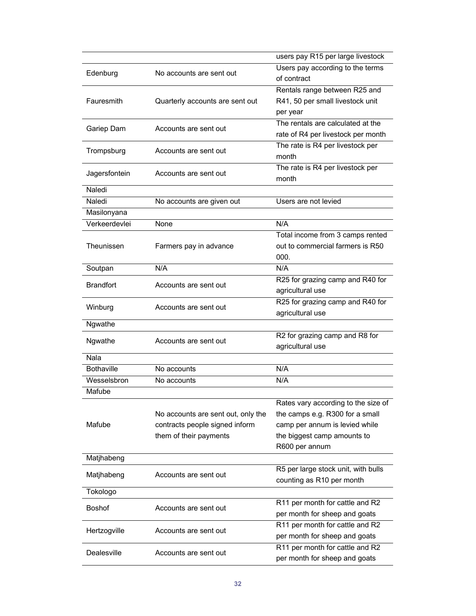|                   |                                    | users pay R15 per large livestock   |
|-------------------|------------------------------------|-------------------------------------|
| Edenburg          | No accounts are sent out           | Users pay according to the terms    |
|                   |                                    | of contract                         |
|                   |                                    | Rentals range between R25 and       |
| Fauresmith        | Quarterly accounts are sent out    | R41, 50 per small livestock unit    |
|                   |                                    | per year                            |
|                   | Accounts are sent out              | The rentals are calculated at the   |
| Gariep Dam        |                                    | rate of R4 per livestock per month  |
| Trompsburg        | Accounts are sent out              | The rate is R4 per livestock per    |
|                   |                                    | month                               |
| Jagersfontein     | Accounts are sent out              | The rate is R4 per livestock per    |
|                   |                                    | month                               |
| Naledi            |                                    |                                     |
| Naledi            | No accounts are given out          | Users are not levied                |
| Masilonyana       |                                    |                                     |
| Verkeerdevlei     | None                               | N/A                                 |
|                   |                                    | Total income from 3 camps rented    |
| Theunissen        | Farmers pay in advance             | out to commercial farmers is R50    |
|                   |                                    | 000.                                |
| Soutpan           | N/A                                | N/A                                 |
| <b>Brandfort</b>  | Accounts are sent out              | R25 for grazing camp and R40 for    |
|                   |                                    | agricultural use                    |
| Winburg           | Accounts are sent out              | R25 for grazing camp and R40 for    |
|                   |                                    | agricultural use                    |
| Ngwathe           |                                    |                                     |
| Ngwathe           | Accounts are sent out              | R2 for grazing camp and R8 for      |
|                   |                                    | agricultural use                    |
| Nala              |                                    |                                     |
| <b>Bothaville</b> | No accounts                        | N/A                                 |
| Wesselsbron       | No accounts                        | N/A                                 |
| Mafube            |                                    |                                     |
|                   |                                    | Rates vary according to the size of |
|                   | No accounts are sent out, only the | the camps e.g. R300 for a small     |
| Mafube            | contracts people signed inform     | camp per annum is levied while      |
|                   | them of their payments             | the biggest camp amounts to         |
|                   |                                    | R600 per annum                      |
| Matjhabeng        |                                    |                                     |
| Matjhabeng        | Accounts are sent out              | R5 per large stock unit, with bulls |
|                   |                                    | counting as R10 per month           |
| Tokologo          |                                    |                                     |
| <b>Boshof</b>     | Accounts are sent out              | R11 per month for cattle and R2     |
|                   |                                    | per month for sheep and goats       |
| Hertzogville      | Accounts are sent out              | R11 per month for cattle and R2     |
|                   |                                    | per month for sheep and goats       |
| Dealesville       | Accounts are sent out              | R11 per month for cattle and R2     |
|                   |                                    | per month for sheep and goats       |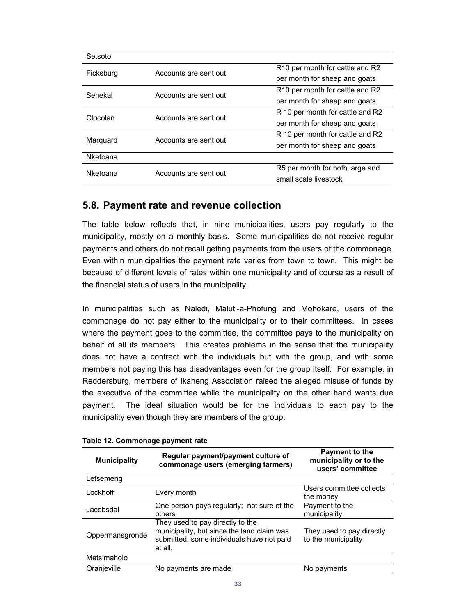| Setsoto   |                       |                                                         |
|-----------|-----------------------|---------------------------------------------------------|
| Ficksburg | Accounts are sent out | R <sub>10</sub> per month for cattle and R <sub>2</sub> |
|           |                       | per month for sheep and goats                           |
| Senekal   | Accounts are sent out | R <sub>10</sub> per month for cattle and R <sub>2</sub> |
|           |                       | per month for sheep and goats                           |
| Clocolan  | Accounts are sent out | R 10 per month for cattle and R2                        |
|           |                       | per month for sheep and goats                           |
|           | Accounts are sent out | R 10 per month for cattle and R2                        |
| Marquard  |                       | per month for sheep and goats                           |
| Nketoana  |                       |                                                         |
| Nketoana  | Accounts are sent out | R5 per month for both large and                         |
|           |                       | small scale livestock                                   |

#### **5.8. Payment rate and revenue collection**

The table below reflects that, in nine municipalities, users pay regularly to the municipality, mostly on a monthly basis. Some municipalities do not receive regular payments and others do not recall getting payments from the users of the commonage. Even within municipalities the payment rate varies from town to town. This might be because of different levels of rates within one municipality and of course as a result of the financial status of users in the municipality.

In municipalities such as Naledi, Maluti-a-Phofung and Mohokare, users of the commonage do not pay either to the municipality or to their committees. In cases where the payment goes to the committee, the committee pays to the municipality on behalf of all its members. This creates problems in the sense that the municipality does not have a contract with the individuals but with the group, and with some members not paying this has disadvantages even for the group itself. For example, in Reddersburg, members of Ikaheng Association raised the alleged misuse of funds by the executive of the committee while the municipality on the other hand wants due payment. The ideal situation would be for the individuals to each pay to the municipality even though they are members of the group.

| <b>Municipality</b> | Regular payment/payment culture of<br>commonage users (emerging farmers)                                                               | <b>Payment to the</b><br>municipality or to the<br>users' committee |
|---------------------|----------------------------------------------------------------------------------------------------------------------------------------|---------------------------------------------------------------------|
| Letsemeng           |                                                                                                                                        |                                                                     |
| Lockhoff            | Every month                                                                                                                            | Users committee collects<br>the money                               |
| Jacobsdal           | One person pays regularly; not sure of the<br>others                                                                                   | Payment to the<br>municipality                                      |
| Oppermansgronde     | They used to pay directly to the<br>municipality, but since the land claim was<br>submitted, some individuals have not paid<br>at all. | They used to pay directly<br>to the municipality                    |
| Metsimaholo         |                                                                                                                                        |                                                                     |
| Oranjeville         | No payments are made                                                                                                                   | No payments                                                         |

#### **Table 12. Commonage payment rate**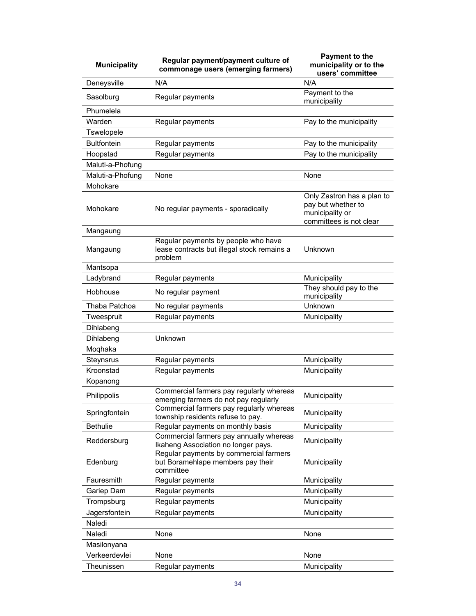| <b>Municipality</b> | Regular payment/payment culture of<br>commonage users (emerging farmers)                      | <b>Payment to the</b><br>municipality or to the<br>users' committee                            |
|---------------------|-----------------------------------------------------------------------------------------------|------------------------------------------------------------------------------------------------|
| Deneysville         | N/A                                                                                           | N/A                                                                                            |
| Sasolburg           | Regular payments                                                                              | Payment to the<br>municipality                                                                 |
| Phumelela           |                                                                                               |                                                                                                |
| Warden              | Regular payments                                                                              | Pay to the municipality                                                                        |
| Tswelopele          |                                                                                               |                                                                                                |
| <b>Bultfontein</b>  | Regular payments                                                                              | Pay to the municipality                                                                        |
| Hoopstad            | Regular payments                                                                              | Pay to the municipality                                                                        |
| Maluti-a-Phofung    |                                                                                               |                                                                                                |
| Maluti-a-Phofung    | None                                                                                          | None                                                                                           |
| Mohokare            |                                                                                               |                                                                                                |
| Mohokare            | No regular payments - sporadically                                                            | Only Zastron has a plan to<br>pay but whether to<br>municipality or<br>committees is not clear |
| Mangaung            |                                                                                               |                                                                                                |
| Mangaung            | Regular payments by people who have<br>lease contracts but illegal stock remains a<br>problem | Unknown                                                                                        |
| Mantsopa            |                                                                                               |                                                                                                |
| Ladybrand           | Regular payments                                                                              | Municipality                                                                                   |
| Hobhouse            | No regular payment                                                                            | They should pay to the<br>municipality                                                         |
| Thaba Patchoa       | No regular payments                                                                           | Unknown                                                                                        |
| Tweespruit          | Regular payments                                                                              | Municipality                                                                                   |
| Dihlabeng           |                                                                                               |                                                                                                |
| Dihlabeng           | Unknown                                                                                       |                                                                                                |
| Moqhaka             |                                                                                               |                                                                                                |
| Steynsrus           | Regular payments                                                                              | Municipality                                                                                   |
| Kroonstad           | Regular payments                                                                              | Municipality                                                                                   |
| Kopanong            |                                                                                               |                                                                                                |
| Philippolis         | Commercial farmers pay regularly whereas<br>emerging farmers do not pay regularly             | Municipality                                                                                   |
| Springfontein       | Commercial farmers pay regularly whereas<br>township residents refuse to pay.                 | Municipality                                                                                   |
| <b>Bethulie</b>     | Regular payments on monthly basis                                                             | Municipality                                                                                   |
| Reddersburg         | Commercial farmers pay annually whereas<br>Ikaheng Association no longer pays.                | Municipality                                                                                   |
| Edenburg            | Regular payments by commercial farmers<br>but Boramehlape members pay their<br>committee      | Municipality                                                                                   |
| Fauresmith          | Regular payments                                                                              | Municipality                                                                                   |
| Gariep Dam          | Regular payments                                                                              | Municipality                                                                                   |
| Trompsburg          | Regular payments                                                                              | Municipality                                                                                   |
| Jagersfontein       | Regular payments                                                                              | Municipality                                                                                   |
| Naledi              |                                                                                               |                                                                                                |
| Naledi              | None                                                                                          | None                                                                                           |
| Masilonyana         |                                                                                               |                                                                                                |
| Verkeerdevlei       | None                                                                                          | None                                                                                           |
| Theunissen          | Regular payments                                                                              | Municipality                                                                                   |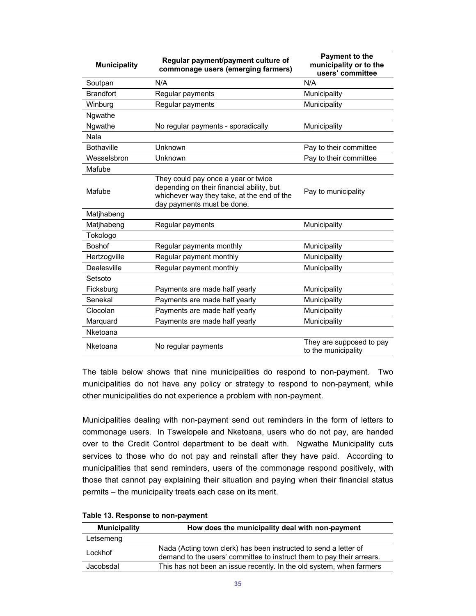| <b>Municipality</b> | Regular payment/payment culture of<br>commonage users (emerging farmers)                                                                                     | Payment to the<br>municipality or to the<br>users' committee |
|---------------------|--------------------------------------------------------------------------------------------------------------------------------------------------------------|--------------------------------------------------------------|
| Soutpan             | N/A                                                                                                                                                          | N/A                                                          |
| <b>Brandfort</b>    | Regular payments                                                                                                                                             | Municipality                                                 |
| Winburg             | Regular payments                                                                                                                                             | Municipality                                                 |
| Ngwathe             |                                                                                                                                                              |                                                              |
| Ngwathe             | No regular payments - sporadically                                                                                                                           | Municipality                                                 |
| Nala                |                                                                                                                                                              |                                                              |
| <b>Bothaville</b>   | Unknown                                                                                                                                                      | Pay to their committee                                       |
| Wesselsbron         | Unknown                                                                                                                                                      | Pay to their committee                                       |
| Mafube              |                                                                                                                                                              |                                                              |
| Mafube              | They could pay once a year or twice<br>depending on their financial ability, but<br>whichever way they take, at the end of the<br>day payments must be done. | Pay to municipality                                          |
| Matjhabeng          |                                                                                                                                                              |                                                              |
| Matjhabeng          | Regular payments                                                                                                                                             | Municipality                                                 |
| Tokologo            |                                                                                                                                                              |                                                              |
| <b>Boshof</b>       | Regular payments monthly                                                                                                                                     | Municipality                                                 |
| Hertzogville        | Regular payment monthly                                                                                                                                      | Municipality                                                 |
| Dealesville         | Regular payment monthly                                                                                                                                      | Municipality                                                 |
| Setsoto             |                                                                                                                                                              |                                                              |
| Ficksburg           | Payments are made half yearly                                                                                                                                | Municipality                                                 |
| Senekal             | Payments are made half yearly                                                                                                                                | Municipality                                                 |
| Clocolan            | Payments are made half yearly                                                                                                                                | Municipality                                                 |
| Marquard            | Payments are made half yearly                                                                                                                                | Municipality                                                 |
| Nketoana            |                                                                                                                                                              |                                                              |
| Nketoana            | No regular payments                                                                                                                                          | They are supposed to pay<br>to the municipality              |

The table below shows that nine municipalities do respond to non-payment. Two municipalities do not have any policy or strategy to respond to non-payment, while other municipalities do not experience a problem with non-payment.

Municipalities dealing with non-payment send out reminders in the form of letters to commonage users. In Tswelopele and Nketoana, users who do not pay, are handed over to the Credit Control department to be dealt with. Ngwathe Municipality cuts services to those who do not pay and reinstall after they have paid. According to municipalities that send reminders, users of the commonage respond positively, with those that cannot pay explaining their situation and paying when their financial status permits – the municipality treats each case on its merit.

| <b>Municipality</b> | How does the municipality deal with non-payment                                                                                           |  |
|---------------------|-------------------------------------------------------------------------------------------------------------------------------------------|--|
| Letsemeng           |                                                                                                                                           |  |
| Lockhof             | Nada (Acting town clerk) has been instructed to send a letter of<br>demand to the users' committee to instruct them to pay their arrears. |  |
| Jacobsdal           | This has not been an issue recently. In the old system, when farmers                                                                      |  |

|  |  | Table 13. Response to non-payment |
|--|--|-----------------------------------|
|--|--|-----------------------------------|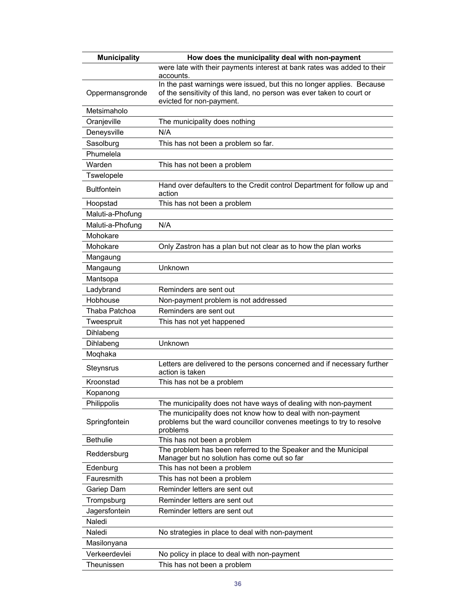| <b>Municipality</b> | How does the municipality deal with non-payment                                                                                                 |
|---------------------|-------------------------------------------------------------------------------------------------------------------------------------------------|
|                     | were late with their payments interest at bank rates was added to their<br>accounts.                                                            |
| Oppermansgronde     | In the past warnings were issued, but this no longer applies. Because                                                                           |
|                     | of the sensitivity of this land, no person was ever taken to court or<br>evicted for non-payment.                                               |
| Metsimaholo         |                                                                                                                                                 |
| Oranjeville         | The municipality does nothing                                                                                                                   |
| Deneysville         | N/A                                                                                                                                             |
| Sasolburg           | This has not been a problem so far.                                                                                                             |
| Phumelela           |                                                                                                                                                 |
| Warden              | This has not been a problem                                                                                                                     |
| <b>Tswelopele</b>   |                                                                                                                                                 |
| <b>Bultfontein</b>  | Hand over defaulters to the Credit control Department for follow up and<br>action                                                               |
| Hoopstad            | This has not been a problem                                                                                                                     |
| Maluti-a-Phofung    |                                                                                                                                                 |
| Maluti-a-Phofung    | N/A                                                                                                                                             |
| Mohokare            |                                                                                                                                                 |
| Mohokare            | Only Zastron has a plan but not clear as to how the plan works                                                                                  |
| Mangaung            |                                                                                                                                                 |
| Mangaung            | Unknown                                                                                                                                         |
| Mantsopa            |                                                                                                                                                 |
| Ladybrand           | Reminders are sent out                                                                                                                          |
| Hobhouse            | Non-payment problem is not addressed                                                                                                            |
| Thaba Patchoa       | Reminders are sent out                                                                                                                          |
| Tweespruit          | This has not yet happened                                                                                                                       |
| Dihlabeng           |                                                                                                                                                 |
| Dihlabeng           | Unknown                                                                                                                                         |
| Moqhaka             |                                                                                                                                                 |
| Steynsrus           | Letters are delivered to the persons concerned and if necessary further<br>action is taken                                                      |
| Kroonstad           | This has not be a problem                                                                                                                       |
| Kopanong            |                                                                                                                                                 |
| Philippolis         | The municipality does not have ways of dealing with non-payment                                                                                 |
| Springfontein       | The municipality does not know how to deal with non-payment<br>problems but the ward councillor convenes meetings to try to resolve<br>problems |
| <b>Bethulie</b>     | This has not been a problem                                                                                                                     |
| Reddersburg         | The problem has been referred to the Speaker and the Municipal<br>Manager but no solution has come out so far                                   |
| Edenburg            | This has not been a problem                                                                                                                     |
| Fauresmith          | This has not been a problem                                                                                                                     |
| Gariep Dam          | Reminder letters are sent out                                                                                                                   |
| Trompsburg          | Reminder letters are sent out                                                                                                                   |
| Jagersfontein       | Reminder letters are sent out                                                                                                                   |
| Naledi              |                                                                                                                                                 |
| Naledi              | No strategies in place to deal with non-payment                                                                                                 |
| Masilonyana         |                                                                                                                                                 |
| Verkeerdevlei       | No policy in place to deal with non-payment                                                                                                     |
| Theunissen          | This has not been a problem                                                                                                                     |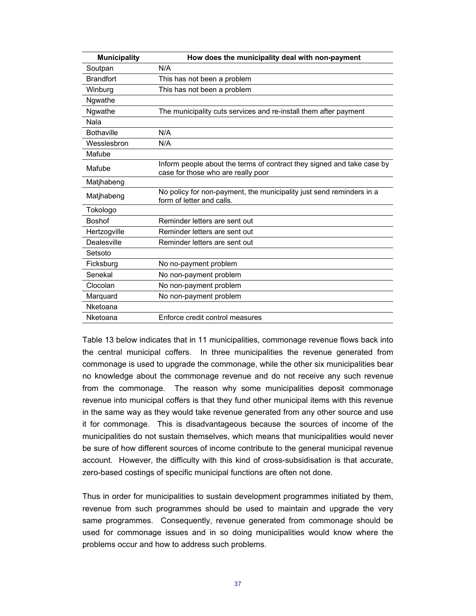| <b>Municipality</b> | How does the municipality deal with non-payment                                                              |
|---------------------|--------------------------------------------------------------------------------------------------------------|
| Soutpan             | N/A                                                                                                          |
| <b>Brandfort</b>    | This has not been a problem                                                                                  |
| Winburg             | This has not been a problem                                                                                  |
| Ngwathe             |                                                                                                              |
| Ngwathe             | The municipality cuts services and re-install them after payment                                             |
| Nala                |                                                                                                              |
| <b>Bothaville</b>   | N/A                                                                                                          |
| Wesslesbron         | N/A                                                                                                          |
| Mafube              |                                                                                                              |
| Mafube              | Inform people about the terms of contract they signed and take case by<br>case for those who are really poor |
| Matjhabeng          |                                                                                                              |
| Matjhabeng          | No policy for non-payment, the municipality just send reminders in a<br>form of letter and calls.            |
| Tokologo            |                                                                                                              |
| <b>Boshof</b>       | Reminder letters are sent out                                                                                |
| Hertzogville        | Reminder letters are sent out                                                                                |
| Dealesville         | Reminder letters are sent out                                                                                |
| Setsoto             |                                                                                                              |
| Ficksburg           | No no-payment problem                                                                                        |
| Senekal             | No non-payment problem                                                                                       |
| Clocolan            | No non-payment problem                                                                                       |
| Marquard            | No non-payment problem                                                                                       |
| Nketoana            |                                                                                                              |
| Nketoana            | Enforce credit control measures                                                                              |

Table 13 below indicates that in 11 municipalities, commonage revenue flows back into the central municipal coffers. In three municipalities the revenue generated from commonage is used to upgrade the commonage, while the other six municipalities bear no knowledge about the commonage revenue and do not receive any such revenue from the commonage. The reason why some municipalities deposit commonage revenue into municipal coffers is that they fund other municipal items with this revenue in the same way as they would take revenue generated from any other source and use it for commonage. This is disadvantageous because the sources of income of the municipalities do not sustain themselves, which means that municipalities would never be sure of how different sources of income contribute to the general municipal revenue account. However, the difficulty with this kind of cross-subsidisation is that accurate, zero-based costings of specific municipal functions are often not done.

Thus in order for municipalities to sustain development programmes initiated by them, revenue from such programmes should be used to maintain and upgrade the very same programmes. Consequently, revenue generated from commonage should be used for commonage issues and in so doing municipalities would know where the problems occur and how to address such problems.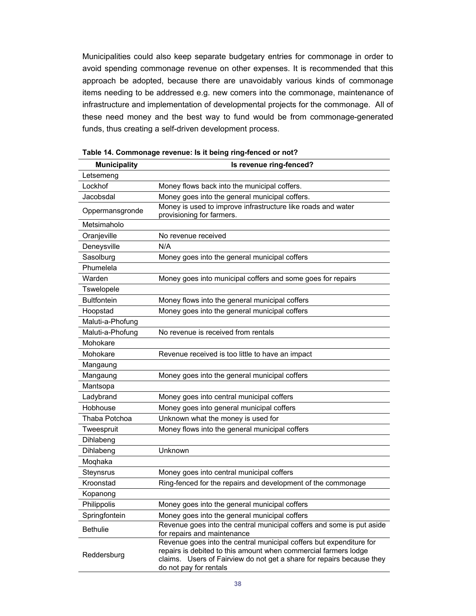Municipalities could also keep separate budgetary entries for commonage in order to avoid spending commonage revenue on other expenses. It is recommended that this approach be adopted, because there are unavoidably various kinds of commonage items needing to be addressed e.g. new comers into the commonage, maintenance of infrastructure and implementation of developmental projects for the commonage. All of these need money and the best way to fund would be from commonage-generated funds, thus creating a self-driven development process.

| <b>Municipality</b> | Is revenue ring-fenced?                                                                                                                                                                                                                   |
|---------------------|-------------------------------------------------------------------------------------------------------------------------------------------------------------------------------------------------------------------------------------------|
| Letsemeng           |                                                                                                                                                                                                                                           |
| Lockhof             | Money flows back into the municipal coffers.                                                                                                                                                                                              |
| Jacobsdal           | Money goes into the general municipal coffers.                                                                                                                                                                                            |
| Oppermansgronde     | Money is used to improve infrastructure like roads and water<br>provisioning for farmers.                                                                                                                                                 |
| Metsimaholo         |                                                                                                                                                                                                                                           |
| Oranjeville         | No revenue received                                                                                                                                                                                                                       |
| Deneysville         | N/A                                                                                                                                                                                                                                       |
| Sasolburg           | Money goes into the general municipal coffers                                                                                                                                                                                             |
| Phumelela           |                                                                                                                                                                                                                                           |
| Warden              | Money goes into municipal coffers and some goes for repairs                                                                                                                                                                               |
| Tswelopele          |                                                                                                                                                                                                                                           |
| <b>Bultfontein</b>  | Money flows into the general municipal coffers                                                                                                                                                                                            |
| Hoopstad            | Money goes into the general municipal coffers                                                                                                                                                                                             |
| Maluti-a-Phofung    |                                                                                                                                                                                                                                           |
| Maluti-a-Phofung    | No revenue is received from rentals                                                                                                                                                                                                       |
| Mohokare            |                                                                                                                                                                                                                                           |
| Mohokare            | Revenue received is too little to have an impact                                                                                                                                                                                          |
| Mangaung            |                                                                                                                                                                                                                                           |
| Mangaung            | Money goes into the general municipal coffers                                                                                                                                                                                             |
| Mantsopa            |                                                                                                                                                                                                                                           |
| Ladybrand           | Money goes into central municipal coffers                                                                                                                                                                                                 |
| Hobhouse            | Money goes into general municipal coffers                                                                                                                                                                                                 |
| Thaba Potchoa       | Unknown what the money is used for                                                                                                                                                                                                        |
| Tweespruit          | Money flows into the general municipal coffers                                                                                                                                                                                            |
| Dihlabeng           |                                                                                                                                                                                                                                           |
| Dihlabeng           | Unknown                                                                                                                                                                                                                                   |
| Moqhaka             |                                                                                                                                                                                                                                           |
| Steynsrus           | Money goes into central municipal coffers                                                                                                                                                                                                 |
| Kroonstad           | Ring-fenced for the repairs and development of the commonage                                                                                                                                                                              |
| Kopanong            |                                                                                                                                                                                                                                           |
| Philippolis         | Money goes into the general municipal coffers                                                                                                                                                                                             |
| Springfontein       | Money goes into the general municipal coffers                                                                                                                                                                                             |
| <b>Bethulie</b>     | Revenue goes into the central municipal coffers and some is put aside<br>for repairs and maintenance                                                                                                                                      |
| Reddersburg         | Revenue goes into the central municipal coffers but expenditure for<br>repairs is debited to this amount when commercial farmers lodge<br>claims. Users of Fairview do not get a share for repairs because they<br>do not pay for rentals |

**Table 14. Commonage revenue: Is it being ring-fenced or not?**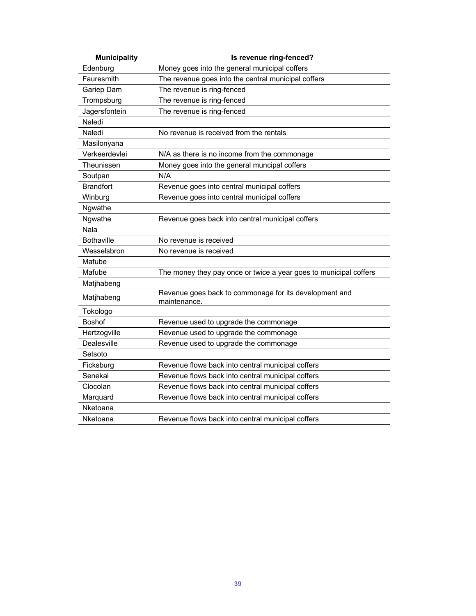| <b>Municipality</b> | Is revenue ring-fenced?                                                |
|---------------------|------------------------------------------------------------------------|
| Edenburg            | Money goes into the general municipal coffers                          |
| Fauresmith          | The revenue goes into the central municipal coffers                    |
| Gariep Dam          | The revenue is ring-fenced                                             |
| Trompsburg          | The revenue is ring-fenced                                             |
| Jagersfontein       | The revenue is ring-fenced                                             |
| Naledi              |                                                                        |
| Naledi              | No revenue is received from the rentals                                |
| Masilonyana         |                                                                        |
| Verkeerdevlei       | N/A as there is no income from the commonage                           |
| Theunissen          | Money goes into the general muncipal coffers                           |
| Soutpan             | N/A                                                                    |
| <b>Brandfort</b>    | Revenue goes into central municipal coffers                            |
| Winburg             | Revenue goes into central municipal coffers                            |
| Ngwathe             |                                                                        |
| Ngwathe             | Revenue goes back into central municipal coffers                       |
| Nala                |                                                                        |
| <b>Bothaville</b>   | No revenue is received                                                 |
| Wesselsbron         | No revenue is received                                                 |
| Mafube              |                                                                        |
| Mafube              | The money they pay once or twice a year goes to municipal coffers      |
| Matjhabeng          |                                                                        |
| Matjhabeng          | Revenue goes back to commonage for its development and<br>maintenance. |
| Tokologo            |                                                                        |
| <b>Boshof</b>       | Revenue used to upgrade the commonage                                  |
| Hertzogville        | Revenue used to upgrade the commonage                                  |
| Dealesville         | Revenue used to upgrade the commonage                                  |
| Setsoto             |                                                                        |
| Ficksburg           | Revenue flows back into central municipal coffers                      |
| Senekal             | Revenue flows back into central municipal coffers                      |
| Clocolan            | Revenue flows back into central municipal coffers                      |
| Marquard            | Revenue flows back into central municipal coffers                      |
| Nketoana            |                                                                        |
| Nketoana            | Revenue flows back into central municipal coffers                      |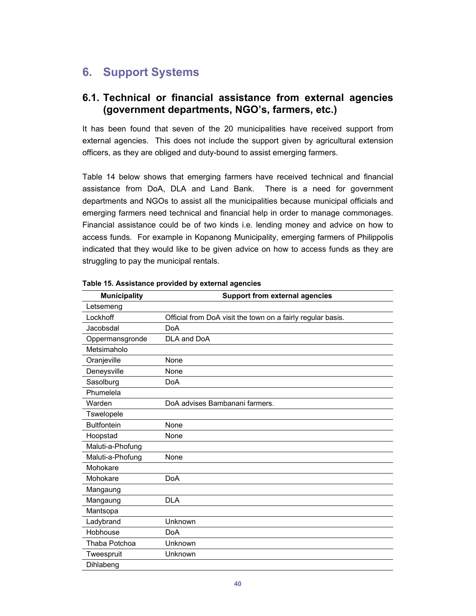## **6. Support Systems**

### **6.1. Technical or financial assistance from external agencies (government departments, NGO's, farmers, etc.)**

It has been found that seven of the 20 municipalities have received support from external agencies. This does not include the support given by agricultural extension officers, as they are obliged and duty-bound to assist emerging farmers.

Table 14 below shows that emerging farmers have received technical and financial assistance from DoA, DLA and Land Bank. There is a need for government departments and NGOs to assist all the municipalities because municipal officials and emerging farmers need technical and financial help in order to manage commonages. Financial assistance could be of two kinds i.e. lending money and advice on how to access funds. For example in Kopanong Municipality, emerging farmers of Philippolis indicated that they would like to be given advice on how to access funds as they are struggling to pay the municipal rentals.

| <b>Municipality</b> | <b>Support from external agencies</b>                       |
|---------------------|-------------------------------------------------------------|
| Letsemeng           |                                                             |
| Lockhoff            | Official from DoA visit the town on a fairly regular basis. |
| Jacobsdal           | <b>DoA</b>                                                  |
| Oppermansgronde     | DLA and DoA                                                 |
| Metsimaholo         |                                                             |
| Oranjeville         | None                                                        |
| Deneysville         | None                                                        |
| Sasolburg           | <b>DoA</b>                                                  |
| Phumelela           |                                                             |
| Warden              | DoA advises Bambanani farmers.                              |
| Tswelopele          |                                                             |
| <b>Bultfontein</b>  | None                                                        |
| Hoopstad            | None                                                        |
| Maluti-a-Phofung    |                                                             |
| Maluti-a-Phofung    | None                                                        |
| Mohokare            |                                                             |
| Mohokare            | <b>DoA</b>                                                  |
| Mangaung            |                                                             |
| Mangaung            | <b>DLA</b>                                                  |
| Mantsopa            |                                                             |
| Ladybrand           | Unknown                                                     |
| Hobhouse            | <b>DoA</b>                                                  |
| Thaba Potchoa       | Unknown                                                     |
| Tweespruit          | Unknown                                                     |
| Dihlabeng           |                                                             |

**Table 15. Assistance provided by external agencies**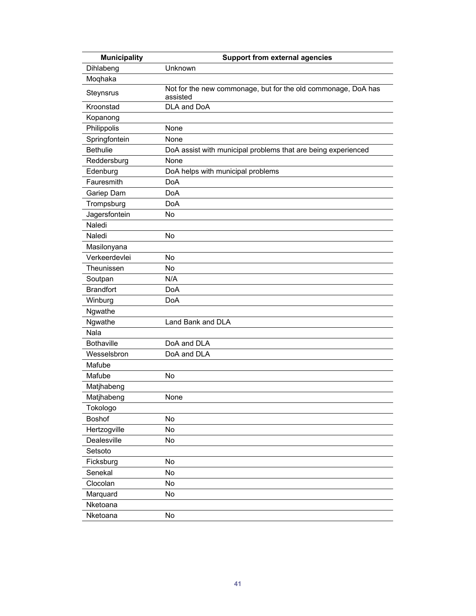| <b>Municipality</b> | <b>Support from external agencies</b>                                     |  |
|---------------------|---------------------------------------------------------------------------|--|
| Dihlabeng           | Unknown                                                                   |  |
| Moqhaka             |                                                                           |  |
| Steynsrus           | Not for the new commonage, but for the old commonage, DoA has<br>assisted |  |
| Kroonstad           | DLA and DoA                                                               |  |
| Kopanong            |                                                                           |  |
| Philippolis         | None                                                                      |  |
| Springfontein       | None                                                                      |  |
| <b>Bethulie</b>     | DoA assist with municipal problems that are being experienced             |  |
| Reddersburg         | None                                                                      |  |
| Edenburg            | DoA helps with municipal problems                                         |  |
| Fauresmith          | <b>DoA</b>                                                                |  |
| Gariep Dam          | <b>DoA</b>                                                                |  |
| Trompsburg          | <b>DoA</b>                                                                |  |
| Jagersfontein       | No                                                                        |  |
| Naledi              |                                                                           |  |
| Naledi              | No                                                                        |  |
| Masilonyana         |                                                                           |  |
| Verkeerdevlei       | No                                                                        |  |
| Theunissen          | No                                                                        |  |
| Soutpan             | N/A                                                                       |  |
| <b>Brandfort</b>    | <b>DoA</b>                                                                |  |
| Winburg             | <b>DoA</b>                                                                |  |
| Ngwathe             |                                                                           |  |
| Ngwathe             | Land Bank and DLA                                                         |  |
| Nala                |                                                                           |  |
| <b>Bothaville</b>   | DoA and DLA                                                               |  |
| Wesselsbron         | DoA and DLA                                                               |  |
| Mafube              |                                                                           |  |
| Mafube              | No                                                                        |  |
| Matjhabeng          |                                                                           |  |
| Matjhabeng          | None                                                                      |  |
| Tokologo            |                                                                           |  |
| <b>Boshof</b>       | No                                                                        |  |
| Hertzogville        | No                                                                        |  |
| Dealesville         | No                                                                        |  |
| Setsoto             |                                                                           |  |
| Ficksburg           | No                                                                        |  |
| Senekal             | No                                                                        |  |
| Clocolan            | No                                                                        |  |
| Marquard            | No                                                                        |  |
| Nketoana            |                                                                           |  |
| Nketoana            | No                                                                        |  |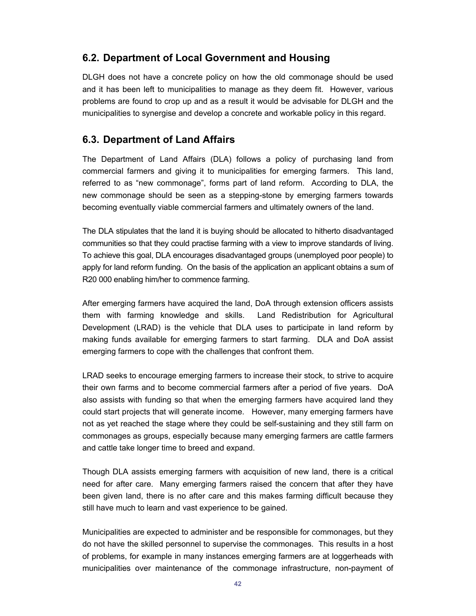### **6.2. Department of Local Government and Housing**

DLGH does not have a concrete policy on how the old commonage should be used and it has been left to municipalities to manage as they deem fit. However, various problems are found to crop up and as a result it would be advisable for DLGH and the municipalities to synergise and develop a concrete and workable policy in this regard.

### **6.3. Department of Land Affairs**

The Department of Land Affairs (DLA) follows a policy of purchasing land from commercial farmers and giving it to municipalities for emerging farmers. This land, referred to as "new commonage", forms part of land reform. According to DLA, the new commonage should be seen as a stepping-stone by emerging farmers towards becoming eventually viable commercial farmers and ultimately owners of the land.

The DLA stipulates that the land it is buying should be allocated to hitherto disadvantaged communities so that they could practise farming with a view to improve standards of living. To achieve this goal, DLA encourages disadvantaged groups (unemployed poor people) to apply for land reform funding. On the basis of the application an applicant obtains a sum of R20 000 enabling him/her to commence farming.

After emerging farmers have acquired the land, DoA through extension officers assists them with farming knowledge and skills. Land Redistribution for Agricultural Development (LRAD) is the vehicle that DLA uses to participate in land reform by making funds available for emerging farmers to start farming. DLA and DoA assist emerging farmers to cope with the challenges that confront them.

LRAD seeks to encourage emerging farmers to increase their stock, to strive to acquire their own farms and to become commercial farmers after a period of five years. DoA also assists with funding so that when the emerging farmers have acquired land they could start projects that will generate income. However, many emerging farmers have not as yet reached the stage where they could be self-sustaining and they still farm on commonages as groups, especially because many emerging farmers are cattle farmers and cattle take longer time to breed and expand.

Though DLA assists emerging farmers with acquisition of new land, there is a critical need for after care. Many emerging farmers raised the concern that after they have been given land, there is no after care and this makes farming difficult because they still have much to learn and vast experience to be gained.

Municipalities are expected to administer and be responsible for commonages, but they do not have the skilled personnel to supervise the commonages. This results in a host of problems, for example in many instances emerging farmers are at loggerheads with municipalities over maintenance of the commonage infrastructure, non-payment of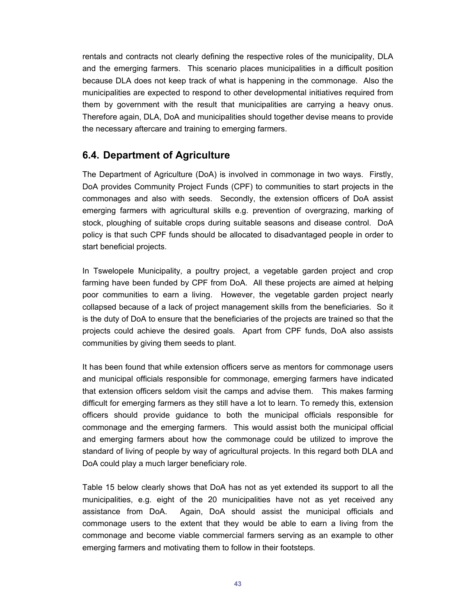rentals and contracts not clearly defining the respective roles of the municipality, DLA and the emerging farmers. This scenario places municipalities in a difficult position because DLA does not keep track of what is happening in the commonage. Also the municipalities are expected to respond to other developmental initiatives required from them by government with the result that municipalities are carrying a heavy onus. Therefore again, DLA, DoA and municipalities should together devise means to provide the necessary aftercare and training to emerging farmers.

### **6.4. Department of Agriculture**

The Department of Agriculture (DoA) is involved in commonage in two ways. Firstly, DoA provides Community Project Funds (CPF) to communities to start projects in the commonages and also with seeds. Secondly, the extension officers of DoA assist emerging farmers with agricultural skills e.g. prevention of overgrazing, marking of stock, ploughing of suitable crops during suitable seasons and disease control. DoA policy is that such CPF funds should be allocated to disadvantaged people in order to start beneficial projects.

In Tswelopele Municipality, a poultry project, a vegetable garden project and crop farming have been funded by CPF from DoA. All these projects are aimed at helping poor communities to earn a living. However, the vegetable garden project nearly collapsed because of a lack of project management skills from the beneficiaries. So it is the duty of DoA to ensure that the beneficiaries of the projects are trained so that the projects could achieve the desired goals. Apart from CPF funds, DoA also assists communities by giving them seeds to plant.

It has been found that while extension officers serve as mentors for commonage users and municipal officials responsible for commonage, emerging farmers have indicated that extension officers seldom visit the camps and advise them. This makes farming difficult for emerging farmers as they still have a lot to learn. To remedy this, extension officers should provide guidance to both the municipal officials responsible for commonage and the emerging farmers. This would assist both the municipal official and emerging farmers about how the commonage could be utilized to improve the standard of living of people by way of agricultural projects. In this regard both DLA and DoA could play a much larger beneficiary role.

Table 15 below clearly shows that DoA has not as yet extended its support to all the municipalities, e.g. eight of the 20 municipalities have not as yet received any assistance from DoA. Again, DoA should assist the municipal officials and commonage users to the extent that they would be able to earn a living from the commonage and become viable commercial farmers serving as an example to other emerging farmers and motivating them to follow in their footsteps.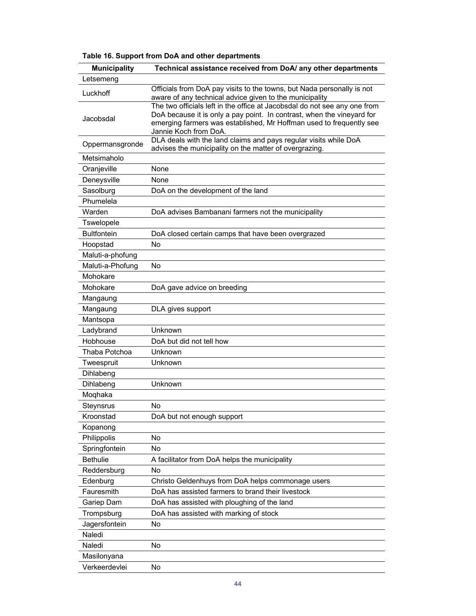| <b>Municipality</b> | Technical assistance received from DoA/ any other departments                                                                                                                                                                                       |
|---------------------|-----------------------------------------------------------------------------------------------------------------------------------------------------------------------------------------------------------------------------------------------------|
| Letsemeng           |                                                                                                                                                                                                                                                     |
| Luckhoff            | Officials from DoA pay visits to the towns, but Nada personally is not<br>aware of any technical advice given to the municipality                                                                                                                   |
| Jacobsdal           | The two officials left in the office at Jacobsdal do not see any one from<br>DoA because it is only a pay point. In contrast, when the vineyard for<br>emerging farmers was established, Mr Hoffman used to frequently see<br>Jannie Koch from DoA. |
| Oppermansgronde     | DLA deals with the land claims and pays regular visits while DoA<br>advises the municipality on the matter of overgrazing.                                                                                                                          |
| Metsimaholo         |                                                                                                                                                                                                                                                     |
| Oranjeville         | None                                                                                                                                                                                                                                                |
| Deneysville         | None                                                                                                                                                                                                                                                |
| Sasolburg           | DoA on the development of the land                                                                                                                                                                                                                  |
| Phumelela           |                                                                                                                                                                                                                                                     |
| Warden              | DoA advises Bambanani farmers not the municipality                                                                                                                                                                                                  |
| Tswelopele          |                                                                                                                                                                                                                                                     |
| <b>Bultfontein</b>  | DoA closed certain camps that have been overgrazed                                                                                                                                                                                                  |
| Hoopstad            | <b>No</b>                                                                                                                                                                                                                                           |
| Maluti-a-phofung    |                                                                                                                                                                                                                                                     |
| Maluti-a-Phofung    | <b>No</b>                                                                                                                                                                                                                                           |
| Mohokare            |                                                                                                                                                                                                                                                     |
| Mohokare            | DoA gave advice on breeding                                                                                                                                                                                                                         |
| Mangaung            |                                                                                                                                                                                                                                                     |
| Mangaung            | DLA gives support                                                                                                                                                                                                                                   |
| Mantsopa            |                                                                                                                                                                                                                                                     |
| Ladybrand           | Unknown                                                                                                                                                                                                                                             |
| Hobhouse            | DoA but did not tell how                                                                                                                                                                                                                            |
| Thaba Potchoa       | Unknown                                                                                                                                                                                                                                             |
| Tweespruit          | Unknown                                                                                                                                                                                                                                             |
| Dihlabeng           |                                                                                                                                                                                                                                                     |
| Dihlabeng           | Unknown                                                                                                                                                                                                                                             |
| Moqhaka             |                                                                                                                                                                                                                                                     |
| Steynsrus           | No                                                                                                                                                                                                                                                  |
| Kroonstad           | DoA but not enough support                                                                                                                                                                                                                          |
| Kopanong            |                                                                                                                                                                                                                                                     |
| Philippolis         | No                                                                                                                                                                                                                                                  |
| Springfontein       | No                                                                                                                                                                                                                                                  |
| <b>Bethulie</b>     | A facilitator from DoA helps the municipality                                                                                                                                                                                                       |
| Reddersburg         | No                                                                                                                                                                                                                                                  |
| Edenburg            | Christo Geldenhuys from DoA helps commonage users                                                                                                                                                                                                   |
| Fauresmith          | DoA has assisted farmers to brand their livestock                                                                                                                                                                                                   |
| Gariep Dam          | DoA has assisted with ploughing of the land                                                                                                                                                                                                         |
| Trompsburg          | DoA has assisted with marking of stock                                                                                                                                                                                                              |
| Jagersfontein       | No                                                                                                                                                                                                                                                  |
| Naledi              |                                                                                                                                                                                                                                                     |
| Naledi              | No                                                                                                                                                                                                                                                  |
| Masilonyana         |                                                                                                                                                                                                                                                     |
| Verkeerdevlei       | No                                                                                                                                                                                                                                                  |

**Table 16. Support from DoA and other departments**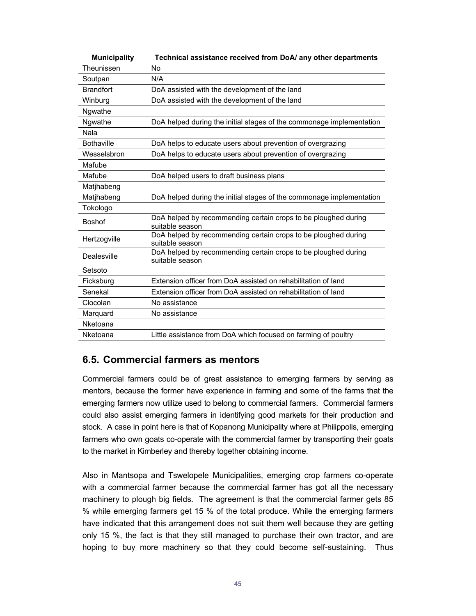| <b>Municipality</b> | Technical assistance received from DoA/ any other departments                     |
|---------------------|-----------------------------------------------------------------------------------|
| Theunissen          | No                                                                                |
| Soutpan             | N/A                                                                               |
| <b>Brandfort</b>    | DoA assisted with the development of the land                                     |
| Winburg             | DoA assisted with the development of the land                                     |
| Ngwathe             |                                                                                   |
| Ngwathe             | DoA helped during the initial stages of the commonage implementation              |
| Nala                |                                                                                   |
| <b>Bothaville</b>   | DoA helps to educate users about prevention of overgrazing                        |
| Wesselsbron         | DoA helps to educate users about prevention of overgrazing                        |
| Mafube              |                                                                                   |
| Mafube              | DoA helped users to draft business plans                                          |
| Matjhabeng          |                                                                                   |
| Matjhabeng          | DoA helped during the initial stages of the commonage implementation              |
| Tokologo            |                                                                                   |
| <b>Boshof</b>       | DoA helped by recommending certain crops to be ploughed during<br>suitable season |
| Hertzogville        | DoA helped by recommending certain crops to be ploughed during<br>suitable season |
| Dealesville         | DoA helped by recommending certain crops to be ploughed during<br>suitable season |
| Setsoto             |                                                                                   |
| Ficksburg           | Extension officer from DoA assisted on rehabilitation of land                     |
| Senekal             | Extension officer from DoA assisted on rehabilitation of land                     |
| Clocolan            | No assistance                                                                     |
| Marquard            | No assistance                                                                     |
| Nketoana            |                                                                                   |
| Nketoana            | Little assistance from DoA which focused on farming of poultry                    |

#### **6.5. Commercial farmers as mentors**

Commercial farmers could be of great assistance to emerging farmers by serving as mentors, because the former have experience in farming and some of the farms that the emerging farmers now utilize used to belong to commercial farmers. Commercial farmers could also assist emerging farmers in identifying good markets for their production and stock. A case in point here is that of Kopanong Municipality where at Philippolis, emerging farmers who own goats co-operate with the commercial farmer by transporting their goats to the market in Kimberley and thereby together obtaining income.

Also in Mantsopa and Tswelopele Municipalities, emerging crop farmers co-operate with a commercial farmer because the commercial farmer has got all the necessary machinery to plough big fields. The agreement is that the commercial farmer gets 85 % while emerging farmers get 15 % of the total produce. While the emerging farmers have indicated that this arrangement does not suit them well because they are getting only 15 %, the fact is that they still managed to purchase their own tractor, and are hoping to buy more machinery so that they could become self-sustaining. Thus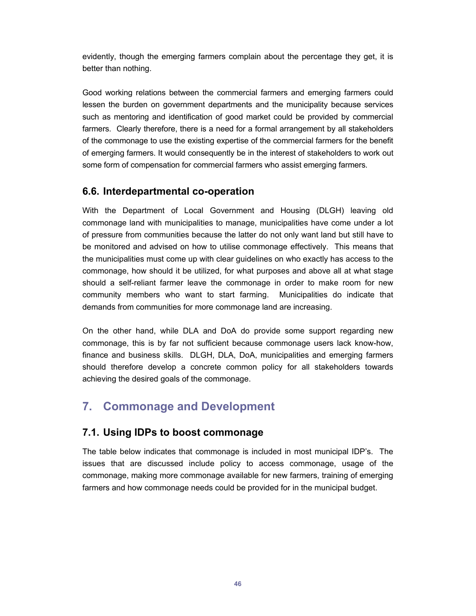evidently, though the emerging farmers complain about the percentage they get, it is better than nothing.

Good working relations between the commercial farmers and emerging farmers could lessen the burden on government departments and the municipality because services such as mentoring and identification of good market could be provided by commercial farmers. Clearly therefore, there is a need for a formal arrangement by all stakeholders of the commonage to use the existing expertise of the commercial farmers for the benefit of emerging farmers. It would consequently be in the interest of stakeholders to work out some form of compensation for commercial farmers who assist emerging farmers.

### **6.6. Interdepartmental co-operation**

With the Department of Local Government and Housing (DLGH) leaving old commonage land with municipalities to manage, municipalities have come under a lot of pressure from communities because the latter do not only want land but still have to be monitored and advised on how to utilise commonage effectively. This means that the municipalities must come up with clear guidelines on who exactly has access to the commonage, how should it be utilized, for what purposes and above all at what stage should a self-reliant farmer leave the commonage in order to make room for new community members who want to start farming. Municipalities do indicate that demands from communities for more commonage land are increasing.

On the other hand, while DLA and DoA do provide some support regarding new commonage, this is by far not sufficient because commonage users lack know-how, finance and business skills. DLGH, DLA, DoA, municipalities and emerging farmers should therefore develop a concrete common policy for all stakeholders towards achieving the desired goals of the commonage.

# **7. Commonage and Development**

### **7.1. Using IDPs to boost commonage**

The table below indicates that commonage is included in most municipal IDP's. The issues that are discussed include policy to access commonage, usage of the commonage, making more commonage available for new farmers, training of emerging farmers and how commonage needs could be provided for in the municipal budget.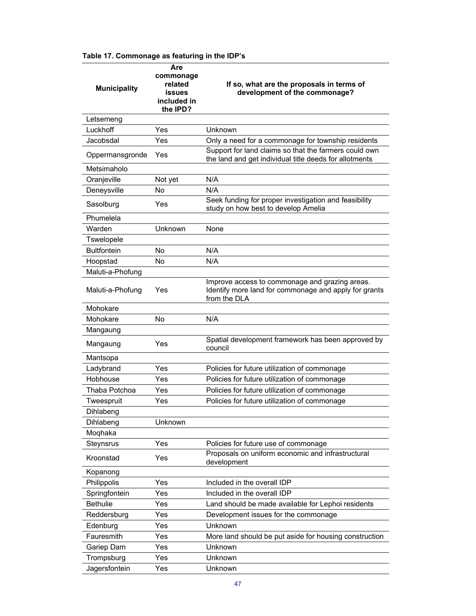|  | Table 17. Commonage as featuring in the IDP's |  |  |
|--|-----------------------------------------------|--|--|
|--|-----------------------------------------------|--|--|

| <b>Municipality</b> | Are<br>commonage<br>related<br><b>issues</b><br>included in<br>the IPD? | If so, what are the proposals in terms of<br>development of the commonage?                                              |
|---------------------|-------------------------------------------------------------------------|-------------------------------------------------------------------------------------------------------------------------|
| Letsemeng           |                                                                         |                                                                                                                         |
| Luckhoff            | Yes                                                                     | Unknown                                                                                                                 |
| Jacobsdal           | Yes                                                                     | Only a need for a commonage for township residents                                                                      |
| Oppermansgronde     | Yes                                                                     | Support for land claims so that the farmers could own<br>the land and get individual title deeds for allotments         |
| Metsimaholo         |                                                                         |                                                                                                                         |
| Oranjeville         | Not yet                                                                 | N/A                                                                                                                     |
| Deneysville         | No                                                                      | N/A                                                                                                                     |
| Sasolburg           | Yes                                                                     | Seek funding for proper investigation and feasibility<br>study on how best to develop Amelia                            |
| Phumelela           |                                                                         |                                                                                                                         |
| Warden              | Unknown                                                                 | None                                                                                                                    |
| Tswelopele          |                                                                         |                                                                                                                         |
| <b>Bultfontein</b>  | No                                                                      | N/A                                                                                                                     |
| Hoopstad            | No                                                                      | N/A                                                                                                                     |
| Maluti-a-Phofung    |                                                                         |                                                                                                                         |
| Maluti-a-Phofung    | Yes                                                                     | Improve access to commonage and grazing areas.<br>Identify more land for commonage and apply for grants<br>from the DLA |
| Mohokare            |                                                                         |                                                                                                                         |
| Mohokare            | <b>No</b>                                                               | N/A                                                                                                                     |
| Mangaung            |                                                                         |                                                                                                                         |
| Mangaung            | Yes                                                                     | Spatial development framework has been approved by<br>council                                                           |
| Mantsopa            |                                                                         |                                                                                                                         |
| Ladybrand           | Yes                                                                     | Policies for future utilization of commonage                                                                            |
| Hobhouse            | Yes                                                                     | Policies for future utilization of commonage                                                                            |
| Thaba Potchoa       | Yes                                                                     | Policies for future utilization of commonage                                                                            |
| Tweespruit          | Yes                                                                     | Policies for future utilization of commonage                                                                            |
| Dihlabeng           |                                                                         |                                                                                                                         |
| Dihlabeng           | Unknown                                                                 |                                                                                                                         |
| Moqhaka             |                                                                         |                                                                                                                         |
| Steynsrus           | Yes                                                                     | Policies for future use of commonage                                                                                    |
| Kroonstad           | Yes                                                                     | Proposals on uniform economic and infrastructural<br>development                                                        |
| Kopanong            |                                                                         |                                                                                                                         |
| Philippolis         | Yes                                                                     | Included in the overall IDP                                                                                             |
| Springfontein       | Yes                                                                     | Included in the overall IDP                                                                                             |
| <b>Bethulie</b>     | Yes                                                                     | Land should be made available for Lephoi residents                                                                      |
| Reddersburg         | Yes                                                                     | Development issues for the commonage                                                                                    |
| Edenburg            | Yes                                                                     | Unknown                                                                                                                 |
| Fauresmith          | Yes                                                                     | More land should be put aside for housing construction                                                                  |
| Gariep Dam          | Yes                                                                     | Unknown                                                                                                                 |
| Trompsburg          | Yes                                                                     | Unknown                                                                                                                 |
| Jagersfontein       | Yes                                                                     | Unknown                                                                                                                 |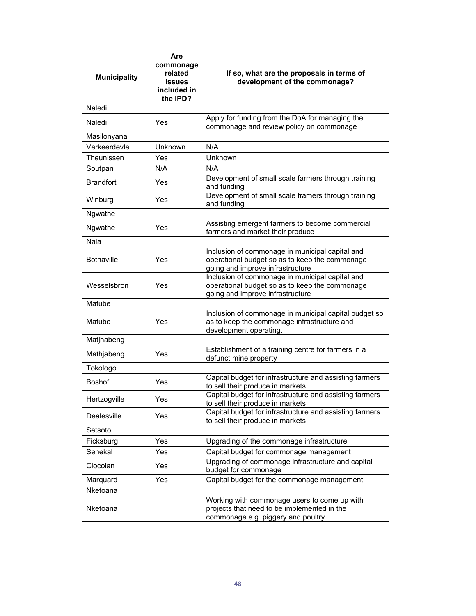| <b>Municipality</b> | Are<br>commonage<br>related<br><b>issues</b><br>included in<br>the IPD? | If so, what are the proposals in terms of<br>development of the commonage?                                                            |
|---------------------|-------------------------------------------------------------------------|---------------------------------------------------------------------------------------------------------------------------------------|
| Naledi              |                                                                         |                                                                                                                                       |
| Naledi              | Yes                                                                     | Apply for funding from the DoA for managing the<br>commonage and review policy on commonage                                           |
| Masilonyana         |                                                                         |                                                                                                                                       |
| Verkeerdevlei       | Unknown                                                                 | N/A                                                                                                                                   |
| Theunissen          | Yes                                                                     | Unknown                                                                                                                               |
| Soutpan             | N/A                                                                     | N/A                                                                                                                                   |
| <b>Brandfort</b>    | Yes                                                                     | Development of small scale farmers through training<br>and funding                                                                    |
| Winburg             | Yes                                                                     | Development of small scale framers through training<br>and funding                                                                    |
| Ngwathe             |                                                                         |                                                                                                                                       |
| Ngwathe             | Yes                                                                     | Assisting emergent farmers to become commercial<br>farmers and market their produce                                                   |
| Nala                |                                                                         |                                                                                                                                       |
| <b>Bothaville</b>   | Yes                                                                     | Inclusion of commonage in municipal capital and<br>operational budget so as to keep the commonage<br>going and improve infrastructure |
| Wesselsbron         | Yes                                                                     | Inclusion of commonage in municipal capital and<br>operational budget so as to keep the commonage<br>going and improve infrastructure |
| Mafube              |                                                                         |                                                                                                                                       |
| Mafube              | Yes                                                                     | Inclusion of commonage in municipal capital budget so<br>as to keep the commonage infrastructure and<br>development operating.        |
| Matjhabeng          |                                                                         |                                                                                                                                       |
| Mathjabeng          | Yes                                                                     | Establishment of a training centre for farmers in a<br>defunct mine property                                                          |
| Tokologo            |                                                                         |                                                                                                                                       |
| <b>Boshof</b>       | Yes                                                                     | Capital budget for infrastructure and assisting farmers<br>to sell their produce in markets                                           |
| Hertzogville        | Yes                                                                     | Capital budget for infrastructure and assisting farmers<br>to sell their produce in markets                                           |
| Dealesville         | Yes                                                                     | Capital budget for infrastructure and assisting farmers<br>to sell their produce in markets                                           |
| Setsoto             |                                                                         |                                                                                                                                       |
| Ficksburg           | Yes                                                                     | Upgrading of the commonage infrastructure                                                                                             |
| Senekal             | Yes                                                                     | Capital budget for commonage management                                                                                               |
| Clocolan            | Yes                                                                     | Upgrading of commonage infrastructure and capital<br>budget for commonage                                                             |
| Marquard            | Yes                                                                     | Capital budget for the commonage management                                                                                           |
| Nketoana            |                                                                         |                                                                                                                                       |
| Nketoana            |                                                                         | Working with commonage users to come up with<br>projects that need to be implemented in the<br>commonage e.g. piggery and poultry     |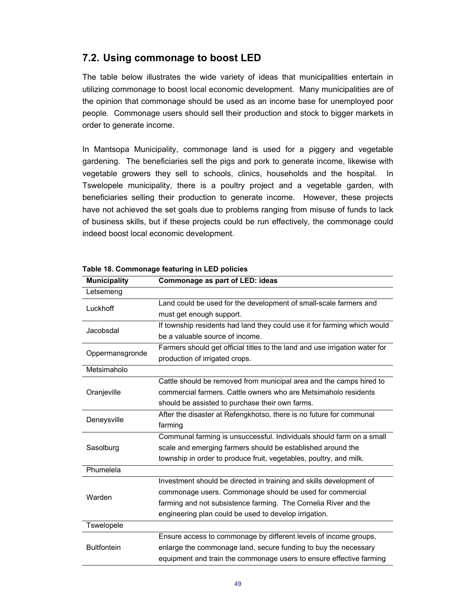### **7.2. Using commonage to boost LED**

The table below illustrates the wide variety of ideas that municipalities entertain in utilizing commonage to boost local economic development. Many municipalities are of the opinion that commonage should be used as an income base for unemployed poor people. Commonage users should sell their production and stock to bigger markets in order to generate income.

In Mantsopa Municipality, commonage land is used for a piggery and vegetable gardening. The beneficiaries sell the pigs and pork to generate income, likewise with vegetable growers they sell to schools, clinics, households and the hospital. In Tswelopele municipality, there is a poultry project and a vegetable garden, with beneficiaries selling their production to generate income. However, these projects have not achieved the set goals due to problems ranging from misuse of funds to lack of business skills, but if these projects could be run effectively, the commonage could indeed boost local economic development.

| <b>Municipality</b> | Commonage as part of LED: ideas                                             |  |
|---------------------|-----------------------------------------------------------------------------|--|
| Letsemeng           |                                                                             |  |
| Luckhoff            | Land could be used for the development of small-scale farmers and           |  |
|                     | must get enough support.                                                    |  |
| Jacobsdal           | If township residents had land they could use it for farming which would    |  |
|                     | be a valuable source of income.                                             |  |
| Oppermansgronde     | Farmers should get official titles to the land and use irrigation water for |  |
|                     | production of irrigated crops.                                              |  |
| Metsimaholo         |                                                                             |  |
|                     | Cattle should be removed from municipal area and the camps hired to         |  |
| Oranjeville         | commercial farmers. Cattle owners who are Metsimaholo residents             |  |
|                     | should be assisted to purchase their own farms.                             |  |
| Deneysville         | After the disaster at Refengkhotso, there is no future for communal         |  |
|                     | farming                                                                     |  |
|                     | Communal farming is unsuccessful. Individuals should farm on a small        |  |
| Sasolburg           | scale and emerging farmers should be established around the                 |  |
|                     | township in order to produce fruit, vegetables, poultry, and milk.          |  |
| Phumelela           |                                                                             |  |
|                     | Investment should be directed in training and skills development of         |  |
| Warden              | commonage users. Commonage should be used for commercial                    |  |
|                     | farming and not subsistence farming. The Cornelia River and the             |  |
|                     | engineering plan could be used to develop irrigation.                       |  |
| Tswelopele          |                                                                             |  |
|                     | Ensure access to commonage by different levels of income groups,            |  |
| <b>Bultfontein</b>  | enlarge the commonage land, secure funding to buy the necessary             |  |
|                     | equipment and train the commonage users to ensure effective farming         |  |

**Table 18. Commonage featuring in LED policies**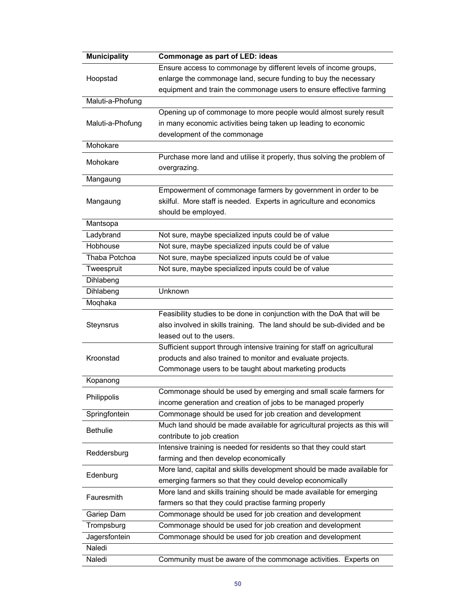| <b>Municipality</b> | Commonage as part of LED: ideas                                           |  |  |
|---------------------|---------------------------------------------------------------------------|--|--|
|                     | Ensure access to commonage by different levels of income groups,          |  |  |
| Hoopstad            | enlarge the commonage land, secure funding to buy the necessary           |  |  |
|                     | equipment and train the commonage users to ensure effective farming       |  |  |
| Maluti-a-Phofung    |                                                                           |  |  |
|                     | Opening up of commonage to more people would almost surely result         |  |  |
| Maluti-a-Phofung    | in many economic activities being taken up leading to economic            |  |  |
|                     | development of the commonage                                              |  |  |
| Mohokare            |                                                                           |  |  |
|                     | Purchase more land and utilise it properly, thus solving the problem of   |  |  |
| Mohokare            | overgrazing.                                                              |  |  |
| Mangaung            |                                                                           |  |  |
|                     | Empowerment of commonage farmers by government in order to be             |  |  |
|                     |                                                                           |  |  |
| Mangaung            | skilful. More staff is needed. Experts in agriculture and economics       |  |  |
|                     | should be employed.                                                       |  |  |
| Mantsopa            |                                                                           |  |  |
| Ladybrand           | Not sure, maybe specialized inputs could be of value                      |  |  |
| Hobhouse            | Not sure, maybe specialized inputs could be of value                      |  |  |
| Thaba Potchoa       | Not sure, maybe specialized inputs could be of value                      |  |  |
| Tweespruit          | Not sure, maybe specialized inputs could be of value                      |  |  |
| Dihlabeng           |                                                                           |  |  |
| Dihlabeng           | Unknown                                                                   |  |  |
| Moqhaka             |                                                                           |  |  |
|                     | Feasibility studies to be done in conjunction with the DoA that will be   |  |  |
| Steynsrus           | also involved in skills training. The land should be sub-divided and be   |  |  |
|                     | leased out to the users.                                                  |  |  |
|                     | Sufficient support through intensive training for staff on agricultural   |  |  |
| Kroonstad           | products and also trained to monitor and evaluate projects.               |  |  |
|                     | Commonage users to be taught about marketing products                     |  |  |
| Kopanong            |                                                                           |  |  |
|                     | Commonage should be used by emerging and small scale farmers for          |  |  |
| Philippolis         | income generation and creation of jobs to be managed properly             |  |  |
| Springfontein       | Commonage should be used for job creation and development                 |  |  |
|                     | Much land should be made available for agricultural projects as this will |  |  |
| <b>Bethulie</b>     | contribute to job creation                                                |  |  |
|                     |                                                                           |  |  |
| Reddersburg         | Intensive training is needed for residents so that they could start       |  |  |
|                     | farming and then develop economically                                     |  |  |
| Edenburg            | More land, capital and skills development should be made available for    |  |  |
|                     | emerging farmers so that they could develop economically                  |  |  |
| Fauresmith          | More land and skills training should be made available for emerging       |  |  |
|                     | farmers so that they could practise farming properly                      |  |  |
| Gariep Dam          | Commonage should be used for job creation and development                 |  |  |
| Trompsburg          | Commonage should be used for job creation and development                 |  |  |
| Jagersfontein       | Commonage should be used for job creation and development                 |  |  |
| Naledi              |                                                                           |  |  |
| Naledi              | Community must be aware of the commonage activities. Experts on           |  |  |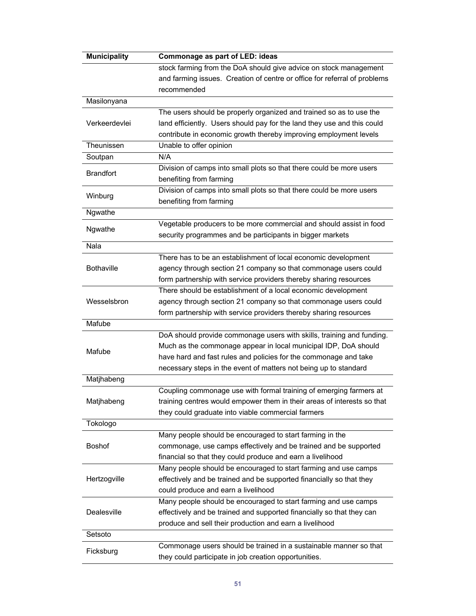| <b>Municipality</b> | Commonage as part of LED: ideas                                           |
|---------------------|---------------------------------------------------------------------------|
|                     | stock farming from the DoA should give advice on stock management         |
|                     | and farming issues. Creation of centre or office for referral of problems |
|                     | recommended                                                               |
| Masilonyana         |                                                                           |
|                     | The users should be properly organized and trained so as to use the       |
| Verkeerdevlei       | land efficiently. Users should pay for the land they use and this could   |
|                     | contribute in economic growth thereby improving employment levels         |
| Theunissen          | Unable to offer opinion                                                   |
| Soutpan             | N/A                                                                       |
|                     | Division of camps into small plots so that there could be more users      |
| <b>Brandfort</b>    | benefiting from farming                                                   |
|                     | Division of camps into small plots so that there could be more users      |
| Winburg             |                                                                           |
|                     | benefiting from farming                                                   |
| Ngwathe             |                                                                           |
| Ngwathe             | Vegetable producers to be more commercial and should assist in food       |
|                     | security programmes and be participants in bigger markets                 |
| Nala                |                                                                           |
|                     | There has to be an establishment of local economic development            |
| <b>Bothaville</b>   | agency through section 21 company so that commonage users could           |
|                     | form partnership with service providers thereby sharing resources         |
|                     | There should be establishment of a local economic development             |
| Wesselsbron         | agency through section 21 company so that commonage users could           |
|                     | form partnership with service providers thereby sharing resources         |
| Mafube              |                                                                           |
|                     | DoA should provide commonage users with skills, training and funding.     |
|                     | Much as the commonage appear in local municipal IDP, DoA should           |
| Mafube              | have hard and fast rules and policies for the commonage and take          |
|                     | necessary steps in the event of matters not being up to standard          |
| Matjhabeng          |                                                                           |
|                     | Coupling commonage use with formal training of emerging farmers at        |
| Matjhabeng          | training centres would empower them in their areas of interests so that   |
|                     | they could graduate into viable commercial farmers                        |
| Tokologo            |                                                                           |
|                     | Many people should be encouraged to start farming in the                  |
| Boshof              | commonage, use camps effectively and be trained and be supported          |
|                     | financial so that they could produce and earn a livelihood                |
|                     | Many people should be encouraged to start farming and use camps           |
|                     |                                                                           |
| Hertzogville        | effectively and be trained and be supported financially so that they      |
|                     | could produce and earn a livelihood                                       |
|                     | Many people should be encouraged to start farming and use camps           |
| Dealesville         | effectively and be trained and supported financially so that they can     |
|                     | produce and sell their production and earn a livelihood                   |
| Setsoto             |                                                                           |
| Ficksburg           | Commonage users should be trained in a sustainable manner so that         |
|                     | they could participate in job creation opportunities.                     |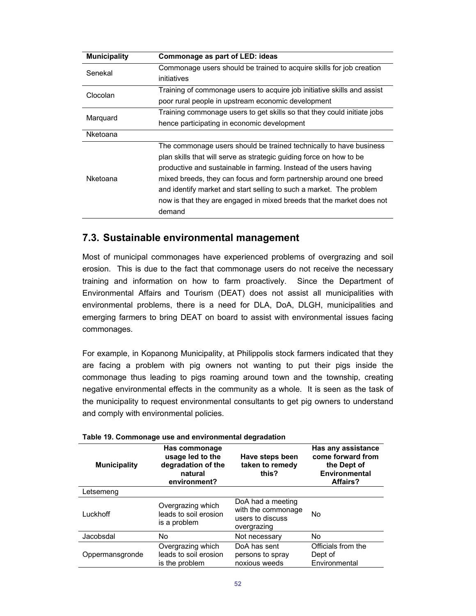| <b>Municipality</b> | Commonage as part of LED: ideas                                         |  |
|---------------------|-------------------------------------------------------------------------|--|
| Senekal             | Commonage users should be trained to acquire skills for job creation    |  |
|                     | initiatives                                                             |  |
| Clocolan            | Training of commonage users to acquire job initiative skills and assist |  |
|                     | poor rural people in upstream economic development                      |  |
| Marquard            | Training commonage users to get skills so that they could initiate jobs |  |
|                     | hence participating in economic development                             |  |
| Nketoana            |                                                                         |  |
|                     | The commonage users should be trained technically to have business      |  |
|                     | plan skills that will serve as strategic guiding force on how to be     |  |
|                     | productive and sustainable in farming. Instead of the users having      |  |
| Nketoana            | mixed breeds, they can focus and form partnership around one breed      |  |
|                     | and identify market and start selling to such a market. The problem     |  |
|                     | now is that they are engaged in mixed breeds that the market does not   |  |
|                     | demand                                                                  |  |
|                     |                                                                         |  |

### **7.3. Sustainable environmental management**

Most of municipal commonages have experienced problems of overgrazing and soil erosion. This is due to the fact that commonage users do not receive the necessary training and information on how to farm proactively. Since the Department of Environmental Affairs and Tourism (DEAT) does not assist all municipalities with environmental problems, there is a need for DLA, DoA, DLGH, municipalities and emerging farmers to bring DEAT on board to assist with environmental issues facing commonages.

For example, in Kopanong Municipality, at Philippolis stock farmers indicated that they are facing a problem with pig owners not wanting to put their pigs inside the commonage thus leading to pigs roaming around town and the township, creating negative environmental effects in the community as a whole. It is seen as the task of the municipality to request environmental consultants to get pig owners to understand and comply with environmental policies.

| <b>Municipality</b> | Has commonage<br>usage led to the<br>degradation of the<br>natural<br>environment? | Have steps been<br>taken to remedy<br>this?                                | Has any assistance<br>come forward from<br>the Dept of<br>Environmental<br>Affairs? |
|---------------------|------------------------------------------------------------------------------------|----------------------------------------------------------------------------|-------------------------------------------------------------------------------------|
| Letsemeng           |                                                                                    |                                                                            |                                                                                     |
| Luckhoff            | Overgrazing which<br>leads to soil erosion<br>is a problem                         | DoA had a meeting<br>with the commonage<br>users to discuss<br>overgrazing | No                                                                                  |
| Jacobsdal           | No.                                                                                | Not necessary                                                              | No                                                                                  |
| Oppermansgronde     | Overgrazing which<br>leads to soil erosion<br>is the problem                       | DoA has sent<br>persons to spray<br>noxious weeds                          | Officials from the<br>Dept of<br>Environmental                                      |

#### **Table 19. Commonage use and environmental degradation**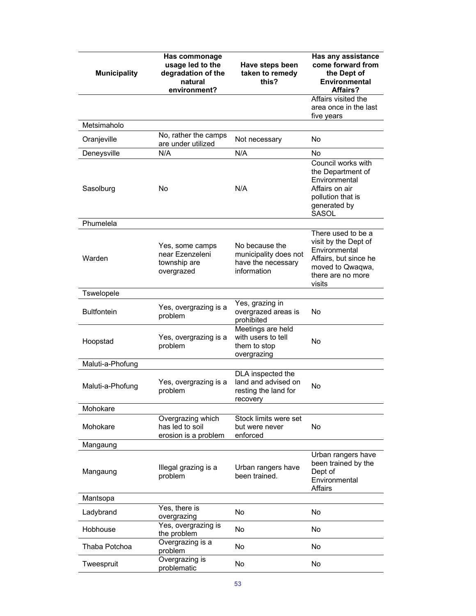| <b>Municipality</b> | <b>Has commonage</b><br>usage led to the<br>degradation of the<br>natural<br>environment? | Have steps been<br>taken to remedy<br>this?                                  | Has any assistance<br>come forward from<br>the Dept of<br><b>Environmental</b><br>Affairs?                                              |
|---------------------|-------------------------------------------------------------------------------------------|------------------------------------------------------------------------------|-----------------------------------------------------------------------------------------------------------------------------------------|
|                     |                                                                                           |                                                                              | Affairs visited the<br>area once in the last<br>five years                                                                              |
| Metsimaholo         |                                                                                           |                                                                              |                                                                                                                                         |
| Oranjeville         | No, rather the camps<br>are under utilized                                                | Not necessary                                                                | No                                                                                                                                      |
| Deneysville         | N/A                                                                                       | N/A                                                                          | No                                                                                                                                      |
| Sasolburg           | No                                                                                        | N/A                                                                          | Council works with<br>the Department of<br>Environmental<br>Affairs on air<br>pollution that is<br>generated by<br><b>SASOL</b>         |
| Phumelela           |                                                                                           |                                                                              |                                                                                                                                         |
| Warden              | Yes, some camps<br>near Ezenzeleni<br>township are<br>overgrazed                          | No because the<br>municipality does not<br>have the necessary<br>information | There used to be a<br>visit by the Dept of<br>Environmental<br>Affairs, but since he<br>moved to Qwaqwa,<br>there are no more<br>visits |
| Tswelopele          |                                                                                           |                                                                              |                                                                                                                                         |
| <b>Bultfontein</b>  | Yes, overgrazing is a<br>problem                                                          | Yes, grazing in<br>overgrazed areas is<br>prohibited                         | No                                                                                                                                      |
| Hoopstad            | Yes, overgrazing is a<br>problem                                                          | Meetings are held<br>with users to tell<br>them to stop<br>overgrazing       | No                                                                                                                                      |
| Maluti-a-Phofung    |                                                                                           |                                                                              |                                                                                                                                         |
| Maluti-a-Phofung    | Yes, overgrazing is a<br>problem                                                          | DLA inspected the<br>land and advised on<br>resting the land for<br>recovery | No                                                                                                                                      |
| Mohokare            |                                                                                           |                                                                              |                                                                                                                                         |
| Mohokare            | Overgrazing which<br>has led to soil<br>erosion is a problem                              | Stock limits were set<br>but were never<br>enforced                          | No                                                                                                                                      |
| Mangaung            |                                                                                           |                                                                              |                                                                                                                                         |
| Mangaung            | Illegal grazing is a<br>problem                                                           | Urban rangers have<br>been trained.                                          | Urban rangers have<br>been trained by the<br>Dept of<br>Environmental<br>Affairs                                                        |
| Mantsopa            |                                                                                           |                                                                              |                                                                                                                                         |
| Ladybrand           | Yes, there is<br>overgrazing                                                              | No                                                                           | No                                                                                                                                      |
| Hobhouse            | Yes, overgrazing is<br>the problem                                                        | No                                                                           | No                                                                                                                                      |
| Thaba Potchoa       | Overgrazing is a<br>problem                                                               | No                                                                           | No                                                                                                                                      |
| Tweespruit          | Overgrazing is<br>problematic                                                             | No                                                                           | No                                                                                                                                      |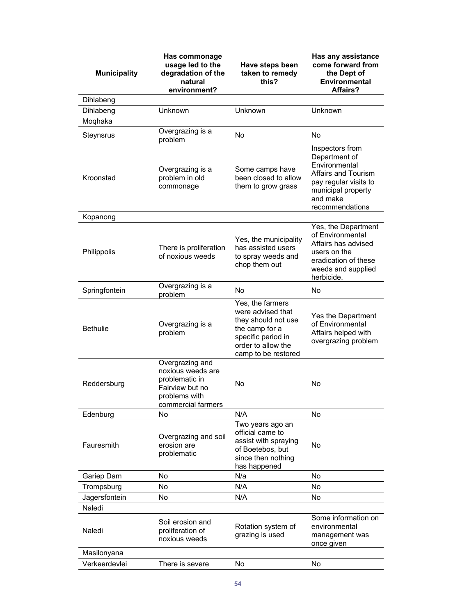| <b>Municipality</b> | Has commonage<br>usage led to the<br>degradation of the<br>natural<br>environment?                               | Have steps been<br>taken to remedy<br>this?                                                                                                       | Has any assistance<br>come forward from<br>the Dept of<br><b>Environmental</b><br>Affairs?                                                             |
|---------------------|------------------------------------------------------------------------------------------------------------------|---------------------------------------------------------------------------------------------------------------------------------------------------|--------------------------------------------------------------------------------------------------------------------------------------------------------|
| Dihlabeng           |                                                                                                                  |                                                                                                                                                   |                                                                                                                                                        |
| Dihlabeng           | Unknown                                                                                                          | Unknown                                                                                                                                           | Unknown                                                                                                                                                |
| Moqhaka             |                                                                                                                  |                                                                                                                                                   |                                                                                                                                                        |
| Steynsrus           | Overgrazing is a<br>problem                                                                                      | No                                                                                                                                                | No                                                                                                                                                     |
| Kroonstad           | Overgrazing is a<br>problem in old<br>commonage                                                                  | Some camps have<br>been closed to allow<br>them to grow grass                                                                                     | Inspectors from<br>Department of<br>Environmental<br>Affairs and Tourism<br>pay regular visits to<br>municipal property<br>and make<br>recommendations |
| Kopanong            |                                                                                                                  |                                                                                                                                                   |                                                                                                                                                        |
| Philippolis         | There is proliferation<br>of noxious weeds                                                                       | Yes, the municipality<br>has assisted users<br>to spray weeds and<br>chop them out                                                                | Yes, the Department<br>of Environmental<br>Affairs has advised<br>users on the<br>eradication of these<br>weeds and supplied<br>herbicide.             |
| Springfontein       | Overgrazing is a<br>problem                                                                                      | No                                                                                                                                                | No                                                                                                                                                     |
| <b>Bethulie</b>     | Overgrazing is a<br>problem                                                                                      | Yes, the farmers<br>were advised that<br>they should not use<br>the camp for a<br>specific period in<br>order to allow the<br>camp to be restored | Yes the Department<br>of Environmental<br>Affairs helped with<br>overgrazing problem                                                                   |
| Reddersburg         | Overgrazing and<br>noxious weeds are<br>problematic in<br>Fairview but no<br>problems with<br>commercial farmers | No                                                                                                                                                | No                                                                                                                                                     |
| Edenburg            | No                                                                                                               | N/A                                                                                                                                               | No                                                                                                                                                     |
| Fauresmith          | Overgrazing and soil<br>erosion are<br>problematic                                                               | Two years ago an<br>official came to<br>assist with spraying<br>of Boetebos, but<br>since then nothing<br>has happened                            | No                                                                                                                                                     |
| Gariep Dam          | No                                                                                                               | N/a                                                                                                                                               | No                                                                                                                                                     |
| Trompsburg          | No                                                                                                               | N/A                                                                                                                                               | No                                                                                                                                                     |
| Jagersfontein       | No                                                                                                               | N/A                                                                                                                                               | No                                                                                                                                                     |
| Naledi              |                                                                                                                  |                                                                                                                                                   |                                                                                                                                                        |
| Naledi              | Soil erosion and<br>proliferation of<br>noxious weeds                                                            | Rotation system of<br>grazing is used                                                                                                             | Some information on<br>environmental<br>management was<br>once given                                                                                   |
| Masilonyana         |                                                                                                                  |                                                                                                                                                   |                                                                                                                                                        |
| Verkeerdevlei       | There is severe                                                                                                  | No                                                                                                                                                | No                                                                                                                                                     |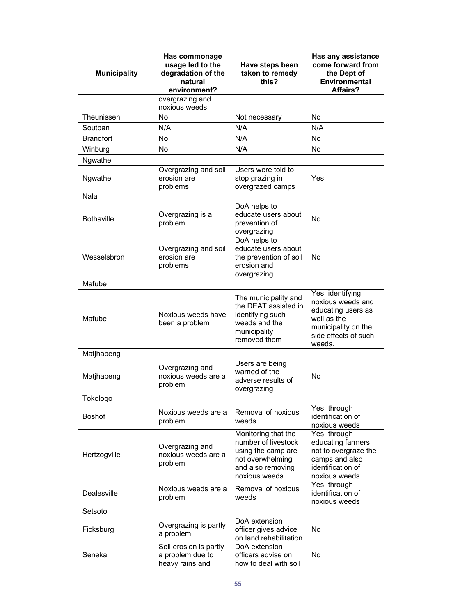| <b>Municipality</b> | Has commonage<br>usage led to the<br>degradation of the<br>natural<br>environment? | Have steps been<br>taken to remedy<br>this?                                                                                | Has any assistance<br>come forward from<br>the Dept of<br><b>Environmental</b><br>Affairs?                                          |
|---------------------|------------------------------------------------------------------------------------|----------------------------------------------------------------------------------------------------------------------------|-------------------------------------------------------------------------------------------------------------------------------------|
|                     | overgrazing and<br>noxious weeds                                                   |                                                                                                                            |                                                                                                                                     |
| Theunissen          | No                                                                                 | Not necessary                                                                                                              | <b>No</b>                                                                                                                           |
| Soutpan             | N/A                                                                                | N/A                                                                                                                        | N/A                                                                                                                                 |
| <b>Brandfort</b>    | No                                                                                 | N/A                                                                                                                        | No                                                                                                                                  |
| Winburg             | No                                                                                 | N/A                                                                                                                        | No                                                                                                                                  |
| Ngwathe             |                                                                                    |                                                                                                                            |                                                                                                                                     |
| Ngwathe             | Overgrazing and soil<br>erosion are<br>problems                                    | Users were told to<br>stop grazing in<br>overgrazed camps                                                                  | Yes                                                                                                                                 |
| Nala                |                                                                                    |                                                                                                                            |                                                                                                                                     |
| <b>Bothaville</b>   | Overgrazing is a<br>problem                                                        | DoA helps to<br>educate users about<br>prevention of<br>overgrazing                                                        | No                                                                                                                                  |
| Wesselsbron         | Overgrazing and soil<br>erosion are<br>problems                                    | DoA helps to<br>educate users about<br>the prevention of soil<br>erosion and<br>overgrazing                                | No                                                                                                                                  |
| Mafube              |                                                                                    |                                                                                                                            |                                                                                                                                     |
| Mafube              | Noxious weeds have<br>been a problem                                               | The municipality and<br>the DEAT assisted in<br>identifying such<br>weeds and the<br>municipality<br>removed them          | Yes, identifying<br>noxious weeds and<br>educating users as<br>well as the<br>municipality on the<br>side effects of such<br>weeds. |
| Matjhabeng          |                                                                                    |                                                                                                                            |                                                                                                                                     |
| Matjhabeng          | Overgrazing and<br>noxious weeds are a<br>problem                                  | Users are being<br>warned of the<br>adverse results of<br>overgrazing                                                      | No                                                                                                                                  |
| Tokologo            |                                                                                    |                                                                                                                            |                                                                                                                                     |
| <b>Boshof</b>       | Noxious weeds are a<br>problem                                                     | Removal of noxious<br>weeds                                                                                                | Yes, through<br>identification of<br>noxious weeds                                                                                  |
| Hertzogville        | Overgrazing and<br>noxious weeds are a<br>problem                                  | Monitoring that the<br>number of livestock<br>using the camp are<br>not overwhelming<br>and also removing<br>noxious weeds | Yes, through<br>educating farmers<br>not to overgraze the<br>camps and also<br>identification of<br>noxious weeds                   |
| Dealesville         | Noxious weeds are a<br>problem                                                     | Removal of noxious<br>weeds                                                                                                | Yes, through<br>identification of<br>noxious weeds                                                                                  |
| Setsoto             |                                                                                    |                                                                                                                            |                                                                                                                                     |
| Ficksburg           | Overgrazing is partly<br>a problem                                                 | DoA extension<br>officer gives advice<br>on land rehabilitation                                                            | No                                                                                                                                  |
| Senekal             | Soil erosion is partly<br>a problem due to<br>heavy rains and                      | DoA extension<br>officers advise on<br>how to deal with soil                                                               | No                                                                                                                                  |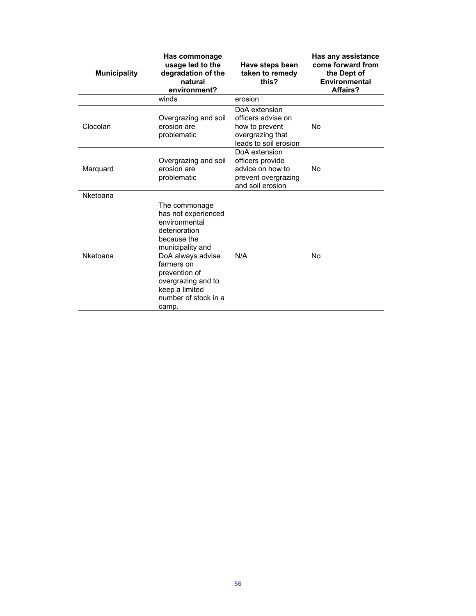| <b>Municipality</b> | Has commonage<br>usage led to the<br>degradation of the<br>natural<br>environment?                                                                                                                                                     | Have steps been<br>taken to remedy<br>this?                                                        | Has any assistance<br>come forward from<br>the Dept of<br>Environmental<br>Affairs? |
|---------------------|----------------------------------------------------------------------------------------------------------------------------------------------------------------------------------------------------------------------------------------|----------------------------------------------------------------------------------------------------|-------------------------------------------------------------------------------------|
|                     | winds                                                                                                                                                                                                                                  | erosion                                                                                            |                                                                                     |
| Clocolan            | Overgrazing and soil<br>erosion are<br>problematic                                                                                                                                                                                     | DoA extension<br>officers advise on<br>how to prevent<br>overgrazing that<br>leads to soil erosion | No                                                                                  |
| Marquard            | Overgrazing and soil<br>erosion are<br>problematic                                                                                                                                                                                     | DoA extension<br>officers provide<br>advice on how to<br>prevent overgrazing<br>and soil erosion   | No                                                                                  |
| Nketoana            |                                                                                                                                                                                                                                        |                                                                                                    |                                                                                     |
| Nketoana            | The commonage<br>has not experienced<br>environmental<br>deterioration<br>because the<br>municipality and<br>DoA always advise<br>farmers on<br>prevention of<br>overgrazing and to<br>keep a limited<br>number of stock in a<br>camp. | N/A                                                                                                | No                                                                                  |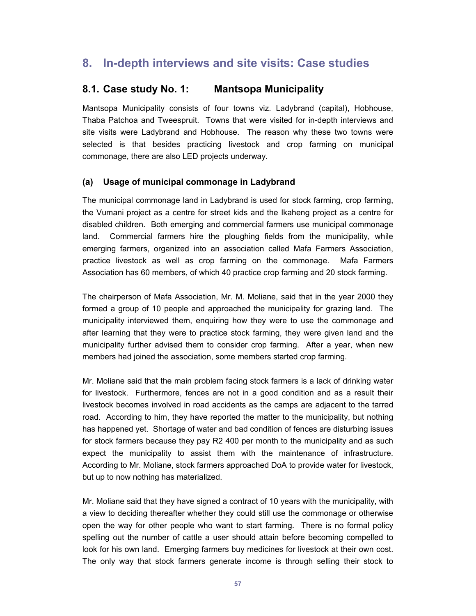## **8. In-depth interviews and site visits: Case studies**

### **8.1. Case study No. 1: Mantsopa Municipality**

Mantsopa Municipality consists of four towns viz. Ladybrand (capital), Hobhouse, Thaba Patchoa and Tweespruit. Towns that were visited for in-depth interviews and site visits were Ladybrand and Hobhouse. The reason why these two towns were selected is that besides practicing livestock and crop farming on municipal commonage, there are also LED projects underway.

#### **(a) Usage of municipal commonage in Ladybrand**

The municipal commonage land in Ladybrand is used for stock farming, crop farming, the Vumani project as a centre for street kids and the Ikaheng project as a centre for disabled children. Both emerging and commercial farmers use municipal commonage land. Commercial farmers hire the ploughing fields from the municipality, while emerging farmers, organized into an association called Mafa Farmers Association, practice livestock as well as crop farming on the commonage. Mafa Farmers Association has 60 members, of which 40 practice crop farming and 20 stock farming.

The chairperson of Mafa Association, Mr. M. Moliane, said that in the year 2000 they formed a group of 10 people and approached the municipality for grazing land. The municipality interviewed them, enquiring how they were to use the commonage and after learning that they were to practice stock farming, they were given land and the municipality further advised them to consider crop farming. After a year, when new members had joined the association, some members started crop farming.

Mr. Moliane said that the main problem facing stock farmers is a lack of drinking water for livestock. Furthermore, fences are not in a good condition and as a result their livestock becomes involved in road accidents as the camps are adjacent to the tarred road. According to him, they have reported the matter to the municipality, but nothing has happened yet. Shortage of water and bad condition of fences are disturbing issues for stock farmers because they pay R2 400 per month to the municipality and as such expect the municipality to assist them with the maintenance of infrastructure. According to Mr. Moliane, stock farmers approached DoA to provide water for livestock, but up to now nothing has materialized.

Mr. Moliane said that they have signed a contract of 10 years with the municipality, with a view to deciding thereafter whether they could still use the commonage or otherwise open the way for other people who want to start farming. There is no formal policy spelling out the number of cattle a user should attain before becoming compelled to look for his own land. Emerging farmers buy medicines for livestock at their own cost. The only way that stock farmers generate income is through selling their stock to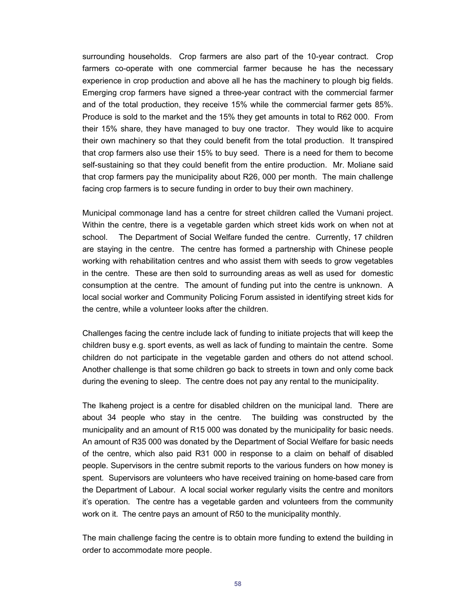surrounding households. Crop farmers are also part of the 10-year contract. Crop farmers co-operate with one commercial farmer because he has the necessary experience in crop production and above all he has the machinery to plough big fields. Emerging crop farmers have signed a three-year contract with the commercial farmer and of the total production, they receive 15% while the commercial farmer gets 85%. Produce is sold to the market and the 15% they get amounts in total to R62 000. From their 15% share, they have managed to buy one tractor. They would like to acquire their own machinery so that they could benefit from the total production. It transpired that crop farmers also use their 15% to buy seed. There is a need for them to become self-sustaining so that they could benefit from the entire production. Mr. Moliane said that crop farmers pay the municipality about R26, 000 per month. The main challenge facing crop farmers is to secure funding in order to buy their own machinery.

Municipal commonage land has a centre for street children called the Vumani project. Within the centre, there is a vegetable garden which street kids work on when not at school. The Department of Social Welfare funded the centre. Currently, 17 children are staying in the centre. The centre has formed a partnership with Chinese people working with rehabilitation centres and who assist them with seeds to grow vegetables in the centre. These are then sold to surrounding areas as well as used for domestic consumption at the centre. The amount of funding put into the centre is unknown. A local social worker and Community Policing Forum assisted in identifying street kids for the centre, while a volunteer looks after the children.

Challenges facing the centre include lack of funding to initiate projects that will keep the children busy e.g. sport events, as well as lack of funding to maintain the centre. Some children do not participate in the vegetable garden and others do not attend school. Another challenge is that some children go back to streets in town and only come back during the evening to sleep. The centre does not pay any rental to the municipality.

The Ikaheng project is a centre for disabled children on the municipal land. There are about 34 people who stay in the centre. The building was constructed by the municipality and an amount of R15 000 was donated by the municipality for basic needs. An amount of R35 000 was donated by the Department of Social Welfare for basic needs of the centre, which also paid R31 000 in response to a claim on behalf of disabled people. Supervisors in the centre submit reports to the various funders on how money is spent. Supervisors are volunteers who have received training on home-based care from the Department of Labour. A local social worker regularly visits the centre and monitors it's operation. The centre has a vegetable garden and volunteers from the community work on it. The centre pays an amount of R50 to the municipality monthly.

The main challenge facing the centre is to obtain more funding to extend the building in order to accommodate more people.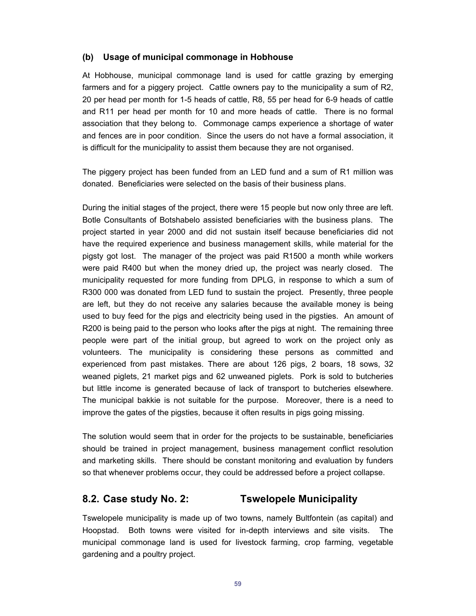#### **(b) Usage of municipal commonage in Hobhouse**

At Hobhouse, municipal commonage land is used for cattle grazing by emerging farmers and for a piggery project. Cattle owners pay to the municipality a sum of R2, 20 per head per month for 1-5 heads of cattle, R8, 55 per head for 6-9 heads of cattle and R11 per head per month for 10 and more heads of cattle. There is no formal association that they belong to. Commonage camps experience a shortage of water and fences are in poor condition. Since the users do not have a formal association, it is difficult for the municipality to assist them because they are not organised.

The piggery project has been funded from an LED fund and a sum of R1 million was donated. Beneficiaries were selected on the basis of their business plans.

During the initial stages of the project, there were 15 people but now only three are left. Botle Consultants of Botshabelo assisted beneficiaries with the business plans. The project started in year 2000 and did not sustain itself because beneficiaries did not have the required experience and business management skills, while material for the pigsty got lost. The manager of the project was paid R1500 a month while workers were paid R400 but when the money dried up, the project was nearly closed. The municipality requested for more funding from DPLG, in response to which a sum of R300 000 was donated from LED fund to sustain the project. Presently, three people are left, but they do not receive any salaries because the available money is being used to buy feed for the pigs and electricity being used in the pigsties. An amount of R200 is being paid to the person who looks after the pigs at night. The remaining three people were part of the initial group, but agreed to work on the project only as volunteers. The municipality is considering these persons as committed and experienced from past mistakes. There are about 126 pigs, 2 boars, 18 sows, 32 weaned piglets, 21 market pigs and 62 unweaned piglets. Pork is sold to butcheries but little income is generated because of lack of transport to butcheries elsewhere. The municipal bakkie is not suitable for the purpose. Moreover, there is a need to improve the gates of the pigsties, because it often results in pigs going missing.

The solution would seem that in order for the projects to be sustainable, beneficiaries should be trained in project management, business management conflict resolution and marketing skills. There should be constant monitoring and evaluation by funders so that whenever problems occur, they could be addressed before a project collapse.

### **8.2. Case study No. 2: Tswelopele Municipality**

Tswelopele municipality is made up of two towns, namely Bultfontein (as capital) and Hoopstad. Both towns were visited for in-depth interviews and site visits. The municipal commonage land is used for livestock farming, crop farming, vegetable gardening and a poultry project.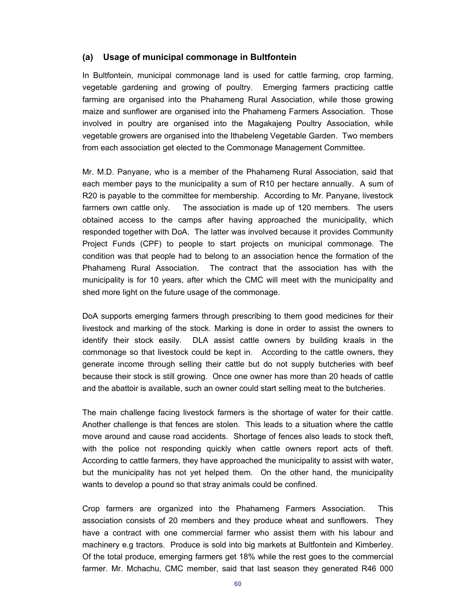#### **(a) Usage of municipal commonage in Bultfontein**

In Bultfontein, municipal commonage land is used for cattle farming, crop farming, vegetable gardening and growing of poultry. Emerging farmers practicing cattle farming are organised into the Phahameng Rural Association, while those growing maize and sunflower are organised into the Phahameng Farmers Association. Those involved in poultry are organised into the Magakajeng Poultry Association, while vegetable growers are organised into the Ithabeleng Vegetable Garden. Two members from each association get elected to the Commonage Management Committee.

Mr. M.D. Panyane, who is a member of the Phahameng Rural Association, said that each member pays to the municipality a sum of R10 per hectare annually. A sum of R20 is payable to the committee for membership. According to Mr. Panyane, livestock farmers own cattle only. The association is made up of 120 members. The users obtained access to the camps after having approached the municipality, which responded together with DoA. The latter was involved because it provides Community Project Funds (CPF) to people to start projects on municipal commonage. The condition was that people had to belong to an association hence the formation of the Phahameng Rural Association. The contract that the association has with the municipality is for 10 years, after which the CMC will meet with the municipality and shed more light on the future usage of the commonage.

DoA supports emerging farmers through prescribing to them good medicines for their livestock and marking of the stock. Marking is done in order to assist the owners to identify their stock easily. DLA assist cattle owners by building kraals in the commonage so that livestock could be kept in. According to the cattle owners, they generate income through selling their cattle but do not supply butcheries with beef because their stock is still growing. Once one owner has more than 20 heads of cattle and the abattoir is available, such an owner could start selling meat to the butcheries.

The main challenge facing livestock farmers is the shortage of water for their cattle. Another challenge is that fences are stolen. This leads to a situation where the cattle move around and cause road accidents. Shortage of fences also leads to stock theft, with the police not responding quickly when cattle owners report acts of theft. According to cattle farmers, they have approached the municipality to assist with water, but the municipality has not yet helped them. On the other hand, the municipality wants to develop a pound so that stray animals could be confined.

Crop farmers are organized into the Phahameng Farmers Association. This association consists of 20 members and they produce wheat and sunflowers. They have a contract with one commercial farmer who assist them with his labour and machinery e.g tractors. Produce is sold into big markets at Bultfontein and Kimberley. Of the total produce, emerging farmers get 18% while the rest goes to the commercial farmer. Mr. Mchachu, CMC member, said that last season they generated R46 000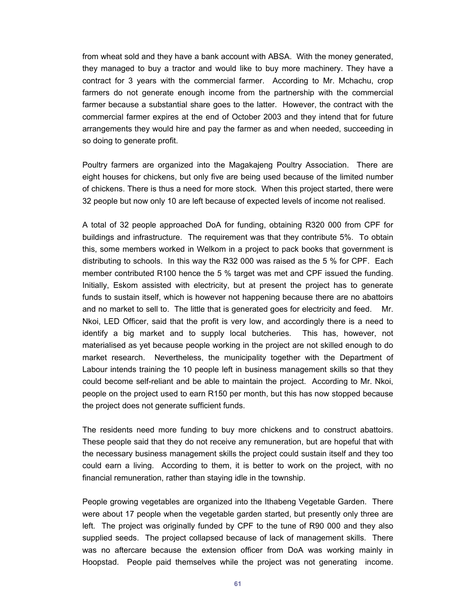from wheat sold and they have a bank account with ABSA. With the money generated, they managed to buy a tractor and would like to buy more machinery. They have a contract for 3 years with the commercial farmer. According to Mr. Mchachu, crop farmers do not generate enough income from the partnership with the commercial farmer because a substantial share goes to the latter. However, the contract with the commercial farmer expires at the end of October 2003 and they intend that for future arrangements they would hire and pay the farmer as and when needed, succeeding in so doing to generate profit.

Poultry farmers are organized into the Magakajeng Poultry Association. There are eight houses for chickens, but only five are being used because of the limited number of chickens. There is thus a need for more stock. When this project started, there were 32 people but now only 10 are left because of expected levels of income not realised.

A total of 32 people approached DoA for funding, obtaining R320 000 from CPF for buildings and infrastructure. The requirement was that they contribute 5%. To obtain this, some members worked in Welkom in a project to pack books that government is distributing to schools. In this way the R32 000 was raised as the 5 % for CPF. Each member contributed R100 hence the 5 % target was met and CPF issued the funding. Initially, Eskom assisted with electricity, but at present the project has to generate funds to sustain itself, which is however not happening because there are no abattoirs and no market to sell to. The little that is generated goes for electricity and feed. Mr. Nkoi, LED Officer, said that the profit is very low, and accordingly there is a need to identify a big market and to supply local butcheries. This has, however, not materialised as yet because people working in the project are not skilled enough to do market research. Nevertheless, the municipality together with the Department of Labour intends training the 10 people left in business management skills so that they could become self-reliant and be able to maintain the project. According to Mr. Nkoi, people on the project used to earn R150 per month, but this has now stopped because the project does not generate sufficient funds.

The residents need more funding to buy more chickens and to construct abattoirs. These people said that they do not receive any remuneration, but are hopeful that with the necessary business management skills the project could sustain itself and they too could earn a living. According to them, it is better to work on the project, with no financial remuneration, rather than staying idle in the township.

People growing vegetables are organized into the Ithabeng Vegetable Garden. There were about 17 people when the vegetable garden started, but presently only three are left. The project was originally funded by CPF to the tune of R90 000 and they also supplied seeds. The project collapsed because of lack of management skills. There was no aftercare because the extension officer from DoA was working mainly in Hoopstad. People paid themselves while the project was not generating income.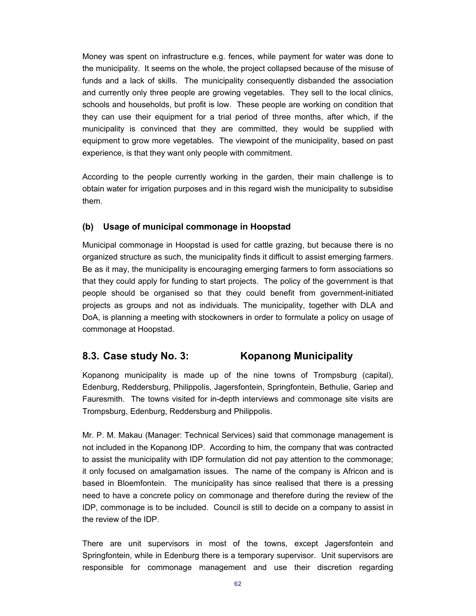Money was spent on infrastructure e.g. fences, while payment for water was done to the municipality. It seems on the whole, the project collapsed because of the misuse of funds and a lack of skills. The municipality consequently disbanded the association and currently only three people are growing vegetables. They sell to the local clinics, schools and households, but profit is low. These people are working on condition that they can use their equipment for a trial period of three months, after which, if the municipality is convinced that they are committed, they would be supplied with equipment to grow more vegetables. The viewpoint of the municipality, based on past experience, is that they want only people with commitment.

According to the people currently working in the garden, their main challenge is to obtain water for irrigation purposes and in this regard wish the municipality to subsidise them.

#### **(b) Usage of municipal commonage in Hoopstad**

Municipal commonage in Hoopstad is used for cattle grazing, but because there is no organized structure as such, the municipality finds it difficult to assist emerging farmers. Be as it may, the municipality is encouraging emerging farmers to form associations so that they could apply for funding to start projects. The policy of the government is that people should be organised so that they could benefit from government-initiated projects as groups and not as individuals. The municipality, together with DLA and DoA, is planning a meeting with stockowners in order to formulate a policy on usage of commonage at Hoopstad.

### **8.3. Case study No. 3: Kopanong Municipality**

Kopanong municipality is made up of the nine towns of Trompsburg (capital), Edenburg, Reddersburg, Philippolis, Jagersfontein, Springfontein, Bethulie, Gariep and Fauresmith. The towns visited for in-depth interviews and commonage site visits are Trompsburg, Edenburg, Reddersburg and Philippolis.

Mr. P. M. Makau (Manager: Technical Services) said that commonage management is not included in the Kopanong IDP. According to him, the company that was contracted to assist the municipality with IDP formulation did not pay attention to the commonage; it only focused on amalgamation issues. The name of the company is Africon and is based in Bloemfontein. The municipality has since realised that there is a pressing need to have a concrete policy on commonage and therefore during the review of the IDP, commonage is to be included. Council is still to decide on a company to assist in the review of the IDP.

There are unit supervisors in most of the towns, except Jagersfontein and Springfontein, while in Edenburg there is a temporary supervisor. Unit supervisors are responsible for commonage management and use their discretion regarding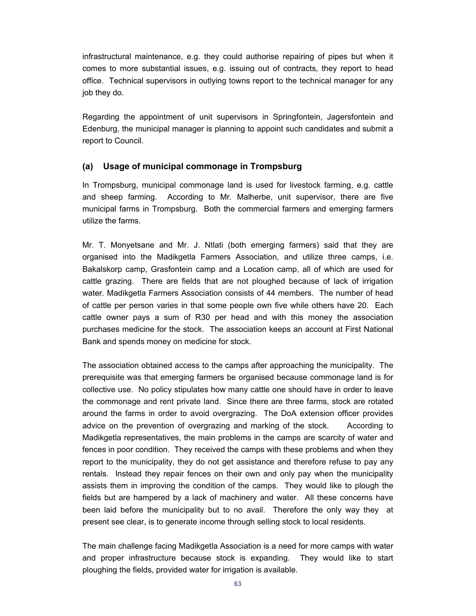infrastructural maintenance, e.g. they could authorise repairing of pipes but when it comes to more substantial issues, e.g. issuing out of contracts, they report to head office. Technical supervisors in outlying towns report to the technical manager for any job they do.

Regarding the appointment of unit supervisors in Springfontein, Jagersfontein and Edenburg, the municipal manager is planning to appoint such candidates and submit a report to Council.

#### **(a) Usage of municipal commonage in Trompsburg**

In Trompsburg, municipal commonage land is used for livestock farming, e.g. cattle and sheep farming. According to Mr. Malherbe, unit supervisor, there are five municipal farms in Trompsburg. Both the commercial farmers and emerging farmers utilize the farms.

Mr. T. Monyetsane and Mr. J. Ntlati (both emerging farmers) said that they are organised into the Madikgetla Farmers Association, and utilize three camps, i.e. Bakalskorp camp, Grasfontein camp and a Location camp, all of which are used for cattle grazing. There are fields that are not ploughed because of lack of irrigation water. Madikgetla Farmers Association consists of 44 members. The number of head of cattle per person varies in that some people own five while others have 20. Each cattle owner pays a sum of R30 per head and with this money the association purchases medicine for the stock. The association keeps an account at First National Bank and spends money on medicine for stock.

The association obtained access to the camps after approaching the municipality. The prerequisite was that emerging farmers be organised because commonage land is for collective use. No policy stipulates how many cattle one should have in order to leave the commonage and rent private land. Since there are three farms, stock are rotated around the farms in order to avoid overgrazing. The DoA extension officer provides advice on the prevention of overgrazing and marking of the stock. According to Madikgetla representatives, the main problems in the camps are scarcity of water and fences in poor condition. They received the camps with these problems and when they report to the municipality, they do not get assistance and therefore refuse to pay any rentals. Instead they repair fences on their own and only pay when the municipality assists them in improving the condition of the camps. They would like to plough the fields but are hampered by a lack of machinery and water. All these concerns have been laid before the municipality but to no avail. Therefore the only way they at present see clear, is to generate income through selling stock to local residents.

The main challenge facing Madikgetla Association is a need for more camps with water and proper infrastructure because stock is expanding. They would like to start ploughing the fields, provided water for irrigation is available.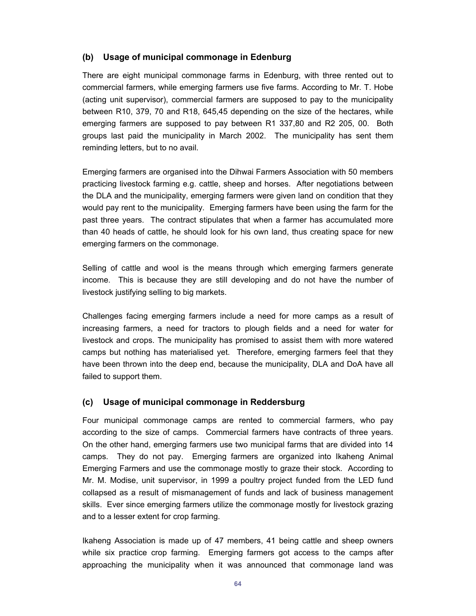#### **(b) Usage of municipal commonage in Edenburg**

There are eight municipal commonage farms in Edenburg, with three rented out to commercial farmers, while emerging farmers use five farms. According to Mr. T. Hobe (acting unit supervisor), commercial farmers are supposed to pay to the municipality between R10, 379, 70 and R18, 645,45 depending on the size of the hectares, while emerging farmers are supposed to pay between R1 337,80 and R2 205, 00. Both groups last paid the municipality in March 2002. The municipality has sent them reminding letters, but to no avail.

Emerging farmers are organised into the Dihwai Farmers Association with 50 members practicing livestock farming e.g. cattle, sheep and horses. After negotiations between the DLA and the municipality, emerging farmers were given land on condition that they would pay rent to the municipality. Emerging farmers have been using the farm for the past three years. The contract stipulates that when a farmer has accumulated more than 40 heads of cattle, he should look for his own land, thus creating space for new emerging farmers on the commonage.

Selling of cattle and wool is the means through which emerging farmers generate income. This is because they are still developing and do not have the number of livestock justifying selling to big markets.

Challenges facing emerging farmers include a need for more camps as a result of increasing farmers, a need for tractors to plough fields and a need for water for livestock and crops. The municipality has promised to assist them with more watered camps but nothing has materialised yet. Therefore, emerging farmers feel that they have been thrown into the deep end, because the municipality, DLA and DoA have all failed to support them.

#### **(c) Usage of municipal commonage in Reddersburg**

Four municipal commonage camps are rented to commercial farmers, who pay according to the size of camps. Commercial farmers have contracts of three years. On the other hand, emerging farmers use two municipal farms that are divided into 14 camps. They do not pay. Emerging farmers are organized into Ikaheng Animal Emerging Farmers and use the commonage mostly to graze their stock. According to Mr. M. Modise, unit supervisor, in 1999 a poultry project funded from the LED fund collapsed as a result of mismanagement of funds and lack of business management skills. Ever since emerging farmers utilize the commonage mostly for livestock grazing and to a lesser extent for crop farming.

Ikaheng Association is made up of 47 members, 41 being cattle and sheep owners while six practice crop farming. Emerging farmers got access to the camps after approaching the municipality when it was announced that commonage land was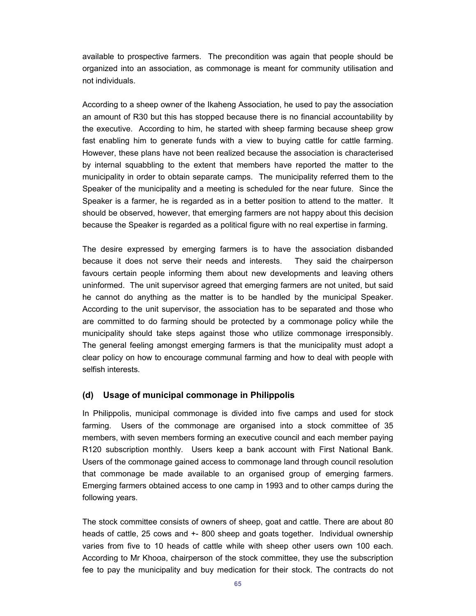available to prospective farmers. The precondition was again that people should be organized into an association, as commonage is meant for community utilisation and not individuals.

According to a sheep owner of the Ikaheng Association, he used to pay the association an amount of R30 but this has stopped because there is no financial accountability by the executive. According to him, he started with sheep farming because sheep grow fast enabling him to generate funds with a view to buying cattle for cattle farming. However, these plans have not been realized because the association is characterised by internal squabbling to the extent that members have reported the matter to the municipality in order to obtain separate camps. The municipality referred them to the Speaker of the municipality and a meeting is scheduled for the near future. Since the Speaker is a farmer, he is regarded as in a better position to attend to the matter. It should be observed, however, that emerging farmers are not happy about this decision because the Speaker is regarded as a political figure with no real expertise in farming.

The desire expressed by emerging farmers is to have the association disbanded because it does not serve their needs and interests. They said the chairperson favours certain people informing them about new developments and leaving others uninformed. The unit supervisor agreed that emerging farmers are not united, but said he cannot do anything as the matter is to be handled by the municipal Speaker. According to the unit supervisor, the association has to be separated and those who are committed to do farming should be protected by a commonage policy while the municipality should take steps against those who utilize commonage irresponsibly. The general feeling amongst emerging farmers is that the municipality must adopt a clear policy on how to encourage communal farming and how to deal with people with selfish interests.

#### **(d) Usage of municipal commonage in Philippolis**

In Philippolis, municipal commonage is divided into five camps and used for stock farming. Users of the commonage are organised into a stock committee of 35 members, with seven members forming an executive council and each member paying R120 subscription monthly. Users keep a bank account with First National Bank. Users of the commonage gained access to commonage land through council resolution that commonage be made available to an organised group of emerging farmers. Emerging farmers obtained access to one camp in 1993 and to other camps during the following years.

The stock committee consists of owners of sheep, goat and cattle. There are about 80 heads of cattle, 25 cows and +- 800 sheep and goats together. Individual ownership varies from five to 10 heads of cattle while with sheep other users own 100 each. According to Mr Khooa, chairperson of the stock committee, they use the subscription fee to pay the municipality and buy medication for their stock. The contracts do not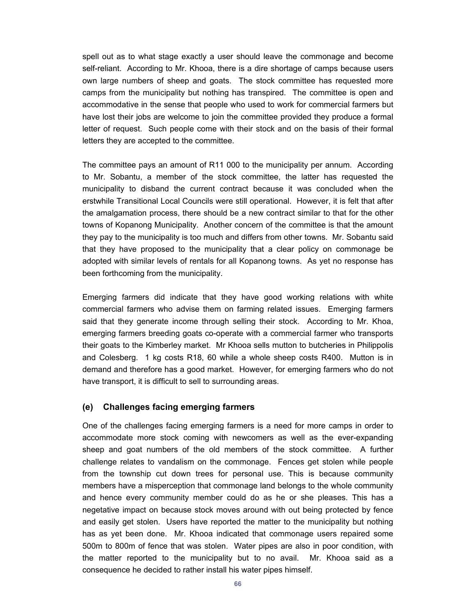spell out as to what stage exactly a user should leave the commonage and become self-reliant. According to Mr. Khooa, there is a dire shortage of camps because users own large numbers of sheep and goats. The stock committee has requested more camps from the municipality but nothing has transpired. The committee is open and accommodative in the sense that people who used to work for commercial farmers but have lost their jobs are welcome to join the committee provided they produce a formal letter of request. Such people come with their stock and on the basis of their formal letters they are accepted to the committee.

The committee pays an amount of R11 000 to the municipality per annum. According to Mr. Sobantu, a member of the stock committee, the latter has requested the municipality to disband the current contract because it was concluded when the erstwhile Transitional Local Councils were still operational. However, it is felt that after the amalgamation process, there should be a new contract similar to that for the other towns of Kopanong Municipality. Another concern of the committee is that the amount they pay to the municipality is too much and differs from other towns. Mr. Sobantu said that they have proposed to the municipality that a clear policy on commonage be adopted with similar levels of rentals for all Kopanong towns. As yet no response has been forthcoming from the municipality.

Emerging farmers did indicate that they have good working relations with white commercial farmers who advise them on farming related issues. Emerging farmers said that they generate income through selling their stock. According to Mr. Khoa, emerging farmers breeding goats co-operate with a commercial farmer who transports their goats to the Kimberley market. Mr Khooa sells mutton to butcheries in Philippolis and Colesberg. 1 kg costs R18, 60 while a whole sheep costs R400. Mutton is in demand and therefore has a good market. However, for emerging farmers who do not have transport, it is difficult to sell to surrounding areas.

#### **(e) Challenges facing emerging farmers**

One of the challenges facing emerging farmers is a need for more camps in order to accommodate more stock coming with newcomers as well as the ever-expanding sheep and goat numbers of the old members of the stock committee. A further challenge relates to vandalism on the commonage. Fences get stolen while people from the township cut down trees for personal use. This is because community members have a misperception that commonage land belongs to the whole community and hence every community member could do as he or she pleases. This has a negetative impact on because stock moves around with out being protected by fence and easily get stolen. Users have reported the matter to the municipality but nothing has as yet been done. Mr. Khooa indicated that commonage users repaired some 500m to 800m of fence that was stolen. Water pipes are also in poor condition, with the matter reported to the municipality but to no avail. Mr. Khooa said as a consequence he decided to rather install his water pipes himself.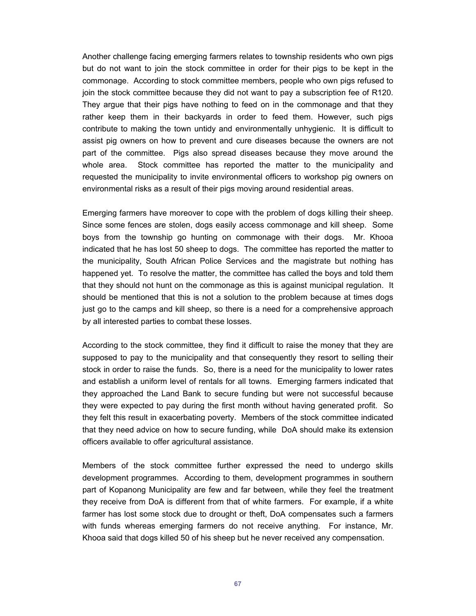Another challenge facing emerging farmers relates to township residents who own pigs but do not want to join the stock committee in order for their pigs to be kept in the commonage. According to stock committee members, people who own pigs refused to join the stock committee because they did not want to pay a subscription fee of R120. They argue that their pigs have nothing to feed on in the commonage and that they rather keep them in their backyards in order to feed them. However, such pigs contribute to making the town untidy and environmentally unhygienic. It is difficult to assist pig owners on how to prevent and cure diseases because the owners are not part of the committee. Pigs also spread diseases because they move around the whole area. Stock committee has reported the matter to the municipality and requested the municipality to invite environmental officers to workshop pig owners on environmental risks as a result of their pigs moving around residential areas.

Emerging farmers have moreover to cope with the problem of dogs killing their sheep. Since some fences are stolen, dogs easily access commonage and kill sheep. Some boys from the township go hunting on commonage with their dogs. Mr. Khooa indicated that he has lost 50 sheep to dogs. The committee has reported the matter to the municipality, South African Police Services and the magistrate but nothing has happened yet. To resolve the matter, the committee has called the boys and told them that they should not hunt on the commonage as this is against municipal regulation. It should be mentioned that this is not a solution to the problem because at times dogs just go to the camps and kill sheep, so there is a need for a comprehensive approach by all interested parties to combat these losses.

According to the stock committee, they find it difficult to raise the money that they are supposed to pay to the municipality and that consequently they resort to selling their stock in order to raise the funds. So, there is a need for the municipality to lower rates and establish a uniform level of rentals for all towns. Emerging farmers indicated that they approached the Land Bank to secure funding but were not successful because they were expected to pay during the first month without having generated profit. So they felt this result in exacerbating poverty. Members of the stock committee indicated that they need advice on how to secure funding, while DoA should make its extension officers available to offer agricultural assistance.

Members of the stock committee further expressed the need to undergo skills development programmes. According to them, development programmes in southern part of Kopanong Municipality are few and far between, while they feel the treatment they receive from DoA is different from that of white farmers. For example, if a white farmer has lost some stock due to drought or theft, DoA compensates such a farmers with funds whereas emerging farmers do not receive anything. For instance, Mr. Khooa said that dogs killed 50 of his sheep but he never received any compensation.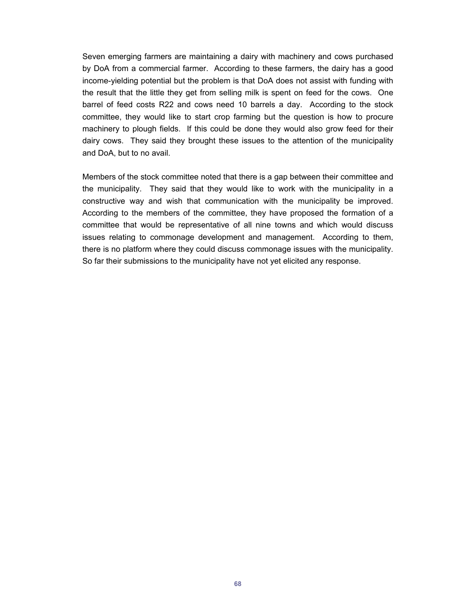Seven emerging farmers are maintaining a dairy with machinery and cows purchased by DoA from a commercial farmer. According to these farmers, the dairy has a good income-yielding potential but the problem is that DoA does not assist with funding with the result that the little they get from selling milk is spent on feed for the cows. One barrel of feed costs R22 and cows need 10 barrels a day. According to the stock committee, they would like to start crop farming but the question is how to procure machinery to plough fields. If this could be done they would also grow feed for their dairy cows. They said they brought these issues to the attention of the municipality and DoA, but to no avail.

Members of the stock committee noted that there is a gap between their committee and the municipality. They said that they would like to work with the municipality in a constructive way and wish that communication with the municipality be improved. According to the members of the committee, they have proposed the formation of a committee that would be representative of all nine towns and which would discuss issues relating to commonage development and management. According to them, there is no platform where they could discuss commonage issues with the municipality. So far their submissions to the municipality have not yet elicited any response.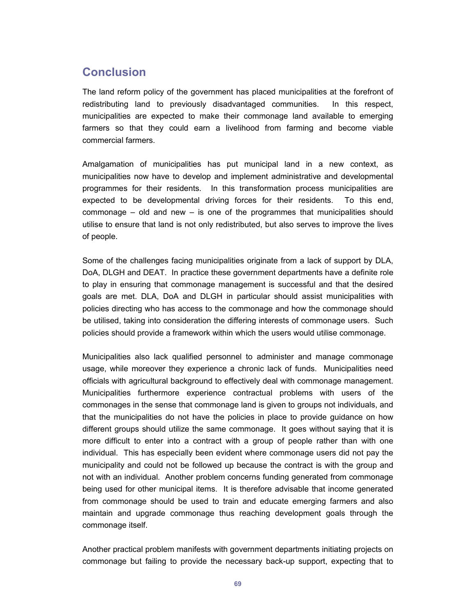## **Conclusion**

The land reform policy of the government has placed municipalities at the forefront of redistributing land to previously disadvantaged communities. In this respect, municipalities are expected to make their commonage land available to emerging farmers so that they could earn a livelihood from farming and become viable commercial farmers.

Amalgamation of municipalities has put municipal land in a new context, as municipalities now have to develop and implement administrative and developmental programmes for their residents. In this transformation process municipalities are expected to be developmental driving forces for their residents. To this end, commonage – old and new – is one of the programmes that municipalities should utilise to ensure that land is not only redistributed, but also serves to improve the lives of people.

Some of the challenges facing municipalities originate from a lack of support by DLA, DoA, DLGH and DEAT. In practice these government departments have a definite role to play in ensuring that commonage management is successful and that the desired goals are met. DLA, DoA and DLGH in particular should assist municipalities with policies directing who has access to the commonage and how the commonage should be utilised, taking into consideration the differing interests of commonage users. Such policies should provide a framework within which the users would utilise commonage.

Municipalities also lack qualified personnel to administer and manage commonage usage, while moreover they experience a chronic lack of funds. Municipalities need officials with agricultural background to effectively deal with commonage management. Municipalities furthermore experience contractual problems with users of the commonages in the sense that commonage land is given to groups not individuals, and that the municipalities do not have the policies in place to provide guidance on how different groups should utilize the same commonage. It goes without saying that it is more difficult to enter into a contract with a group of people rather than with one individual. This has especially been evident where commonage users did not pay the municipality and could not be followed up because the contract is with the group and not with an individual. Another problem concerns funding generated from commonage being used for other municipal items. It is therefore advisable that income generated from commonage should be used to train and educate emerging farmers and also maintain and upgrade commonage thus reaching development goals through the commonage itself.

Another practical problem manifests with government departments initiating projects on commonage but failing to provide the necessary back-up support, expecting that to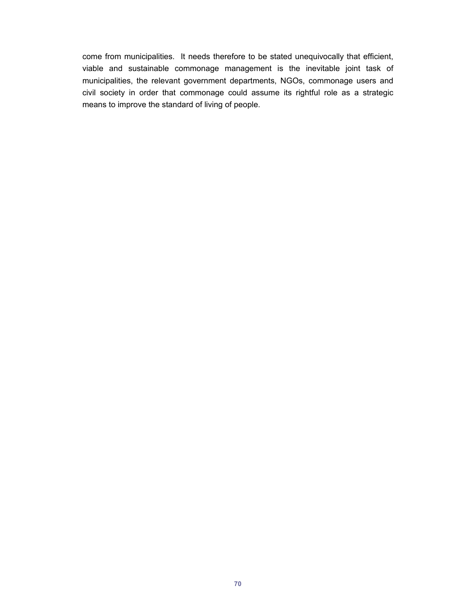come from municipalities. It needs therefore to be stated unequivocally that efficient, viable and sustainable commonage management is the inevitable joint task of municipalities, the relevant government departments, NGOs, commonage users and civil society in order that commonage could assume its rightful role as a strategic means to improve the standard of living of people.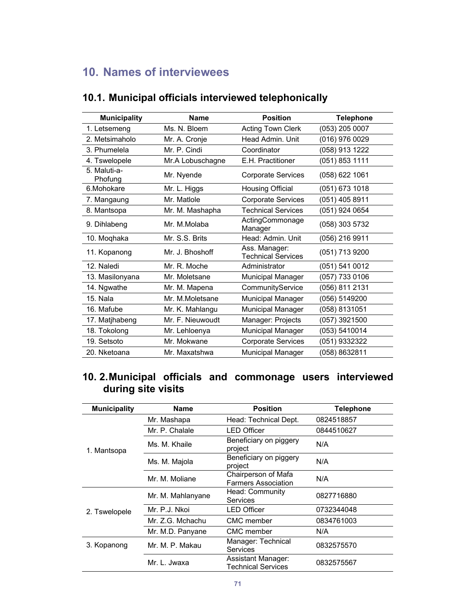# **10. Names of interviewees**

| <b>Municipality</b>     | <b>Name</b>      | <b>Position</b>                            | <b>Telephone</b> |
|-------------------------|------------------|--------------------------------------------|------------------|
| 1. Letsemeng            | Ms. N. Bloem     | <b>Acting Town Clerk</b>                   | (053) 205 0007   |
| 2. Metsimaholo          | Mr. A. Cronje    | Head Admin, Unit                           | (016) 976 0029   |
| 3. Phumelela            | Mr. P. Cindi     | Coordinator                                | (058) 913 1222   |
| 4. Tswelopele           | Mr.A Lobuschagne | E.H. Practitioner                          | (051) 853 1111   |
| 5. Maluti-a-<br>Phofung | Mr. Nyende       | <b>Corporate Services</b>                  | (058) 622 1061   |
| 6.Mohokare              | Mr. L. Higgs     | Housing Official                           | (051) 673 1018   |
| 7. Mangaung             | Mr. Matlole      | <b>Corporate Services</b>                  | (051) 405 8911   |
| 8. Mantsopa             | Mr. M. Mashapha  | <b>Technical Services</b>                  | (051) 924 0654   |
| 9. Dihlabeng            | Mr. M.Molaba     | ActingCommonage<br>Manager                 | (058) 303 5732   |
| 10. Moghaka             | Mr. S.S. Brits   | Head: Admin. Unit                          | (056) 216 9911   |
| 11. Kopanong            | Mr. J. Bhoshoff  | Ass. Manager:<br><b>Technical Services</b> | (051) 713 9200   |
| 12. Naledi              | Mr. R. Moche     | Administrator                              | (051) 541 0012   |
| 13. Masilonyana         | Mr. Moletsane    | Municipal Manager                          | (057) 733 0106   |
| 14. Ngwathe             | Mr. M. Mapena    | CommunityService                           | (056) 811 2131   |
| 15. Nala                | Mr. M.Moletsane  | Municipal Manager                          | (056) 5149200    |
| 16. Mafube              | Mr. K. Mahlangu  | <b>Municipal Manager</b>                   | (058) 8131051    |
| 17. Matjhabeng          | Mr. F. Nieuwoudt | Manager: Projects                          | (057) 3921500    |
| 18. Tokolong            | Mr. Lehloenya    | <b>Municipal Manager</b>                   | (053) 5410014    |
| 19. Setsoto             | Mr. Mokwane      | <b>Corporate Services</b>                  | (051) 9332322    |
| 20. Nketoana            | Mr. Maxatshwa    | <b>Municipal Manager</b>                   | (058) 8632811    |

### **10.1. Municipal officials interviewed telephonically**

### **10. 2. Municipal officials and commonage users interviewed during site visits**

| <b>Municipality</b> | Name              | <b>Position</b>                                   | <b>Telephone</b> |
|---------------------|-------------------|---------------------------------------------------|------------------|
|                     | Mr. Mashapa       | Head: Technical Dept.                             | 0824518857       |
|                     | Mr. P. Chalale    | <b>LED Officer</b>                                | 0844510627       |
| 1. Mantsopa         | Ms. M. Khaile     | Beneficiary on piggery<br>project                 | N/A              |
|                     | Ms. M. Majola     | Beneficiary on piggery<br>project                 | N/A              |
|                     | Mr. M. Moliane    | Chairperson of Mafa<br><b>Farmers Association</b> | N/A              |
|                     | Mr. M. Mahlanyane | Head: Community<br>Services                       | 0827716880       |
| 2. Tswelopele       | Mr. P.J. Nkoi     | <b>LED Officer</b>                                | 0732344048       |
|                     | Mr. Z.G. Mchachu  | CMC member                                        | 0834761003       |
|                     | Mr. M.D. Panyane  | <b>CMC</b> member                                 | N/A              |
| 3. Kopanong         | Mr. M. P. Makau   | Manager: Technical<br>Services                    | 0832575570       |
|                     | Mr. L. Jwaxa      | Assistant Manager:<br>Technical Services          | 0832575567       |